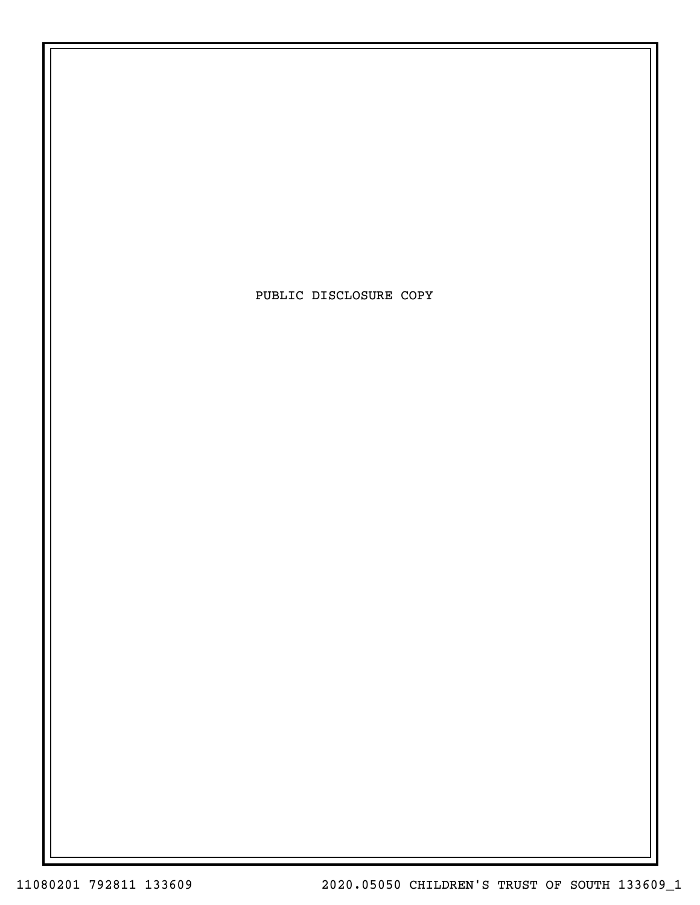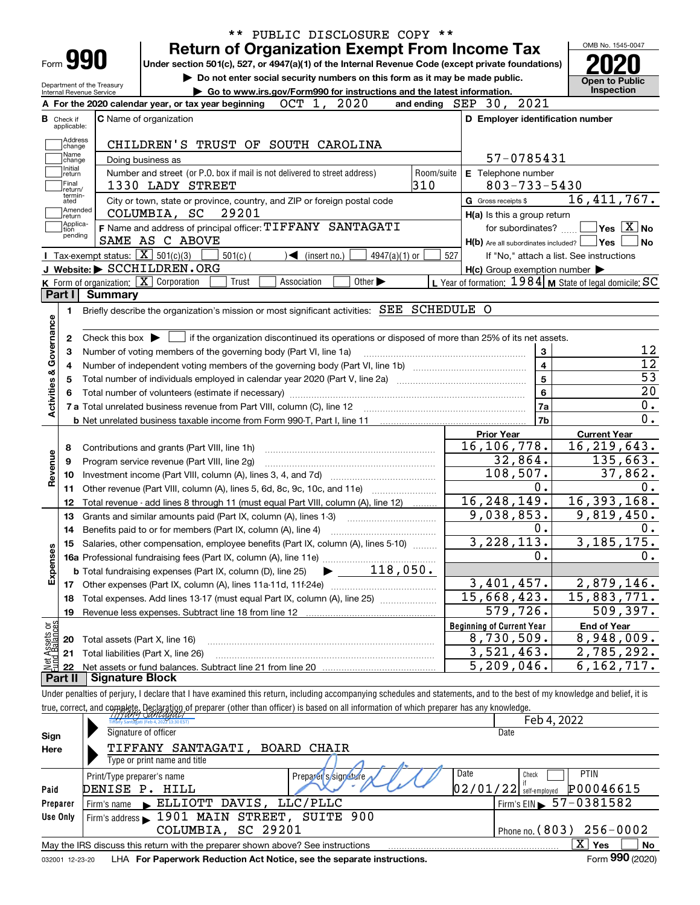|                                                        |                        | PUBLIC DISCLOSURE COPY **                                                                                                                                                  |     |                                                     | OMB No. 1545-0047                                         |
|--------------------------------------------------------|------------------------|----------------------------------------------------------------------------------------------------------------------------------------------------------------------------|-----|-----------------------------------------------------|-----------------------------------------------------------|
| Form 990                                               |                        | <b>Return of Organization Exempt From Income Tax</b><br>Under section 501(c), 527, or 4947(a)(1) of the Internal Revenue Code (except private foundations)                 |     |                                                     |                                                           |
|                                                        |                        | Do not enter social security numbers on this form as it may be made public.                                                                                                |     |                                                     |                                                           |
| Department of the Treasury<br>Internal Revenue Service |                        | Go to www.irs.gov/Form990 for instructions and the latest information.                                                                                                     |     |                                                     | <b>Open to Public</b><br>Inspection                       |
|                                                        |                        | OCT 1,<br>2020<br>A For the 2020 calendar year, or tax year beginning<br>and ending $SEP$ 30,                                                                              |     | 2021                                                |                                                           |
| В<br>Check if                                          |                        | <b>C</b> Name of organization                                                                                                                                              |     | D Employer identification number                    |                                                           |
| applicable:                                            |                        |                                                                                                                                                                            |     |                                                     |                                                           |
| Address<br>change                                      |                        | CHILDREN'S TRUST OF SOUTH CAROLINA                                                                                                                                         |     |                                                     |                                                           |
| Name<br>change                                         |                        | Doing business as                                                                                                                                                          |     | 57-0785431                                          |                                                           |
| Initial<br>return                                      |                        | Number and street (or P.O. box if mail is not delivered to street address)<br>Room/suite                                                                                   |     | E Telephone number                                  |                                                           |
| Final<br>lreturn/                                      |                        | 310<br>1330 LADY STREET                                                                                                                                                    |     | $803 - 733 - 5430$                                  |                                                           |
| termin-<br>ated                                        |                        | City or town, state or province, country, and ZIP or foreign postal code                                                                                                   |     | G Gross receipts \$                                 | 16, 411, 767.                                             |
| Amended<br> return                                     |                        | COLUMBIA, SC<br>29201                                                                                                                                                      |     | H(a) Is this a group return                         |                                                           |
| Applica-<br>tion<br>pending                            |                        | F Name and address of principal officer: TIFFANY SANTAGATI                                                                                                                 |     | for subordinates? $\ldots$                          | $\blacksquare$ Yes $\boxed{\text{X}}$ No                  |
|                                                        |                        | SAME AS C ABOVE                                                                                                                                                            |     | $H(b)$ Are all subordinates included? $\Box$ Yes    | ∣No                                                       |
|                                                        |                        | Tax-exempt status: $\boxed{\mathbf{X}}$ 501(c)(3)<br>$4947(a)(1)$ or<br>$501(c)$ (<br>$\sqrt{\bullet}$ (insert no.)                                                        | 527 |                                                     | If "No," attach a list. See instructions                  |
|                                                        |                        | J Website: SCCHILDREN.ORG                                                                                                                                                  |     | $H(c)$ Group exemption number $\blacktriangleright$ |                                                           |
|                                                        |                        | K Form of organization: X Corporation<br>Association<br>Other $\blacktriangleright$<br>Trust                                                                               |     |                                                     | L Year of formation: $1984$ M State of legal domicile: SC |
| Part I I                                               | <b>Summary</b>         |                                                                                                                                                                            |     |                                                     |                                                           |
| 1.                                                     |                        | Briefly describe the organization's mission or most significant activities: SEE SCHEDULE O                                                                                 |     |                                                     |                                                           |
|                                                        |                        |                                                                                                                                                                            |     |                                                     |                                                           |
| Governance<br>2                                        |                        |                                                                                                                                                                            |     |                                                     |                                                           |
| 3                                                      |                        | Number of voting members of the governing body (Part VI, line 1a)                                                                                                          |     | 3                                                   |                                                           |
| 4                                                      |                        |                                                                                                                                                                            |     | 4                                                   |                                                           |
| 5                                                      |                        |                                                                                                                                                                            |     | 5                                                   |                                                           |
| 6                                                      |                        |                                                                                                                                                                            |     | 6                                                   |                                                           |
| <b>Activities &amp;</b>                                |                        | 7 a Total unrelated business revenue from Part VIII, column (C), line 12                                                                                                   |     | 7a                                                  | 0.                                                        |
|                                                        |                        |                                                                                                                                                                            |     | 7b                                                  | 0.                                                        |
|                                                        |                        |                                                                                                                                                                            |     | <b>Prior Year</b>                                   | <b>Current Year</b>                                       |
| 8                                                      |                        | Contributions and grants (Part VIII, line 1h)                                                                                                                              |     | 16, 106, 778.                                       | 16, 219, 643.                                             |
| 9                                                      |                        | Program service revenue (Part VIII, line 2g)                                                                                                                               |     | 32,864.                                             | 135,663.                                                  |
| Revenue<br>10                                          |                        |                                                                                                                                                                            |     | 108,507.                                            | 37,862.                                                   |
| 11                                                     |                        | Other revenue (Part VIII, column (A), lines 5, 6d, 8c, 9c, 10c, and 11e)                                                                                                   |     | О.                                                  | 0.                                                        |
| 12                                                     |                        | Total revenue - add lines 8 through 11 (must equal Part VIII, column (A), line 12)                                                                                         |     | 16, 248, 149.                                       | 16, 393, 168.                                             |
| 13                                                     |                        | Grants and similar amounts paid (Part IX, column (A), lines 1-3)                                                                                                           |     | 9,038,853.                                          | 9,819,450.                                                |
| 14                                                     |                        | Benefits paid to or for members (Part IX, column (A), line 4)                                                                                                              |     | Ο.                                                  | $0$ .                                                     |
| 15                                                     |                        | Salaries, other compensation, employee benefits (Part IX, column (A), lines 5-10)                                                                                          |     | 3,228,113.                                          | 3,185,175.                                                |
|                                                        |                        |                                                                                                                                                                            |     | Ο.                                                  | $0$ .                                                     |
|                                                        |                        |                                                                                                                                                                            |     |                                                     |                                                           |
| Expenses                                               |                        |                                                                                                                                                                            |     | 3,401,457.                                          | 2,879,146.                                                |
| 17<br>18                                               |                        | Total expenses. Add lines 13-17 (must equal Part IX, column (A), line 25)                                                                                                  |     | 15,668,423.                                         | 15,883,771.                                               |
| 19                                                     |                        |                                                                                                                                                                            |     | 579,726.                                            | 509, 397.                                                 |
|                                                        |                        |                                                                                                                                                                            |     | <b>Beginning of Current Year</b>                    |                                                           |
|                                                        |                        |                                                                                                                                                                            |     | $8,730,509$ .                                       | <b>End of Year</b><br>8,948,009.                          |
| t Assets or<br>d Balances<br>20                        |                        | Total assets (Part X, line 16)                                                                                                                                             |     | 3,521,463.                                          | 2,785,292.                                                |
| 21                                                     |                        | Total liabilities (Part X, line 26)                                                                                                                                        |     | 5,209,046.                                          |                                                           |
| 22<br>Part II                                          | <b>Signature Block</b> |                                                                                                                                                                            |     |                                                     | 6, 162, 717.                                              |
|                                                        |                        |                                                                                                                                                                            |     |                                                     |                                                           |
|                                                        |                        | Under penalties of perjury, I declare that I have examined this return, including accompanying schedules and statements, and to the best of my knowledge and belief, it is |     |                                                     |                                                           |
|                                                        |                        | true, correct, and complete. Declaration of preparer (other than officer) is based on all information of which preparer has any knowledge.                                 |     |                                                     |                                                           |
|                                                        |                        | Tiffany Santagati (Feb 4, 2022 13:30 EST)                                                                                                                                  |     | Feb 4, 2022                                         |                                                           |

|                                                                                                        |  | Tiffany Santagati (Feb 4, 2022 13:30 EST)                              | Feb 4, 2022                           |  |  |  |  |  |  |
|--------------------------------------------------------------------------------------------------------|--|------------------------------------------------------------------------|---------------------------------------|--|--|--|--|--|--|
| Sign                                                                                                   |  | Signature of officer                                                   | Date                                  |  |  |  |  |  |  |
| Here                                                                                                   |  | TIFFANY SANTAGATI, BOARD CHAIR                                         |                                       |  |  |  |  |  |  |
|                                                                                                        |  | Type or print name and title                                           |                                       |  |  |  |  |  |  |
|                                                                                                        |  | Date<br>Preparer's/signature<br>Print/Type preparer's name             | <b>PTIN</b><br>Check                  |  |  |  |  |  |  |
| Paid                                                                                                   |  | DENISE P. HILL                                                         | P00046615<br>$02/01/22$ self-employed |  |  |  |  |  |  |
| Preparer                                                                                               |  | Firm's name ELLIOTT DAVIS, LLC/PLLC                                    | $\sqrt{57-0381582}$                   |  |  |  |  |  |  |
| Use Only                                                                                               |  | Firm's address 1901 MAIN STREET, SUITE 900                             |                                       |  |  |  |  |  |  |
|                                                                                                        |  | COLUMBIA, SC 29201                                                     | Phone no. $(803)$ $256 - 0002$        |  |  |  |  |  |  |
| $X \mid Y$ es<br>No<br>May the IRS discuss this return with the preparer shown above? See instructions |  |                                                                        |                                       |  |  |  |  |  |  |
| 032001 12-23-20                                                                                        |  | LHA For Paperwork Reduction Act Notice, see the separate instructions. | Form 990 (2020)                       |  |  |  |  |  |  |
|                                                                                                        |  |                                                                        |                                       |  |  |  |  |  |  |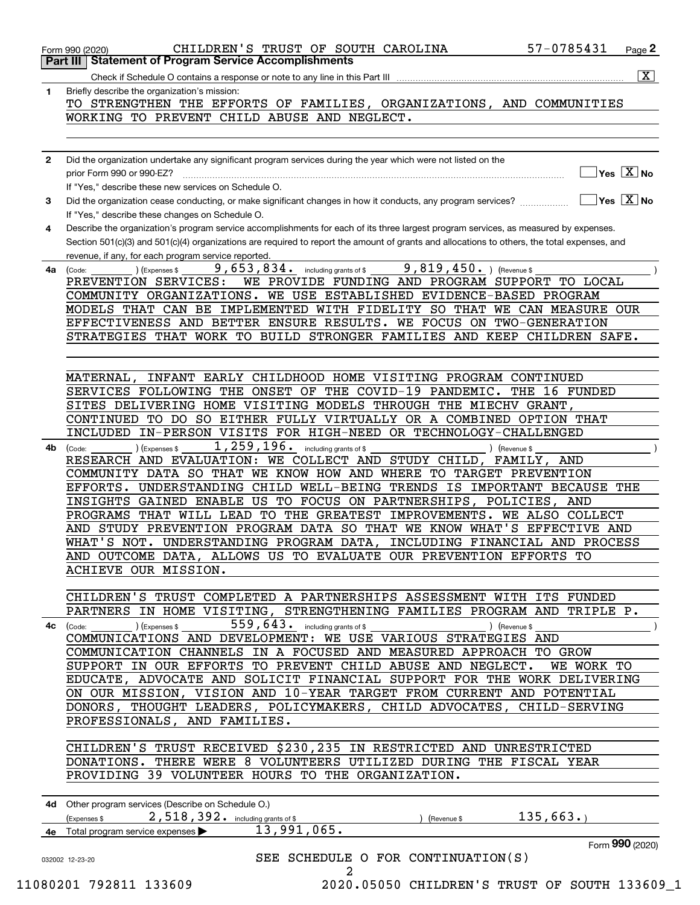|              | <b>Statement of Program Service Accomplishments</b><br>Part III<br>$\overline{\mathbf{x}}$                                                                                                                                                                                           |
|--------------|--------------------------------------------------------------------------------------------------------------------------------------------------------------------------------------------------------------------------------------------------------------------------------------|
| $\mathbf{1}$ | Briefly describe the organization's mission:<br>TO STRENGTHEN THE EFFORTS OF FAMILIES, ORGANIZATIONS, AND COMMUNITIES                                                                                                                                                                |
|              | WORKING TO PREVENT CHILD ABUSE AND NEGLECT.                                                                                                                                                                                                                                          |
|              |                                                                                                                                                                                                                                                                                      |
| $\mathbf{2}$ | Did the organization undertake any significant program services during the year which were not listed on the<br>$\overline{\ }$ Yes $\overline{\ \ X}$ No<br>prior Form 990 or 990-EZ?                                                                                               |
|              | If "Yes," describe these new services on Schedule O.                                                                                                                                                                                                                                 |
| 3            | $\overline{\ }$ Yes $\overline{\ \ X}$ No<br>If "Yes," describe these changes on Schedule O.                                                                                                                                                                                         |
| 4            | Describe the organization's program service accomplishments for each of its three largest program services, as measured by expenses.<br>Section 501(c)(3) and 501(c)(4) organizations are required to report the amount of grants and allocations to others, the total expenses, and |
|              | revenue, if any, for each program service reported.                                                                                                                                                                                                                                  |
| 4a           | $\overline{9,819,450.}$ ) (Revenue \$<br>$9,653,834.$ including grants of \$<br>(Expenses \$<br>(Code:<br>PREVENTION SERVICES:<br>WE PROVIDE FUNDING AND PROGRAM SUPPORT TO LOCAL                                                                                                    |
|              | COMMUNITY ORGANIZATIONS. WE USE ESTABLISHED EVIDENCE-BASED PROGRAM                                                                                                                                                                                                                   |
|              | MODELS THAT CAN BE IMPLEMENTED WITH FIDELITY SO THAT WE CAN MEASURE OUR                                                                                                                                                                                                              |
|              | EFFECTIVENESS AND BETTER ENSURE RESULTS. WE FOCUS ON TWO-GENERATION<br>STRATEGIES THAT WORK TO BUILD STRONGER FAMILIES AND KEEP CHILDREN SAFE.                                                                                                                                       |
|              |                                                                                                                                                                                                                                                                                      |
|              | INFANT EARLY CHILDHOOD HOME VISITING PROGRAM CONTINUED<br><b>MATERNAL,</b>                                                                                                                                                                                                           |
|              | SERVICES FOLLOWING THE ONSET OF THE COVID-19 PANDEMIC. THE 16 FUNDED                                                                                                                                                                                                                 |
|              | SITES DELIVERING HOME VISITING MODELS THROUGH THE MIECHV GRANT,                                                                                                                                                                                                                      |
|              | CONTINUED TO DO SO EITHER FULLY VIRTUALLY OR A COMBINED OPTION THAT                                                                                                                                                                                                                  |
| 4b           | INCLUDED IN-PERSON VISITS FOR HIGH-NEED OR TECHNOLOGY-CHALLENGED<br>1, 259, 196. including grants of \$<br>(Expenses \$<br>) (Revenue \$<br>(Code:                                                                                                                                   |
|              | RESEARCH AND EVALUATION: WE COLLECT AND STUDY CHILD, FAMILY, AND                                                                                                                                                                                                                     |
|              | COMMUNITY DATA SO THAT WE KNOW HOW AND WHERE TO TARGET PREVENTION                                                                                                                                                                                                                    |
|              | EFFORTS. UNDERSTANDING CHILD WELL-BEING TRENDS IS IMPORTANT BECAUSE THE                                                                                                                                                                                                              |
|              | INSIGHTS GAINED ENABLE US TO FOCUS ON PARTNERSHIPS, POLICIES, AND<br>PROGRAMS THAT WILL LEAD TO THE GREATEST IMPROVEMENTS. WE ALSO COLLECT                                                                                                                                           |
|              | AND STUDY PREVENTION PROGRAM DATA SO THAT WE KNOW WHAT'S EFFECTIVE AND                                                                                                                                                                                                               |
|              | WHAT'S NOT. UNDERSTANDING PROGRAM DATA, INCLUDING FINANCIAL AND PROCESS                                                                                                                                                                                                              |
|              | AND OUTCOME DATA, ALLOWS US TO EVALUATE OUR PREVENTION EFFORTS TO                                                                                                                                                                                                                    |
|              | ACHIEVE OUR MISSION.                                                                                                                                                                                                                                                                 |
|              | CHILDREN'S TRUST COMPLETED A PARTNERSHIPS ASSESSMENT WITH ITS FUNDED                                                                                                                                                                                                                 |
|              | PARTNERS IN HOME VISITING, STRENGTHENING FAMILIES PROGRAM AND TRIPLE P.                                                                                                                                                                                                              |
| 4с           | 559, 643. including grants of \$<br>(Expenses \$<br>(Code:<br>) (Revenue \$                                                                                                                                                                                                          |
|              | COMMUNICATIONS AND DEVELOPMENT: WE USE VARIOUS STRATEGIES AND                                                                                                                                                                                                                        |
|              | COMMUNICATION CHANNELS IN A FOCUSED AND MEASURED APPROACH TO GROW<br>SUPPORT IN OUR EFFORTS TO PREVENT CHILD ABUSE AND NEGLECT.<br>WE WORK TO                                                                                                                                        |
|              | EDUCATE, ADVOCATE AND SOLICIT FINANCIAL SUPPORT FOR THE WORK DELIVERING                                                                                                                                                                                                              |
|              | ON OUR MISSION, VISION AND 10-YEAR TARGET FROM CURRENT AND POTENTIAL                                                                                                                                                                                                                 |
|              | DONORS, THOUGHT LEADERS, POLICYMAKERS, CHILD ADVOCATES, CHILD-SERVING<br>PROFESSIONALS, AND FAMILIES.                                                                                                                                                                                |
|              | CHILDREN'S TRUST RECEIVED \$230,235 IN RESTRICTED AND UNRESTRICTED                                                                                                                                                                                                                   |
|              | DONATIONS. THERE WERE 8 VOLUNTEERS UTILIZED DURING THE FISCAL YEAR                                                                                                                                                                                                                   |
|              | PROVIDING 39 VOLUNTEER HOURS TO THE ORGANIZATION.                                                                                                                                                                                                                                    |
|              | 4d Other program services (Describe on Schedule O.)                                                                                                                                                                                                                                  |
|              | 135,663.<br>2,518,392. including grants of \$<br>(Expenses \$<br>) (Revenue \$                                                                                                                                                                                                       |
| 4e           | 13,991,065.<br>Total program service expenses<br>Form 990 (2020)                                                                                                                                                                                                                     |
|              |                                                                                                                                                                                                                                                                                      |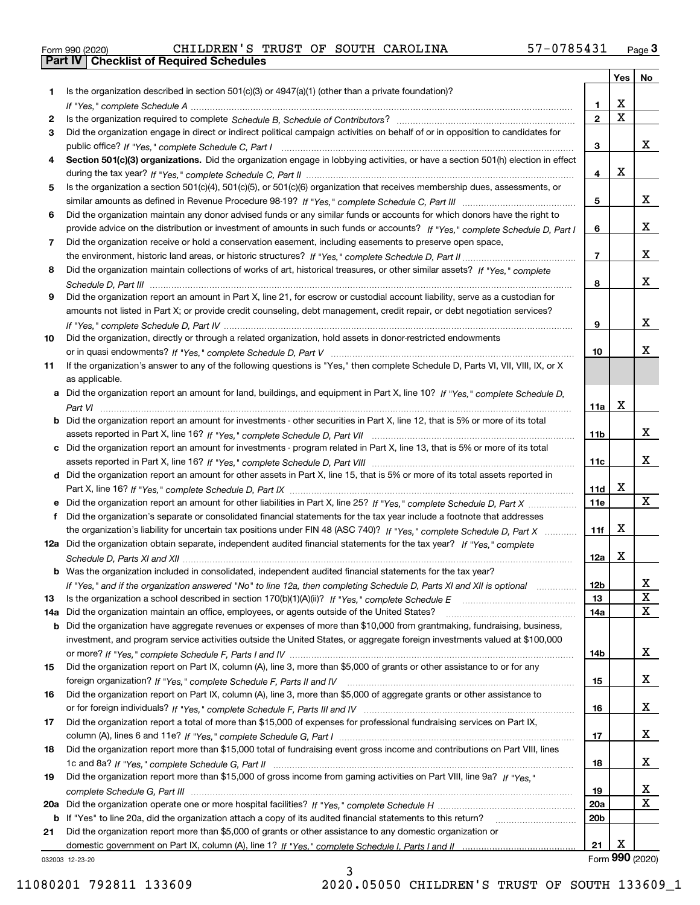|  | Form 990 (2020) |
|--|-----------------|

|         |                                                                                                                                                                                                                                                   |                        | Yes                     | No               |
|---------|---------------------------------------------------------------------------------------------------------------------------------------------------------------------------------------------------------------------------------------------------|------------------------|-------------------------|------------------|
| 1.      | Is the organization described in section $501(c)(3)$ or $4947(a)(1)$ (other than a private foundation)?                                                                                                                                           |                        |                         |                  |
|         |                                                                                                                                                                                                                                                   | 1.                     | X                       |                  |
| 2       |                                                                                                                                                                                                                                                   | $\overline{2}$         | $\overline{\mathbf{x}}$ |                  |
| 3       | Did the organization engage in direct or indirect political campaign activities on behalf of or in opposition to candidates for                                                                                                                   |                        |                         |                  |
|         |                                                                                                                                                                                                                                                   | 3                      |                         | x                |
| 4       | Section 501(c)(3) organizations. Did the organization engage in lobbying activities, or have a section 501(h) election in effect                                                                                                                  |                        | X                       |                  |
|         |                                                                                                                                                                                                                                                   | 4                      |                         |                  |
| 5       | Is the organization a section 501(c)(4), 501(c)(5), or 501(c)(6) organization that receives membership dues, assessments, or                                                                                                                      | 5                      |                         | x                |
| 6       | Did the organization maintain any donor advised funds or any similar funds or accounts for which donors have the right to                                                                                                                         |                        |                         |                  |
|         | provide advice on the distribution or investment of amounts in such funds or accounts? If "Yes," complete Schedule D, Part I                                                                                                                      | 6                      |                         | x                |
| 7       | Did the organization receive or hold a conservation easement, including easements to preserve open space,                                                                                                                                         |                        |                         |                  |
|         |                                                                                                                                                                                                                                                   | $\overline{7}$         |                         | x                |
| 8       | Did the organization maintain collections of works of art, historical treasures, or other similar assets? If "Yes," complete                                                                                                                      |                        |                         |                  |
|         |                                                                                                                                                                                                                                                   | 8                      |                         | X                |
| 9       | Did the organization report an amount in Part X, line 21, for escrow or custodial account liability, serve as a custodian for                                                                                                                     |                        |                         |                  |
|         | amounts not listed in Part X; or provide credit counseling, debt management, credit repair, or debt negotiation services?                                                                                                                         |                        |                         |                  |
|         |                                                                                                                                                                                                                                                   | 9                      |                         | x                |
| 10      | Did the organization, directly or through a related organization, hold assets in donor-restricted endowments                                                                                                                                      |                        |                         |                  |
|         |                                                                                                                                                                                                                                                   | 10                     |                         | x                |
| 11      | If the organization's answer to any of the following questions is "Yes," then complete Schedule D, Parts VI, VII, VIII, IX, or X                                                                                                                  |                        |                         |                  |
|         | as applicable.                                                                                                                                                                                                                                    |                        |                         |                  |
| a       | Did the organization report an amount for land, buildings, and equipment in Part X, line 10? If "Yes," complete Schedule D.                                                                                                                       |                        |                         |                  |
|         |                                                                                                                                                                                                                                                   | 11a                    | $\mathbf X$             |                  |
| b       | Did the organization report an amount for investments - other securities in Part X, line 12, that is 5% or more of its total                                                                                                                      |                        |                         |                  |
|         |                                                                                                                                                                                                                                                   | 11 <sub>b</sub>        |                         | x                |
| c       | Did the organization report an amount for investments - program related in Part X, line 13, that is 5% or more of its total                                                                                                                       |                        |                         |                  |
|         |                                                                                                                                                                                                                                                   | 11c                    |                         | x                |
|         | d Did the organization report an amount for other assets in Part X, line 15, that is 5% or more of its total assets reported in                                                                                                                   |                        |                         |                  |
|         |                                                                                                                                                                                                                                                   | 11d                    | X                       | X                |
|         | Did the organization report an amount for other liabilities in Part X, line 25? If "Yes," complete Schedule D, Part X                                                                                                                             | 11e                    |                         |                  |
| f       | Did the organization's separate or consolidated financial statements for the tax year include a footnote that addresses                                                                                                                           |                        | X                       |                  |
|         | the organization's liability for uncertain tax positions under FIN 48 (ASC 740)? If "Yes," complete Schedule D, Part X<br>12a Did the organization obtain separate, independent audited financial statements for the tax year? If "Yes," complete | 11f                    |                         |                  |
|         |                                                                                                                                                                                                                                                   | 12a                    | X                       |                  |
|         | <b>b</b> Was the organization included in consolidated, independent audited financial statements for the tax year?                                                                                                                                |                        |                         |                  |
|         | If "Yes," and if the organization answered "No" to line 12a, then completing Schedule D, Parts XI and XII is optional                                                                                                                             | 12D                    |                         | ᅀ                |
| 13      |                                                                                                                                                                                                                                                   | 13                     |                         | $\mathbf X$      |
| 14a     | Did the organization maintain an office, employees, or agents outside of the United States?                                                                                                                                                       | 14a                    |                         | X                |
| b       | Did the organization have aggregate revenues or expenses of more than \$10,000 from grantmaking, fundraising, business,                                                                                                                           |                        |                         |                  |
|         | investment, and program service activities outside the United States, or aggregate foreign investments valued at \$100,000                                                                                                                        |                        |                         |                  |
|         |                                                                                                                                                                                                                                                   | 14b                    |                         | x                |
| 15      | Did the organization report on Part IX, column (A), line 3, more than \$5,000 of grants or other assistance to or for any                                                                                                                         |                        |                         |                  |
|         |                                                                                                                                                                                                                                                   | 15                     |                         | x                |
| 16      | Did the organization report on Part IX, column (A), line 3, more than \$5,000 of aggregate grants or other assistance to                                                                                                                          |                        |                         |                  |
|         |                                                                                                                                                                                                                                                   | 16                     |                         | x                |
| 17      | Did the organization report a total of more than \$15,000 of expenses for professional fundraising services on Part IX,                                                                                                                           |                        |                         |                  |
|         |                                                                                                                                                                                                                                                   | 17                     |                         | x                |
| 18      | Did the organization report more than \$15,000 total of fundraising event gross income and contributions on Part VIII, lines                                                                                                                      |                        |                         |                  |
|         |                                                                                                                                                                                                                                                   | 18                     |                         | x                |
| 19      | Did the organization report more than \$15,000 of gross income from gaming activities on Part VIII, line 9a? If "Yes."                                                                                                                            |                        |                         |                  |
|         |                                                                                                                                                                                                                                                   | 19                     |                         | X<br>$\mathbf X$ |
| 20a     |                                                                                                                                                                                                                                                   | 20a<br>20 <sub>b</sub> |                         |                  |
| b<br>21 | If "Yes" to line 20a, did the organization attach a copy of its audited financial statements to this return?<br>Did the organization report more than \$5,000 of grants or other assistance to any domestic organization or                       |                        |                         |                  |
|         |                                                                                                                                                                                                                                                   | 21                     | X                       |                  |
|         | 032003 12-23-20                                                                                                                                                                                                                                   |                        |                         | Form 990 (2020)  |

032003 12-23-20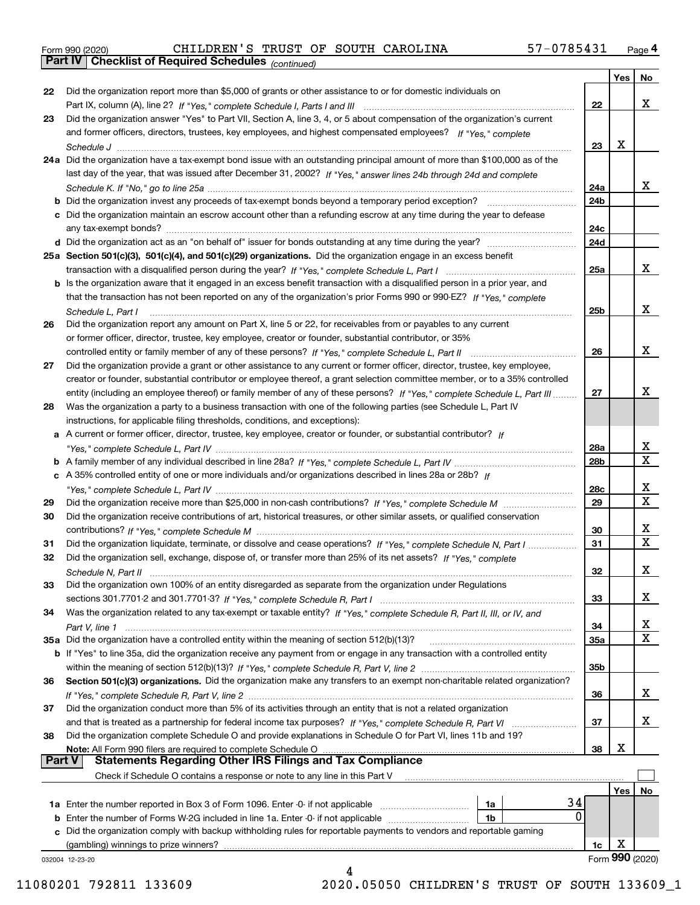|  | Form 990 (2020) |
|--|-----------------|
|  |                 |

*(continued)*

|               |                                                                                                                                    |                 | Yes | No                      |
|---------------|------------------------------------------------------------------------------------------------------------------------------------|-----------------|-----|-------------------------|
| 22            | Did the organization report more than \$5,000 of grants or other assistance to or for domestic individuals on                      |                 |     |                         |
|               |                                                                                                                                    | 22              |     | x                       |
| 23            | Did the organization answer "Yes" to Part VII, Section A, line 3, 4, or 5 about compensation of the organization's current         |                 |     |                         |
|               | and former officers, directors, trustees, key employees, and highest compensated employees? If "Yes," complete                     |                 |     |                         |
|               |                                                                                                                                    | 23              | x   |                         |
|               | 24a Did the organization have a tax-exempt bond issue with an outstanding principal amount of more than \$100,000 as of the        |                 |     |                         |
|               | last day of the year, that was issued after December 31, 2002? If "Yes," answer lines 24b through 24d and complete                 |                 |     |                         |
|               |                                                                                                                                    | 24a             |     | X.                      |
|               |                                                                                                                                    | 24b             |     |                         |
|               | c Did the organization maintain an escrow account other than a refunding escrow at any time during the year to defease             |                 |     |                         |
|               |                                                                                                                                    | 24c             |     |                         |
|               |                                                                                                                                    | 24d             |     |                         |
|               | 25a Section 501(c)(3), 501(c)(4), and 501(c)(29) organizations. Did the organization engage in an excess benefit                   |                 |     |                         |
|               |                                                                                                                                    | 25a             |     | x                       |
|               | b Is the organization aware that it engaged in an excess benefit transaction with a disqualified person in a prior year, and       |                 |     |                         |
|               | that the transaction has not been reported on any of the organization's prior Forms 990 or 990-EZ? If "Yes," complete              |                 |     |                         |
|               | Schedule L, Part I                                                                                                                 | 25 <sub>b</sub> |     | x                       |
| 26            | Did the organization report any amount on Part X, line 5 or 22, for receivables from or payables to any current                    |                 |     |                         |
|               | or former officer, director, trustee, key employee, creator or founder, substantial contributor, or 35%                            |                 |     |                         |
|               | controlled entity or family member of any of these persons? If "Yes," complete Schedule L, Part II                                 | 26              |     | x                       |
| 27            | Did the organization provide a grant or other assistance to any current or former officer, director, trustee, key employee,        |                 |     |                         |
|               | creator or founder, substantial contributor or employee thereof, a grant selection committee member, or to a 35% controlled        |                 |     |                         |
|               | entity (including an employee thereof) or family member of any of these persons? If "Yes," complete Schedule L, Part III           | 27              |     | х                       |
| 28            | Was the organization a party to a business transaction with one of the following parties (see Schedule L, Part IV                  |                 |     |                         |
|               | instructions, for applicable filing thresholds, conditions, and exceptions):                                                       |                 |     |                         |
|               | a A current or former officer, director, trustee, key employee, creator or founder, or substantial contributor? If                 |                 |     |                         |
|               |                                                                                                                                    | 28a             |     | x                       |
|               |                                                                                                                                    | 28 <sub>b</sub> |     | $\overline{\mathbf{X}}$ |
|               | c A 35% controlled entity of one or more individuals and/or organizations described in lines 28a or 28b? If                        |                 |     |                         |
|               |                                                                                                                                    | 28c             |     | х                       |
| 29            |                                                                                                                                    | 29              |     | X                       |
| 30            | Did the organization receive contributions of art, historical treasures, or other similar assets, or qualified conservation        |                 |     |                         |
|               |                                                                                                                                    | 30              |     | x                       |
| 31            | Did the organization liquidate, terminate, or dissolve and cease operations? If "Yes," complete Schedule N, Part I                 | 31              |     | X                       |
| 32            | Did the organization sell, exchange, dispose of, or transfer more than 25% of its net assets? If "Yes," complete                   |                 |     |                         |
|               | Schedule N, Part II                                                                                                                | 32              |     | x                       |
| 33            | Did the organization own 100% of an entity disregarded as separate from the organization under Regulations                         |                 |     |                         |
|               |                                                                                                                                    | 33              |     | х                       |
| 34            | Was the organization related to any tax-exempt or taxable entity? If "Yes," complete Schedule R, Part II, III, or IV, and          |                 |     |                         |
|               |                                                                                                                                    | 34              |     | x                       |
|               | 35a Did the organization have a controlled entity within the meaning of section 512(b)(13)?                                        | <b>35a</b>      |     | X                       |
|               | <b>b</b> If "Yes" to line 35a, did the organization receive any payment from or engage in any transaction with a controlled entity |                 |     |                         |
|               |                                                                                                                                    | 35b             |     |                         |
| 36            | Section 501(c)(3) organizations. Did the organization make any transfers to an exempt non-charitable related organization?         |                 |     |                         |
|               |                                                                                                                                    | 36              |     | x                       |
| 37            | Did the organization conduct more than 5% of its activities through an entity that is not a related organization                   |                 |     |                         |
|               | and that is treated as a partnership for federal income tax purposes? If "Yes." complete Schedule R. Part VI                       | 37              |     | x                       |
| 38            | Did the organization complete Schedule O and provide explanations in Schedule O for Part VI, lines 11b and 19?                     |                 |     |                         |
|               | Note: All Form 990 filers are required to complete Schedule O                                                                      | 38              | х   |                         |
| <b>Part V</b> | <b>Statements Regarding Other IRS Filings and Tax Compliance</b>                                                                   |                 |     |                         |
|               | Check if Schedule O contains a response or note to any line in this Part V                                                         |                 |     |                         |
|               |                                                                                                                                    |                 | Yes | No                      |
|               | 34<br>1a                                                                                                                           |                 |     |                         |
| b             | 0<br>Enter the number of Forms W-2G included in line 1a. Enter -0- if not applicable <i>manumumumum</i><br>1b                      |                 |     |                         |
| c             | Did the organization comply with backup withholding rules for reportable payments to vendors and reportable gaming                 |                 |     |                         |
|               | (gambling) winnings to prize winners?                                                                                              | 1c              | х   |                         |
|               | 032004 12-23-20                                                                                                                    |                 |     | Form 990 (2020)         |
|               | Δ                                                                                                                                  |                 |     |                         |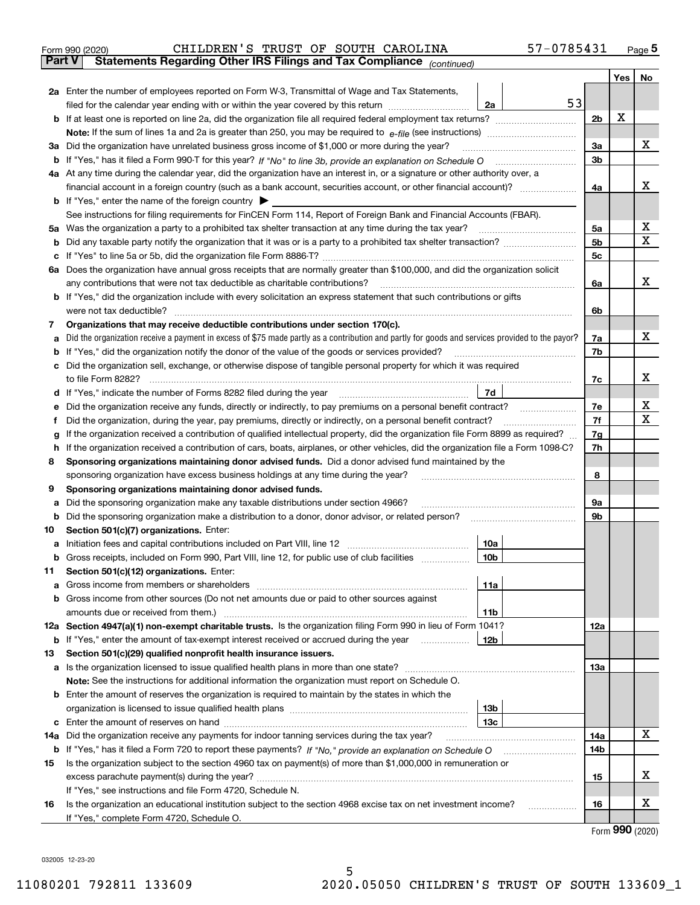|                                                                                                                     | 57-0785431<br>CHILDREN'S TRUST OF SOUTH CAROLINA<br>Form 990 (2020)                                                                                                                                                                  |    |                |     | $_{\text{Page}}$ 5 |  |  |
|---------------------------------------------------------------------------------------------------------------------|--------------------------------------------------------------------------------------------------------------------------------------------------------------------------------------------------------------------------------------|----|----------------|-----|--------------------|--|--|
| <b>Part V</b>                                                                                                       | Statements Regarding Other IRS Filings and Tax Compliance (continued)                                                                                                                                                                |    |                |     |                    |  |  |
|                                                                                                                     |                                                                                                                                                                                                                                      |    |                | Yes | No                 |  |  |
|                                                                                                                     | 2a Enter the number of employees reported on Form W-3, Transmittal of Wage and Tax Statements,                                                                                                                                       |    |                |     |                    |  |  |
|                                                                                                                     | filed for the calendar year ending with or within the year covered by this return<br>2a                                                                                                                                              | 53 |                |     |                    |  |  |
|                                                                                                                     |                                                                                                                                                                                                                                      |    | 2b             | х   |                    |  |  |
|                                                                                                                     |                                                                                                                                                                                                                                      |    |                |     |                    |  |  |
| За                                                                                                                  | Did the organization have unrelated business gross income of \$1,000 or more during the year?                                                                                                                                        |    | 3a             |     | x                  |  |  |
|                                                                                                                     |                                                                                                                                                                                                                                      |    | 3 <sub>b</sub> |     |                    |  |  |
|                                                                                                                     | 4a At any time during the calendar year, did the organization have an interest in, or a signature or other authority over, a                                                                                                         |    |                |     |                    |  |  |
|                                                                                                                     |                                                                                                                                                                                                                                      |    | 4a             |     | х                  |  |  |
|                                                                                                                     | <b>b</b> If "Yes," enter the name of the foreign country $\blacktriangleright$                                                                                                                                                       |    |                |     |                    |  |  |
|                                                                                                                     | See instructions for filing requirements for FinCEN Form 114, Report of Foreign Bank and Financial Accounts (FBAR).                                                                                                                  |    |                |     |                    |  |  |
| 5a                                                                                                                  |                                                                                                                                                                                                                                      |    | 5а             |     | х                  |  |  |
| b                                                                                                                   |                                                                                                                                                                                                                                      |    | 5 <sub>b</sub> |     | X                  |  |  |
| с                                                                                                                   |                                                                                                                                                                                                                                      |    | 5c             |     |                    |  |  |
|                                                                                                                     | 6a Does the organization have annual gross receipts that are normally greater than \$100,000, and did the organization solicit                                                                                                       |    |                |     |                    |  |  |
|                                                                                                                     | any contributions that were not tax deductible as charitable contributions?                                                                                                                                                          |    | 6a             |     | x                  |  |  |
|                                                                                                                     | <b>b</b> If "Yes," did the organization include with every solicitation an express statement that such contributions or gifts                                                                                                        |    |                |     |                    |  |  |
|                                                                                                                     | were not tax deductible?                                                                                                                                                                                                             |    | 6b             |     |                    |  |  |
| 7                                                                                                                   | Organizations that may receive deductible contributions under section 170(c).                                                                                                                                                        |    |                |     |                    |  |  |
| а                                                                                                                   | Did the organization receive a payment in excess of \$75 made partly as a contribution and partly for goods and services provided to the payor?                                                                                      |    | 7a             |     | x                  |  |  |
| b                                                                                                                   | If "Yes," did the organization notify the donor of the value of the goods or services provided?                                                                                                                                      |    | 7b             |     |                    |  |  |
| с                                                                                                                   | Did the organization sell, exchange, or otherwise dispose of tangible personal property for which it was required                                                                                                                    |    |                |     |                    |  |  |
|                                                                                                                     |                                                                                                                                                                                                                                      |    | 7c             |     | х                  |  |  |
|                                                                                                                     | 7d<br>d If "Yes," indicate the number of Forms 8282 filed during the year manufactured in the second of the second structure of Forms 8282 filed during the year manufactured in the Second Structure of the Second Structure of the |    |                |     |                    |  |  |
| е                                                                                                                   |                                                                                                                                                                                                                                      |    | 7e<br>7f       |     | х<br>х             |  |  |
|                                                                                                                     | Did the organization, during the year, pay premiums, directly or indirectly, on a personal benefit contract?<br>f                                                                                                                    |    |                |     |                    |  |  |
|                                                                                                                     | If the organization received a contribution of qualified intellectual property, did the organization file Form 8899 as required?<br>g                                                                                                |    |                |     |                    |  |  |
|                                                                                                                     | If the organization received a contribution of cars, boats, airplanes, or other vehicles, did the organization file a Form 1098-C?<br>h                                                                                              |    |                |     |                    |  |  |
| 8                                                                                                                   | Sponsoring organizations maintaining donor advised funds. Did a donor advised fund maintained by the                                                                                                                                 |    |                |     |                    |  |  |
|                                                                                                                     | sponsoring organization have excess business holdings at any time during the year?                                                                                                                                                   |    | 8              |     |                    |  |  |
| 9                                                                                                                   | Sponsoring organizations maintaining donor advised funds.                                                                                                                                                                            |    |                |     |                    |  |  |
| а                                                                                                                   | Did the sponsoring organization make any taxable distributions under section 4966?                                                                                                                                                   |    | 9а<br>9b       |     |                    |  |  |
| b<br>10                                                                                                             | Did the sponsoring organization make a distribution to a donor, donor advisor, or related person?<br>Section 501(c)(7) organizations. Enter:                                                                                         |    |                |     |                    |  |  |
|                                                                                                                     | 10a<br>Initiation fees and capital contributions included on Part VIII, line 12 [111] [11] [12] [11] [12] [11] [12] [                                                                                                                |    |                |     |                    |  |  |
| а                                                                                                                   | 10b <br>Gross receipts, included on Form 990, Part VIII, line 12, for public use of club facilities                                                                                                                                  |    |                |     |                    |  |  |
| 11                                                                                                                  | Section 501(c)(12) organizations. Enter:                                                                                                                                                                                             |    |                |     |                    |  |  |
| a                                                                                                                   | Gross income from members or shareholders<br>11a                                                                                                                                                                                     |    |                |     |                    |  |  |
| b                                                                                                                   | Gross income from other sources (Do not net amounts due or paid to other sources against                                                                                                                                             |    |                |     |                    |  |  |
|                                                                                                                     | 11 <sub>b</sub>                                                                                                                                                                                                                      |    |                |     |                    |  |  |
|                                                                                                                     | 12a Section 4947(a)(1) non-exempt charitable trusts. Is the organization filing Form 990 in lieu of Form 1041?                                                                                                                       |    | <b>12a</b>     |     |                    |  |  |
|                                                                                                                     | 12b<br><b>b</b> If "Yes," enter the amount of tax-exempt interest received or accrued during the year <i>manument</i>                                                                                                                |    |                |     |                    |  |  |
| 13                                                                                                                  | Section 501(c)(29) qualified nonprofit health insurance issuers.                                                                                                                                                                     |    |                |     |                    |  |  |
|                                                                                                                     | a Is the organization licensed to issue qualified health plans in more than one state?                                                                                                                                               |    | <b>13a</b>     |     |                    |  |  |
|                                                                                                                     | Note: See the instructions for additional information the organization must report on Schedule O.                                                                                                                                    |    |                |     |                    |  |  |
| b                                                                                                                   | Enter the amount of reserves the organization is required to maintain by the states in which the                                                                                                                                     |    |                |     |                    |  |  |
|                                                                                                                     | 13 <sub>b</sub>                                                                                                                                                                                                                      |    |                |     |                    |  |  |
| с                                                                                                                   | 13c                                                                                                                                                                                                                                  |    |                |     |                    |  |  |
| 14a                                                                                                                 | Did the organization receive any payments for indoor tanning services during the tax year?                                                                                                                                           |    |                |     |                    |  |  |
|                                                                                                                     | <b>b</b> If "Yes," has it filed a Form 720 to report these payments? If "No," provide an explanation on Schedule O                                                                                                                   |    |                |     |                    |  |  |
| Is the organization subject to the section 4960 tax on payment(s) of more than \$1,000,000 in remuneration or<br>15 |                                                                                                                                                                                                                                      |    |                |     |                    |  |  |
|                                                                                                                     |                                                                                                                                                                                                                                      |    | 15             |     | х                  |  |  |
|                                                                                                                     | If "Yes," see instructions and file Form 4720, Schedule N.                                                                                                                                                                           |    |                |     |                    |  |  |
| 16                                                                                                                  | Is the organization an educational institution subject to the section 4968 excise tax on net investment income?                                                                                                                      |    | 16             |     | х                  |  |  |
|                                                                                                                     | If "Yes," complete Form 4720, Schedule O.                                                                                                                                                                                            |    |                |     |                    |  |  |
|                                                                                                                     |                                                                                                                                                                                                                                      |    |                |     | $\mathbf{QQ}$      |  |  |

Form (2020) **990**

032005 12-23-20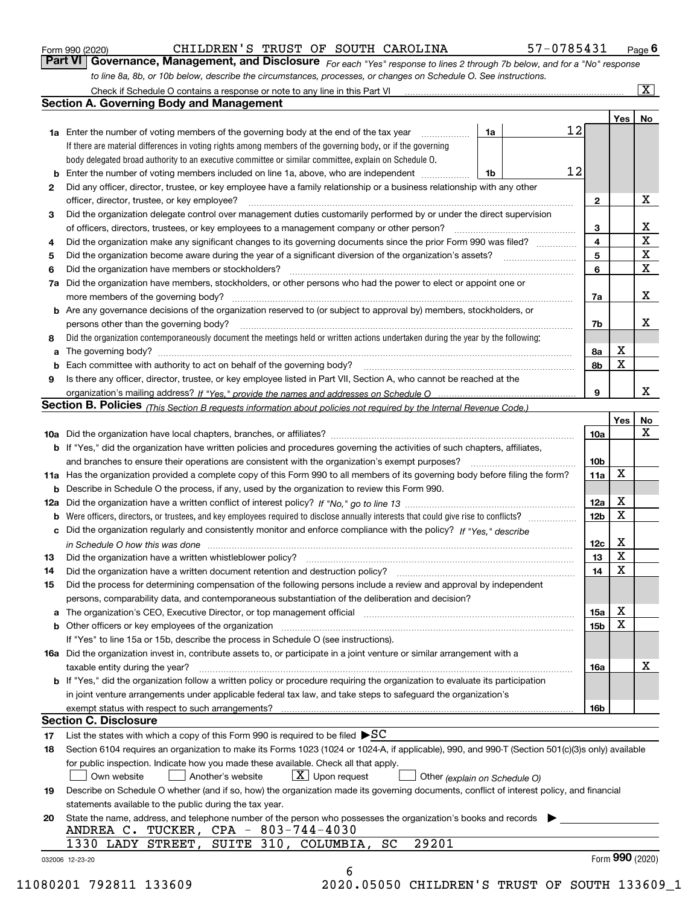|  | Form 990 (2020) |
|--|-----------------|
|  |                 |

CHILDREN'S TRUST OF SOUTH CAROLINA 57-0785431

*For each "Yes" response to lines 2 through 7b below, and for a "No" response to line 8a, 8b, or 10b below, describe the circumstances, processes, or changes on Schedule O. See instructions.* Form 990 (2020) **CHILDREN'S TRUST OF SOUTH CAROLINA** 57 – 0785431 Page 6<br>**Part VI Governance, Management, and Disclosure** For each "Yes" response to lines 2 through 7b below, and for a "No" response

| 2<br>3<br>4<br>5<br>6<br>8<br>a<br>9<br>b<br>13<br>14<br>15<br><b>Section C. Disclosure</b><br>17<br>18<br>Own website<br>19 |                                                                                                                                                                               |                               |                         |                 |                         |  |  |  |  |
|------------------------------------------------------------------------------------------------------------------------------|-------------------------------------------------------------------------------------------------------------------------------------------------------------------------------|-------------------------------|-------------------------|-----------------|-------------------------|--|--|--|--|
|                                                                                                                              | <b>1a</b> Enter the number of voting members of the governing body at the end of the tax year                                                                                 | 1a                            | 12                      |                 |                         |  |  |  |  |
|                                                                                                                              | If there are material differences in voting rights among members of the governing body, or if the governing                                                                   |                               |                         |                 |                         |  |  |  |  |
|                                                                                                                              | body delegated broad authority to an executive committee or similar committee, explain on Schedule O.                                                                         |                               |                         |                 |                         |  |  |  |  |
|                                                                                                                              |                                                                                                                                                                               | 1b                            | 12                      |                 |                         |  |  |  |  |
|                                                                                                                              | Did any officer, director, trustee, or key employee have a family relationship or a business relationship with any other                                                      |                               |                         |                 |                         |  |  |  |  |
|                                                                                                                              | officer, director, trustee, or key employee?                                                                                                                                  |                               | $\mathbf{2}$            |                 | X                       |  |  |  |  |
|                                                                                                                              | Did the organization delegate control over management duties customarily performed by or under the direct supervision                                                         |                               |                         |                 |                         |  |  |  |  |
|                                                                                                                              |                                                                                                                                                                               |                               | 3                       |                 | X                       |  |  |  |  |
|                                                                                                                              | Did the organization make any significant changes to its governing documents since the prior Form 990 was filed?                                                              |                               | $\overline{\mathbf{4}}$ |                 | $\overline{\textbf{X}}$ |  |  |  |  |
|                                                                                                                              |                                                                                                                                                                               |                               | 5                       |                 | $\mathbf X$             |  |  |  |  |
|                                                                                                                              |                                                                                                                                                                               |                               | 6                       |                 | $\mathbf x$             |  |  |  |  |
|                                                                                                                              | Did the organization have members or stockholders?<br>7a Did the organization have members, stockholders, or other persons who had the power to elect or appoint one or       |                               |                         |                 |                         |  |  |  |  |
|                                                                                                                              |                                                                                                                                                                               |                               | 7a                      |                 | x                       |  |  |  |  |
|                                                                                                                              | <b>b</b> Are any governance decisions of the organization reserved to (or subject to approval by) members, stockholders, or                                                   |                               |                         |                 |                         |  |  |  |  |
|                                                                                                                              | persons other than the governing body?                                                                                                                                        |                               | 7b                      |                 | х                       |  |  |  |  |
|                                                                                                                              | Did the organization contemporaneously document the meetings held or written actions undertaken during the year by the following:                                             |                               |                         |                 |                         |  |  |  |  |
|                                                                                                                              |                                                                                                                                                                               |                               | 8a                      | X               |                         |  |  |  |  |
|                                                                                                                              |                                                                                                                                                                               |                               | 8b                      | X               |                         |  |  |  |  |
|                                                                                                                              | Is there any officer, director, trustee, or key employee listed in Part VII, Section A, who cannot be reached at the                                                          |                               |                         |                 |                         |  |  |  |  |
|                                                                                                                              |                                                                                                                                                                               |                               | 9                       |                 | х                       |  |  |  |  |
|                                                                                                                              | Section B. Policies (This Section B requests information about policies not required by the Internal Revenue Code.)                                                           |                               |                         |                 |                         |  |  |  |  |
|                                                                                                                              |                                                                                                                                                                               |                               |                         | Yes             | No                      |  |  |  |  |
|                                                                                                                              |                                                                                                                                                                               |                               | 10a                     |                 | X                       |  |  |  |  |
|                                                                                                                              |                                                                                                                                                                               |                               |                         |                 |                         |  |  |  |  |
|                                                                                                                              | <b>b</b> If "Yes," did the organization have written policies and procedures governing the activities of such chapters, affiliates,                                           |                               |                         |                 |                         |  |  |  |  |
|                                                                                                                              |                                                                                                                                                                               |                               | 10 <sub>b</sub>         | X               |                         |  |  |  |  |
|                                                                                                                              | 11a Has the organization provided a complete copy of this Form 990 to all members of its governing body before filing the form?                                               |                               | 11a                     |                 |                         |  |  |  |  |
|                                                                                                                              | <b>b</b> Describe in Schedule O the process, if any, used by the organization to review this Form 990.                                                                        |                               |                         |                 |                         |  |  |  |  |
|                                                                                                                              |                                                                                                                                                                               |                               | 12a                     | X               |                         |  |  |  |  |
|                                                                                                                              |                                                                                                                                                                               |                               | 12b                     | X               |                         |  |  |  |  |
|                                                                                                                              | c Did the organization regularly and consistently monitor and enforce compliance with the policy? If "Yes," describe                                                          |                               |                         |                 |                         |  |  |  |  |
|                                                                                                                              | in Schedule O how this was done manufactured and continuum control of the Schedule O how this was done manufactured and continuum control of the Schedule O how this was done |                               | 12c                     | х               |                         |  |  |  |  |
|                                                                                                                              |                                                                                                                                                                               |                               | 13                      | X               |                         |  |  |  |  |
|                                                                                                                              | Did the organization have a written document retention and destruction policy? manufactured and the organization have a written document retention and destruction policy?    |                               | 14                      | X               |                         |  |  |  |  |
|                                                                                                                              | Did the process for determining compensation of the following persons include a review and approval by independent                                                            |                               |                         |                 |                         |  |  |  |  |
|                                                                                                                              | persons, comparability data, and contemporaneous substantiation of the deliberation and decision?                                                                             |                               |                         |                 |                         |  |  |  |  |
|                                                                                                                              |                                                                                                                                                                               |                               | 15a                     | X               |                         |  |  |  |  |
|                                                                                                                              |                                                                                                                                                                               |                               | 15b                     | X               |                         |  |  |  |  |
|                                                                                                                              | If "Yes" to line 15a or 15b, describe the process in Schedule O (see instructions).                                                                                           |                               |                         |                 |                         |  |  |  |  |
|                                                                                                                              | 16a Did the organization invest in, contribute assets to, or participate in a joint venture or similar arrangement with a                                                     |                               |                         |                 |                         |  |  |  |  |
|                                                                                                                              | taxable entity during the year?                                                                                                                                               |                               | 16a                     |                 | X                       |  |  |  |  |
|                                                                                                                              | <b>b</b> If "Yes," did the organization follow a written policy or procedure requiring the organization to evaluate its participation                                         |                               |                         |                 |                         |  |  |  |  |
|                                                                                                                              | in joint venture arrangements under applicable federal tax law, and take steps to safeguard the organization's                                                                |                               |                         |                 |                         |  |  |  |  |
|                                                                                                                              | exempt status with respect to such arrangements?                                                                                                                              |                               | 16b                     |                 |                         |  |  |  |  |
|                                                                                                                              |                                                                                                                                                                               |                               |                         |                 |                         |  |  |  |  |
|                                                                                                                              | List the states with which a copy of this Form 990 is required to be filed $\blacktriangleright$ SC                                                                           |                               |                         |                 |                         |  |  |  |  |
|                                                                                                                              | Section 6104 requires an organization to make its Forms 1023 (1024 or 1024-A, if applicable), 990, and 990-T (Section 501(c)(3)s only) available                              |                               |                         |                 |                         |  |  |  |  |
|                                                                                                                              | for public inspection. Indicate how you made these available. Check all that apply.                                                                                           |                               |                         |                 |                         |  |  |  |  |
|                                                                                                                              | $X$ Upon request<br>Another's website                                                                                                                                         | Other (explain on Schedule O) |                         |                 |                         |  |  |  |  |
|                                                                                                                              | Describe on Schedule O whether (and if so, how) the organization made its governing documents, conflict of interest policy, and financial                                     |                               |                         |                 |                         |  |  |  |  |
|                                                                                                                              | statements available to the public during the tax year.                                                                                                                       |                               |                         |                 |                         |  |  |  |  |
|                                                                                                                              |                                                                                                                                                                               |                               |                         |                 |                         |  |  |  |  |
| 20                                                                                                                           | State the name, address, and telephone number of the person who possesses the organization's books and records<br>ANDREA C. TUCKER, CPA - 803-744-4030                        |                               |                         |                 |                         |  |  |  |  |
|                                                                                                                              | 29201<br>SUITE 310, COLUMBIA, SC<br>1330 LADY STREET,                                                                                                                         |                               |                         |                 |                         |  |  |  |  |
| 032006 12-23-20                                                                                                              |                                                                                                                                                                               |                               |                         | Form 990 (2020) |                         |  |  |  |  |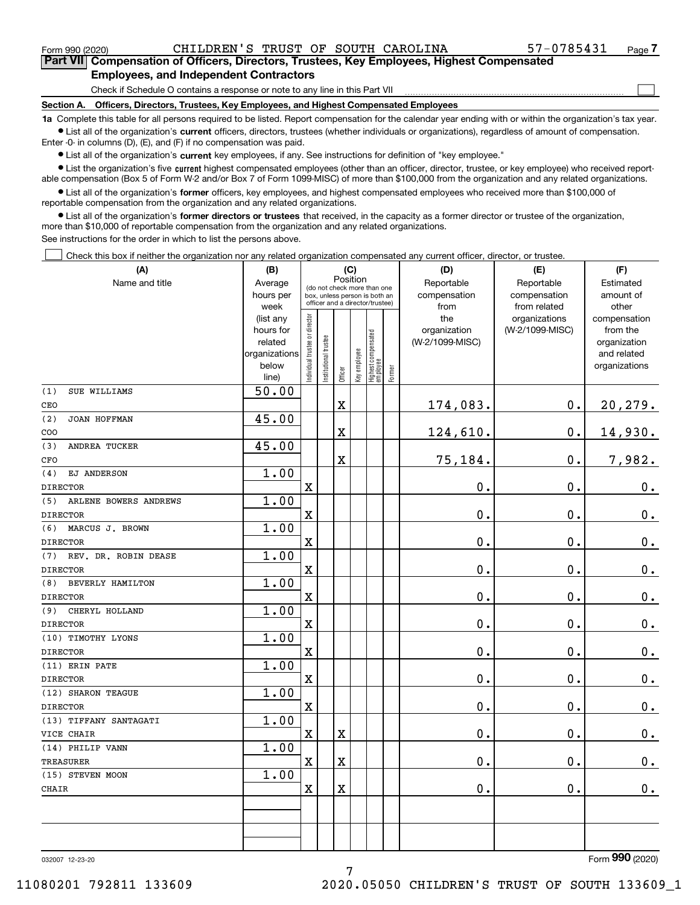$\mathcal{L}^{\text{max}}$ 

| Form 990 (2020) | CHILDREN'S TRUST OF SOUTH CAROLINA                                                         |  |  |  | 57-0785431 | Page 7 |  |  |  |  |  |
|-----------------|--------------------------------------------------------------------------------------------|--|--|--|------------|--------|--|--|--|--|--|
|                 | Part VII Compensation of Officers, Directors, Trustees, Key Employees, Highest Compensated |  |  |  |            |        |  |  |  |  |  |
|                 | <b>Employees, and Independent Contractors</b>                                              |  |  |  |            |        |  |  |  |  |  |

Check if Schedule O contains a response or note to any line in this Part VII

**Section A. Officers, Directors, Trustees, Key Employees, and Highest Compensated Employees**

**1a**  Complete this table for all persons required to be listed. Report compensation for the calendar year ending with or within the organization's tax year. **•** List all of the organization's current officers, directors, trustees (whether individuals or organizations), regardless of amount of compensation.

Enter -0- in columns (D), (E), and (F) if no compensation was paid.

 $\bullet$  List all of the organization's  $\,$ current key employees, if any. See instructions for definition of "key employee."

**•** List the organization's five current highest compensated employees (other than an officer, director, trustee, or key employee) who received reportable compensation (Box 5 of Form W-2 and/or Box 7 of Form 1099-MISC) of more than \$100,000 from the organization and any related organizations.

**•** List all of the organization's former officers, key employees, and highest compensated employees who received more than \$100,000 of reportable compensation from the organization and any related organizations.

**former directors or trustees**  ¥ List all of the organization's that received, in the capacity as a former director or trustee of the organization, more than \$10,000 of reportable compensation from the organization and any related organizations.

See instructions for the order in which to list the persons above.

Check this box if neither the organization nor any related organization compensated any current officer, director, or trustee.  $\mathcal{L}^{\text{max}}$ 

| (A)                          | (B)            | (C)                                     |                                                                  |                       |              |                                 |        | (D)             | (E)             | (F)           |
|------------------------------|----------------|-----------------------------------------|------------------------------------------------------------------|-----------------------|--------------|---------------------------------|--------|-----------------|-----------------|---------------|
| Name and title               | Average        | Position<br>(do not check more than one |                                                                  |                       |              |                                 |        | Reportable      | Reportable      | Estimated     |
|                              | hours per      |                                         | box, unless person is both an<br>officer and a director/trustee) |                       |              |                                 |        | compensation    | compensation    | amount of     |
|                              | week           |                                         |                                                                  |                       |              |                                 |        | from            | from related    | other         |
|                              | (list any      |                                         |                                                                  |                       |              |                                 |        | the             | organizations   | compensation  |
|                              | hours for      |                                         |                                                                  |                       |              |                                 |        | organization    | (W-2/1099-MISC) | from the      |
|                              | related        |                                         |                                                                  |                       |              |                                 |        | (W-2/1099-MISC) |                 | organization  |
|                              | organizations  |                                         |                                                                  |                       |              |                                 |        |                 |                 | and related   |
|                              | below<br>line) | ndividual trustee or director           | nstitutional trustee                                             | Officer               | Key employee | Highest compensated<br>employee | Former |                 |                 | organizations |
| (1)<br>SUE WILLIAMS          | 50.00          |                                         |                                                                  |                       |              |                                 |        |                 |                 |               |
| CEO                          |                |                                         |                                                                  | X                     |              |                                 |        | 174,083.        | $0$ .           | 20, 279.      |
| JOAN HOFFMAN<br>(2)          | 45.00          |                                         |                                                                  |                       |              |                                 |        |                 |                 |               |
| COO                          |                |                                         |                                                                  | $\overline{\text{X}}$ |              |                                 |        | 124,610.        | $\mathbf 0$ .   | 14,930.       |
| ANDREA TUCKER<br>(3)         | 45.00          |                                         |                                                                  |                       |              |                                 |        |                 |                 |               |
| CFO                          |                |                                         |                                                                  | X                     |              |                                 |        | 75,184.         | $\mathbf{0}$ .  | 7,982.        |
| EJ ANDERSON<br>(4)           | 1.00           |                                         |                                                                  |                       |              |                                 |        |                 |                 |               |
| <b>DIRECTOR</b>              |                | X                                       |                                                                  |                       |              |                                 |        | 0.              | 0.              | $0_{.}$       |
| ARLENE BOWERS ANDREWS<br>(5) | 1.00           |                                         |                                                                  |                       |              |                                 |        |                 |                 |               |
| <b>DIRECTOR</b>              |                | $\rm X$                                 |                                                                  |                       |              |                                 |        | 0.              | $\mathbf 0$ .   | $\mathbf 0$ . |
| MARCUS J. BROWN<br>(6)       | 1.00           |                                         |                                                                  |                       |              |                                 |        |                 |                 |               |
| <b>DIRECTOR</b>              |                | $\mathbf X$                             |                                                                  |                       |              |                                 |        | $\mathbf 0$ .   | 0.              | $\mathbf 0$ . |
| REV. DR. ROBIN DEASE<br>(7)  | 1.00           |                                         |                                                                  |                       |              |                                 |        |                 |                 |               |
| <b>DIRECTOR</b>              |                | $\mathbf X$                             |                                                                  |                       |              |                                 |        | $\mathbf 0$ .   | $\mathbf 0$ .   | $\mathbf 0$ . |
| BEVERLY HAMILTON<br>(8)      | 1.00           |                                         |                                                                  |                       |              |                                 |        |                 |                 |               |
| <b>DIRECTOR</b>              |                | X                                       |                                                                  |                       |              |                                 |        | $\mathbf 0$ .   | 0.              | $\mathbf 0$ . |
| (9)<br>CHERYL HOLLAND        | 1.00           |                                         |                                                                  |                       |              |                                 |        |                 |                 |               |
| <b>DIRECTOR</b>              |                | $\rm X$                                 |                                                                  |                       |              |                                 |        | $\mathbf 0$ .   | $\mathbf 0$ .   | $\mathbf 0$ . |
| (10) TIMOTHY LYONS           | 1.00           |                                         |                                                                  |                       |              |                                 |        |                 |                 |               |
| <b>DIRECTOR</b>              |                | $\mathbf X$                             |                                                                  |                       |              |                                 |        | $\mathbf 0$ .   | $\mathbf 0$ .   | $0_{.}$       |
| (11) ERIN PATE               | 1.00           |                                         |                                                                  |                       |              |                                 |        |                 |                 |               |
| <b>DIRECTOR</b>              |                | $\mathbf X$                             |                                                                  |                       |              |                                 |        | $\mathbf 0$ .   | $\mathbf 0$ .   | $\mathbf 0$ . |
| (12) SHARON TEAGUE           | 1.00           |                                         |                                                                  |                       |              |                                 |        |                 |                 |               |
| <b>DIRECTOR</b>              |                | X                                       |                                                                  |                       |              |                                 |        | 0.              | 0.              | $\mathbf 0$ . |
| (13) TIFFANY SANTAGATI       | 1.00           |                                         |                                                                  |                       |              |                                 |        |                 |                 |               |
| VICE CHAIR                   |                | $\mathbf X$                             |                                                                  | X                     |              |                                 |        | 0.              | $\mathbf 0$ .   | $0_{.}$       |
| (14) PHILIP VANN             | 1.00           |                                         |                                                                  |                       |              |                                 |        |                 |                 |               |
| <b>TREASURER</b>             |                | $\mathbf X$                             |                                                                  | X                     |              |                                 |        | 0.              | $\mathbf 0$ .   | $\mathbf 0$ . |
| (15) STEVEN MOON             | 1.00           |                                         |                                                                  |                       |              |                                 |        |                 |                 |               |
| CHAIR                        |                | $\mathbf X$                             |                                                                  | $\mathbf X$           |              |                                 |        | 0.              | 0.              | 0.            |
|                              |                |                                         |                                                                  |                       |              |                                 |        |                 |                 |               |
|                              |                |                                         |                                                                  |                       |              |                                 |        |                 |                 |               |
|                              |                |                                         |                                                                  |                       |              |                                 |        |                 |                 |               |
|                              |                |                                         |                                                                  |                       |              |                                 |        |                 |                 |               |

7

032007 12-23-20

Form (2020) **990**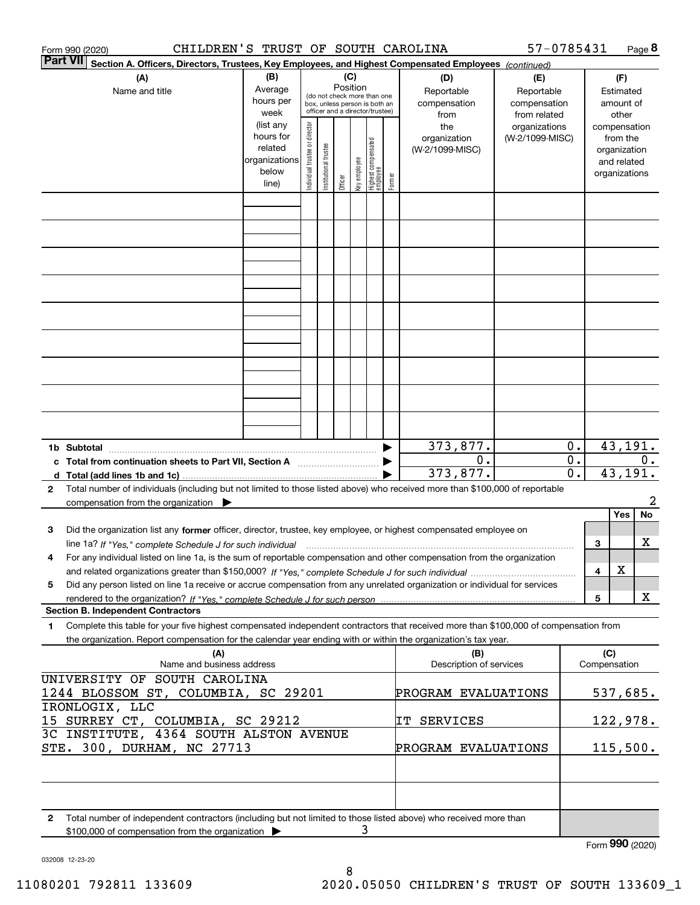|                                                                                                                                                          | CHILDREN'S TRUST OF SOUTH CAROLINA<br>Form 990 (2020)                                                                                                                                                                                                  |                                                                          |                                |                       |                 |              |                                                                                                 |                  |                                                                  | 57-0785431                                                                            |  |                         |                                                    | Page 8  |
|----------------------------------------------------------------------------------------------------------------------------------------------------------|--------------------------------------------------------------------------------------------------------------------------------------------------------------------------------------------------------------------------------------------------------|--------------------------------------------------------------------------|--------------------------------|-----------------------|-----------------|--------------|-------------------------------------------------------------------------------------------------|------------------|------------------------------------------------------------------|---------------------------------------------------------------------------------------|--|-------------------------|----------------------------------------------------|---------|
| <b>Part VII</b>                                                                                                                                          | Section A. Officers, Directors, Trustees, Key Employees, and Highest Compensated Employees (continued)                                                                                                                                                 |                                                                          |                                |                       |                 |              |                                                                                                 |                  |                                                                  |                                                                                       |  |                         |                                                    |         |
|                                                                                                                                                          | (A)<br>Name and title                                                                                                                                                                                                                                  | (B)<br>Average<br>hours per<br>week<br>(list any<br>hours for<br>related |                                |                       | (C)<br>Position |              | (do not check more than one<br>box, unless person is both an<br>officer and a director/trustee) |                  | (D)<br>Reportable<br>compensation<br>from<br>the<br>organization | (E)<br>Reportable<br>compensation<br>from related<br>organizations<br>(W-2/1099-MISC) |  | compensation            | (F)<br>Estimated<br>amount of<br>other<br>from the |         |
|                                                                                                                                                          |                                                                                                                                                                                                                                                        | organizations<br>below<br>line)                                          | Individual trustee or director | Institutional trustee | Officer         | Key employee | Highest compensated<br> employee                                                                | Former           | (W-2/1099-MISC)                                                  |                                                                                       |  |                         | organization<br>and related<br>organizations       |         |
|                                                                                                                                                          |                                                                                                                                                                                                                                                        |                                                                          |                                |                       |                 |              |                                                                                                 |                  |                                                                  |                                                                                       |  |                         |                                                    |         |
|                                                                                                                                                          |                                                                                                                                                                                                                                                        |                                                                          |                                |                       |                 |              |                                                                                                 |                  |                                                                  |                                                                                       |  |                         |                                                    |         |
|                                                                                                                                                          |                                                                                                                                                                                                                                                        |                                                                          |                                |                       |                 |              |                                                                                                 |                  |                                                                  |                                                                                       |  |                         |                                                    |         |
|                                                                                                                                                          |                                                                                                                                                                                                                                                        |                                                                          |                                |                       |                 |              |                                                                                                 |                  |                                                                  |                                                                                       |  |                         |                                                    |         |
| 373,877.<br>1b Subtotal<br>0.<br>c Total from continuation sheets to Part VII, Section A                                                                 |                                                                                                                                                                                                                                                        |                                                                          |                                |                       |                 |              |                                                                                                 |                  |                                                                  | 0.<br>$\mathbf 0$ .                                                                   |  | 43,191.                 | 0.                                                 |         |
| 373,877.<br>Total number of individuals (including but not limited to those listed above) who received more than \$100,000 of reportable<br>$\mathbf{2}$ |                                                                                                                                                                                                                                                        |                                                                          |                                |                       |                 |              |                                                                                                 | $\overline{0}$ . |                                                                  | 43, 191.                                                                              |  |                         |                                                    |         |
|                                                                                                                                                          | compensation from the organization $\blacktriangleright$                                                                                                                                                                                               |                                                                          |                                |                       |                 |              |                                                                                                 |                  |                                                                  |                                                                                       |  |                         | <b>Yes</b>                                         | 2<br>No |
| з                                                                                                                                                        | Did the organization list any former officer, director, trustee, key employee, or highest compensated employee on<br>line 1a? If "Yes," complete Schedule J for such individual material content content to the complete Schedule J                    |                                                                          |                                |                       |                 |              |                                                                                                 |                  |                                                                  |                                                                                       |  | 3                       |                                                    | x       |
| 4                                                                                                                                                        | For any individual listed on line 1a, is the sum of reportable compensation and other compensation from the organization                                                                                                                               |                                                                          |                                |                       |                 |              |                                                                                                 |                  |                                                                  |                                                                                       |  | 4                       | х                                                  |         |
| 5                                                                                                                                                        | Did any person listed on line 1a receive or accrue compensation from any unrelated organization or individual for services                                                                                                                             |                                                                          |                                |                       |                 |              |                                                                                                 |                  |                                                                  |                                                                                       |  | $\overline{\mathbf{5}}$ |                                                    | x       |
|                                                                                                                                                          | <b>Section B. Independent Contractors</b>                                                                                                                                                                                                              |                                                                          |                                |                       |                 |              |                                                                                                 |                  |                                                                  |                                                                                       |  |                         |                                                    |         |
| 1                                                                                                                                                        | Complete this table for your five highest compensated independent contractors that received more than \$100,000 of compensation from<br>the organization. Report compensation for the calendar year ending with or within the organization's tax year. |                                                                          |                                |                       |                 |              |                                                                                                 |                  |                                                                  |                                                                                       |  |                         |                                                    |         |
|                                                                                                                                                          | (A)<br>Name and business address                                                                                                                                                                                                                       |                                                                          |                                |                       |                 |              |                                                                                                 |                  | (B)<br>Description of services                                   |                                                                                       |  | (C)<br>Compensation     |                                                    |         |
|                                                                                                                                                          | UNIVERSITY OF SOUTH CAROLINA<br>1244 BLOSSOM ST, COLUMBIA, SC 29201                                                                                                                                                                                    |                                                                          |                                |                       |                 |              |                                                                                                 |                  | PROGRAM EVALUATIONS                                              |                                                                                       |  | 537,685.                |                                                    |         |
|                                                                                                                                                          | IRONLOGIX, LLC<br>15 SURREY CT, COLUMBIA, SC 29212                                                                                                                                                                                                     |                                                                          |                                |                       |                 |              |                                                                                                 |                  | <b>IT SERVICES</b>                                               |                                                                                       |  | 122,978.                |                                                    |         |
|                                                                                                                                                          | 3C INSTITUTE, 4364 SOUTH ALSTON AVENUE<br>STE. 300, DURHAM, NC 27713                                                                                                                                                                                   |                                                                          |                                |                       |                 |              |                                                                                                 |                  | PROGRAM EVALUATIONS                                              |                                                                                       |  | 115,500.                |                                                    |         |
|                                                                                                                                                          |                                                                                                                                                                                                                                                        |                                                                          |                                |                       |                 |              |                                                                                                 |                  |                                                                  |                                                                                       |  |                         |                                                    |         |
| 2                                                                                                                                                        | Total number of independent contractors (including but not limited to those listed above) who received more than<br>\$100,000 of compensation from the organization                                                                                    |                                                                          |                                |                       |                 | 3            |                                                                                                 |                  |                                                                  |                                                                                       |  |                         |                                                    |         |
|                                                                                                                                                          |                                                                                                                                                                                                                                                        |                                                                          |                                |                       |                 |              |                                                                                                 |                  |                                                                  |                                                                                       |  | Form 990 (2020)         |                                                    |         |

032008 12-23-20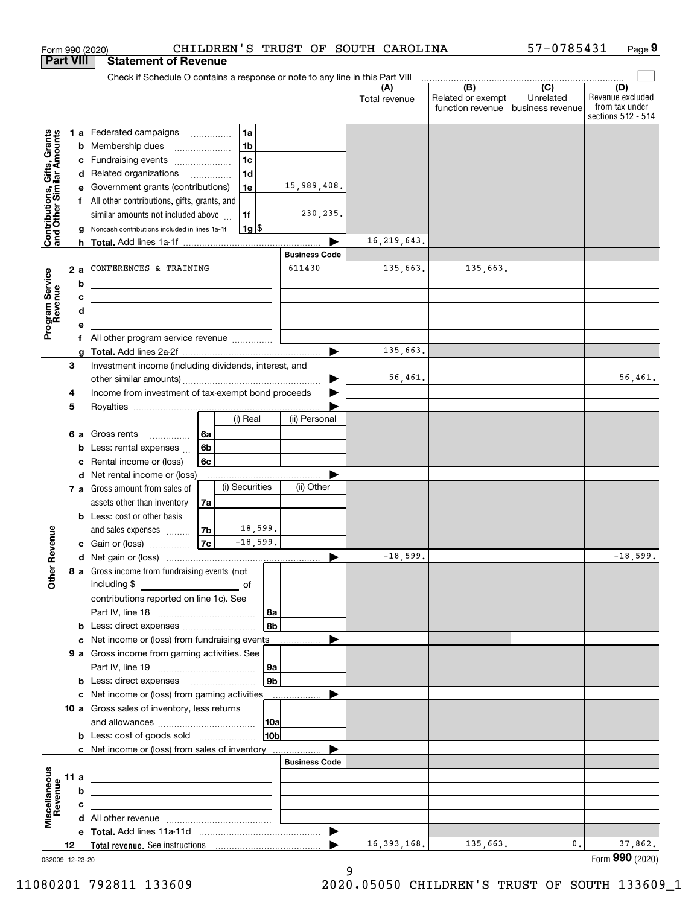|                                                           |                  | Form 990 (2020)                                                                                                     |                            |                       | CHILDREN'S TRUST OF SOUTH CAROLINA |                                                     | 57-0785431                    | Page 9                                                          |
|-----------------------------------------------------------|------------------|---------------------------------------------------------------------------------------------------------------------|----------------------------|-----------------------|------------------------------------|-----------------------------------------------------|-------------------------------|-----------------------------------------------------------------|
|                                                           | <b>Part VIII</b> | <b>Statement of Revenue</b>                                                                                         |                            |                       |                                    |                                                     |                               |                                                                 |
|                                                           |                  | Check if Schedule O contains a response or note to any line in this Part VIII                                       |                            |                       |                                    | $\overline{(\mathsf{B})}$ $\overline{(\mathsf{C})}$ |                               |                                                                 |
|                                                           |                  |                                                                                                                     |                            |                       | (A)<br>Total revenue               | Related or exempt<br>function revenue               | Unrelated<br>business revenue | (D)<br>Revenue excluded<br>from tax under<br>sections 512 - 514 |
|                                                           |                  | 1 a Federated campaigns                                                                                             | 1a                         |                       |                                    |                                                     |                               |                                                                 |
|                                                           |                  | <b>b</b> Membership dues                                                                                            | 1 <sub>b</sub>             |                       |                                    |                                                     |                               |                                                                 |
|                                                           |                  | c Fundraising events                                                                                                | 1 <sub>c</sub>             |                       |                                    |                                                     |                               |                                                                 |
|                                                           |                  | d Related organizations                                                                                             | 1 <sub>d</sub>             |                       |                                    |                                                     |                               |                                                                 |
|                                                           | е                | Government grants (contributions)                                                                                   | 1e                         | 15,989,408.           |                                    |                                                     |                               |                                                                 |
| Contributions, Gifts, Grants<br>and Other Similar Amounts |                  | f All other contributions, gifts, grants, and                                                                       |                            |                       |                                    |                                                     |                               |                                                                 |
|                                                           |                  | similar amounts not included above                                                                                  | 1f                         | 230,235.              |                                    |                                                     |                               |                                                                 |
|                                                           | g                | Noncash contributions included in lines 1a-1f                                                                       | $1g$ \$                    |                       | 16, 219, 643.                      |                                                     |                               |                                                                 |
|                                                           |                  |                                                                                                                     |                            | <b>Business Code</b>  |                                    |                                                     |                               |                                                                 |
|                                                           | 2a               | CONFERENCES & TRAINING                                                                                              |                            | 611430                | 135,663.                           | 135,663.                                            |                               |                                                                 |
| Program Service<br>Revenue                                | b                |                                                                                                                     |                            |                       |                                    |                                                     |                               |                                                                 |
|                                                           | с                | <u> 2000 - Jan Barbara (h. 1888).</u>                                                                               |                            |                       |                                    |                                                     |                               |                                                                 |
|                                                           | d                | <u> 1989 - Johann Barn, mars ann an t-Amhain an t-Amhain an t-Amhain an t-Amhain an t-Amhain an t-Amhain an t-A</u> |                            |                       |                                    |                                                     |                               |                                                                 |
|                                                           | е                |                                                                                                                     |                            |                       |                                    |                                                     |                               |                                                                 |
|                                                           |                  | f All other program service revenue                                                                                 |                            |                       |                                    |                                                     |                               |                                                                 |
|                                                           | g                |                                                                                                                     |                            |                       | 135,663.                           |                                                     |                               |                                                                 |
|                                                           | 3                | Investment income (including dividends, interest, and                                                               |                            |                       |                                    |                                                     |                               |                                                                 |
|                                                           |                  |                                                                                                                     |                            | ▶                     | 56,461.                            |                                                     |                               | 56,461.                                                         |
|                                                           | 4                | Income from investment of tax-exempt bond proceeds                                                                  |                            |                       |                                    |                                                     |                               |                                                                 |
|                                                           | 5                |                                                                                                                     | (i) Real                   | (ii) Personal         |                                    |                                                     |                               |                                                                 |
|                                                           |                  | <b>6 a</b> Gross rents                                                                                              | 6a                         |                       |                                    |                                                     |                               |                                                                 |
|                                                           | b                | Less: rental expenses                                                                                               | 6 <sub>b</sub>             |                       |                                    |                                                     |                               |                                                                 |
|                                                           | c                | Rental income or (loss)                                                                                             | 6с                         |                       |                                    |                                                     |                               |                                                                 |
|                                                           |                  | d Net rental income or (loss)                                                                                       |                            |                       |                                    |                                                     |                               |                                                                 |
|                                                           |                  | 7 a Gross amount from sales of                                                                                      | (i) Securities             | (ii) Other            |                                    |                                                     |                               |                                                                 |
|                                                           |                  | assets other than inventory                                                                                         | 7a                         |                       |                                    |                                                     |                               |                                                                 |
|                                                           |                  | <b>b</b> Less: cost or other basis                                                                                  |                            |                       |                                    |                                                     |                               |                                                                 |
|                                                           |                  | and sales expenses                                                                                                  | 18,599.<br> 7 <sub>b</sub> |                       |                                    |                                                     |                               |                                                                 |
| evenue                                                    |                  | c Gain or (loss)                                                                                                    | $-18,599.$<br>7c           |                       |                                    |                                                     |                               |                                                                 |
|                                                           |                  |                                                                                                                     |                            |                       | $-18,599.$                         |                                                     |                               | $-18,599.$                                                      |
| Other R                                                   |                  | 8 a Gross income from fundraising events (not                                                                       |                            |                       |                                    |                                                     |                               |                                                                 |
|                                                           |                  |                                                                                                                     |                            |                       |                                    |                                                     |                               |                                                                 |
|                                                           |                  | contributions reported on line 1c). See                                                                             | 8a                         |                       |                                    |                                                     |                               |                                                                 |
|                                                           |                  | <b>b</b> Less: direct expenses <b>constants b</b>                                                                   |                            | l 8b                  |                                    |                                                     |                               |                                                                 |
|                                                           |                  | c Net income or (loss) from fundraising events                                                                      |                            |                       |                                    |                                                     |                               |                                                                 |
|                                                           |                  | 9 a Gross income from gaming activities. See                                                                        |                            |                       |                                    |                                                     |                               |                                                                 |
|                                                           |                  |                                                                                                                     | 9a                         |                       |                                    |                                                     |                               |                                                                 |
|                                                           |                  | <b>b</b> Less: direct expenses <b>manually</b>                                                                      |                            | 9 <sub>b</sub>        |                                    |                                                     |                               |                                                                 |
|                                                           |                  | c Net income or (loss) from gaming activities _______________                                                       |                            |                       |                                    |                                                     |                               |                                                                 |
|                                                           |                  | 10 a Gross sales of inventory, less returns                                                                         |                            |                       |                                    |                                                     |                               |                                                                 |
|                                                           |                  |                                                                                                                     |                            |                       |                                    |                                                     |                               |                                                                 |
|                                                           |                  |                                                                                                                     |                            | 10 <sub>b</sub>       |                                    |                                                     |                               |                                                                 |
|                                                           |                  | c Net income or (loss) from sales of inventory                                                                      |                            | <b>Business Code</b>  |                                    |                                                     |                               |                                                                 |
|                                                           |                  |                                                                                                                     |                            |                       |                                    |                                                     |                               |                                                                 |
| Miscellaneous                                             | 11 a<br>b        | the control of the control of the control of the control of the control of                                          |                            |                       |                                    |                                                     |                               |                                                                 |
| evenue                                                    | с                | <u> 1989 - Johann Barn, mars et al. (b. 1989)</u>                                                                   |                            |                       |                                    |                                                     |                               |                                                                 |
|                                                           |                  | the contract of the contract of the contract of the contract of the contract of                                     |                            |                       |                                    |                                                     |                               |                                                                 |
|                                                           |                  |                                                                                                                     |                            | $\blacktriangleright$ |                                    |                                                     |                               |                                                                 |
|                                                           | 12 <sub>2</sub>  |                                                                                                                     |                            | ▶                     | 16, 393, 168.                      | 135,663.                                            | $\mathbf{0}$ .                | 37,862.                                                         |
|                                                           | 032009 12-23-20  |                                                                                                                     |                            |                       |                                    |                                                     |                               | Form 990 (2020)                                                 |

9

032009 12-23-20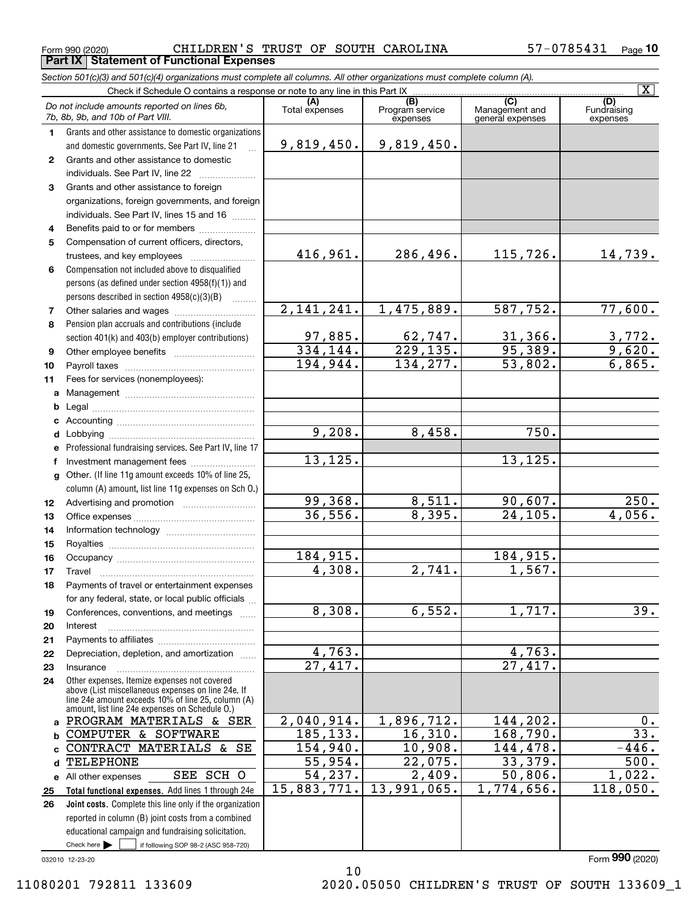Form 990 (2020) CHILDREN'S TRUST OF SOUTH CAROLINA 57-0785431 <sub>Page</sub> **Part IX Statement of Functional Expenses**

|              | Section 501(c)(3) and 501(c)(4) organizations must complete all columns. All other organizations must complete column (A).                                                                                 |                |                             |                                    |                                |
|--------------|------------------------------------------------------------------------------------------------------------------------------------------------------------------------------------------------------------|----------------|-----------------------------|------------------------------------|--------------------------------|
|              | Check if Schedule O contains a response or note to any line in this Part IX                                                                                                                                | (A)            | (B)                         | $\overline{C}$                     | $\overline{\mathbf{X}}$<br>(D) |
|              | Do not include amounts reported on lines 6b,<br>7b, 8b, 9b, and 10b of Part VIII.                                                                                                                          | Total expenses | Program service<br>expenses | Management and<br>general expenses | Fundraising<br>expenses        |
| 1.           | Grants and other assistance to domestic organizations                                                                                                                                                      |                |                             |                                    |                                |
|              | and domestic governments. See Part IV, line 21                                                                                                                                                             | 9,819,450.     | 9,819,450.                  |                                    |                                |
| $\mathbf{2}$ | Grants and other assistance to domestic                                                                                                                                                                    |                |                             |                                    |                                |
|              | individuals. See Part IV, line 22                                                                                                                                                                          |                |                             |                                    |                                |
| 3            | Grants and other assistance to foreign                                                                                                                                                                     |                |                             |                                    |                                |
|              | organizations, foreign governments, and foreign                                                                                                                                                            |                |                             |                                    |                                |
|              | individuals. See Part IV, lines 15 and 16                                                                                                                                                                  |                |                             |                                    |                                |
| 4            | Benefits paid to or for members                                                                                                                                                                            |                |                             |                                    |                                |
| 5            | Compensation of current officers, directors,                                                                                                                                                               |                |                             |                                    |                                |
|              | trustees, and key employees                                                                                                                                                                                | 416,961.       | 286,496.                    | 115,726.                           | 14,739.                        |
| 6            | Compensation not included above to disqualified                                                                                                                                                            |                |                             |                                    |                                |
|              | persons (as defined under section 4958(f)(1)) and                                                                                                                                                          |                |                             |                                    |                                |
|              | persons described in section 4958(c)(3)(B)                                                                                                                                                                 |                |                             |                                    |                                |
| 7            | Other salaries and wages                                                                                                                                                                                   | 2,141,241.     | 1,475,889.                  | 587,752.                           | 77,600.                        |
| 8            | Pension plan accruals and contributions (include                                                                                                                                                           |                |                             |                                    |                                |
|              | section 401(k) and 403(b) employer contributions)                                                                                                                                                          | 97,885.        | 62,747.                     | 31,366.                            | $\frac{3,772}{9,620}$ .        |
| 9            |                                                                                                                                                                                                            | 334,144.       | 229, 135.                   | 95,389.                            |                                |
| 10           |                                                                                                                                                                                                            | 194,944.       | 134, 277.                   | 53,802.                            | 6,865.                         |
| 11           | Fees for services (nonemployees):                                                                                                                                                                          |                |                             |                                    |                                |
| a            |                                                                                                                                                                                                            |                |                             |                                    |                                |
| b            |                                                                                                                                                                                                            |                |                             |                                    |                                |
| c            |                                                                                                                                                                                                            |                |                             |                                    |                                |
| d            |                                                                                                                                                                                                            | 9,208.         | 8,458.                      | 750.                               |                                |
| е            | Professional fundraising services. See Part IV, line 17                                                                                                                                                    |                |                             |                                    |                                |
| f            | Investment management fees                                                                                                                                                                                 | 13, 125.       |                             | 13,125.                            |                                |
| q            | Other. (If line 11g amount exceeds 10% of line 25,                                                                                                                                                         |                |                             |                                    |                                |
|              | column (A) amount, list line 11g expenses on Sch O.)                                                                                                                                                       |                |                             |                                    |                                |
| 12           |                                                                                                                                                                                                            | 99,368.        | 8,511.                      | 90,607.                            | 250.                           |
| 13           |                                                                                                                                                                                                            | 36, 556.       | 8,395.                      | 24, 105.                           | 4,056.                         |
| 14           |                                                                                                                                                                                                            |                |                             |                                    |                                |
| 15           |                                                                                                                                                                                                            |                |                             |                                    |                                |
| 16           |                                                                                                                                                                                                            | 184,915.       |                             | 184,915.                           |                                |
| 17           |                                                                                                                                                                                                            | 4,308.         | 2,741.                      | 1,567.                             |                                |
| 18           | Payments of travel or entertainment expenses                                                                                                                                                               |                |                             |                                    |                                |
|              | for any federal, state, or local public officials                                                                                                                                                          |                |                             |                                    |                                |
| 19           | Conferences, conventions, and meetings                                                                                                                                                                     | 8,308.         | 6,552.                      | 1,717.                             | 39.                            |
| 20           | Interest                                                                                                                                                                                                   |                |                             |                                    |                                |
| 21           |                                                                                                                                                                                                            |                |                             |                                    |                                |
| 22           | Depreciation, depletion, and amortization                                                                                                                                                                  | 4,763.         |                             | 4,763.                             |                                |
| 23           | Insurance                                                                                                                                                                                                  | 27,417.        |                             | 27,417.                            |                                |
| 24           | Other expenses. Itemize expenses not covered<br>above (List miscellaneous expenses on line 24e. If<br>line 24e amount exceeds 10% of line 25, column (A)<br>amount, list line 24e expenses on Schedule 0.) |                |                             |                                    |                                |
|              | a PROGRAM MATERIALS & SER                                                                                                                                                                                  | 2,040,914.     | 1,896,712.                  | 144,202.                           | 0.                             |
| b            | COMPUTER & SOFTWARE                                                                                                                                                                                        | 185, 133.      | 16,310.                     | 168,790.                           | 33.                            |
| c            | CONTRACT MATERIALS & SE                                                                                                                                                                                    | 154,940.       | 10,908.                     | 144,478.                           | $-446.$                        |
| d            | <b>TELEPHONE</b>                                                                                                                                                                                           | 55,954.        | 22,075.                     | 33,379.                            | 500.                           |
|              | SEE SCH O<br>e All other expenses                                                                                                                                                                          | 54, 237.       | 2,409.                      | 50,806.                            | 1,022.                         |
| 25           | Total functional expenses. Add lines 1 through 24e                                                                                                                                                         | 15,883,771.    | 13,991,065.                 | 1,774,656.                         | 118,050.                       |
| 26           | Joint costs. Complete this line only if the organization                                                                                                                                                   |                |                             |                                    |                                |
|              | reported in column (B) joint costs from a combined                                                                                                                                                         |                |                             |                                    |                                |
|              | educational campaign and fundraising solicitation.                                                                                                                                                         |                |                             |                                    |                                |
|              | Check here $\blacktriangleright$<br>if following SOP 98-2 (ASC 958-720)                                                                                                                                    |                |                             |                                    |                                |

10

032010 12-23-20

11080201 792811 133609 2020.05050 CHILDREN'S TRUST OF SOUTH 133609\_1

Form (2020) **990**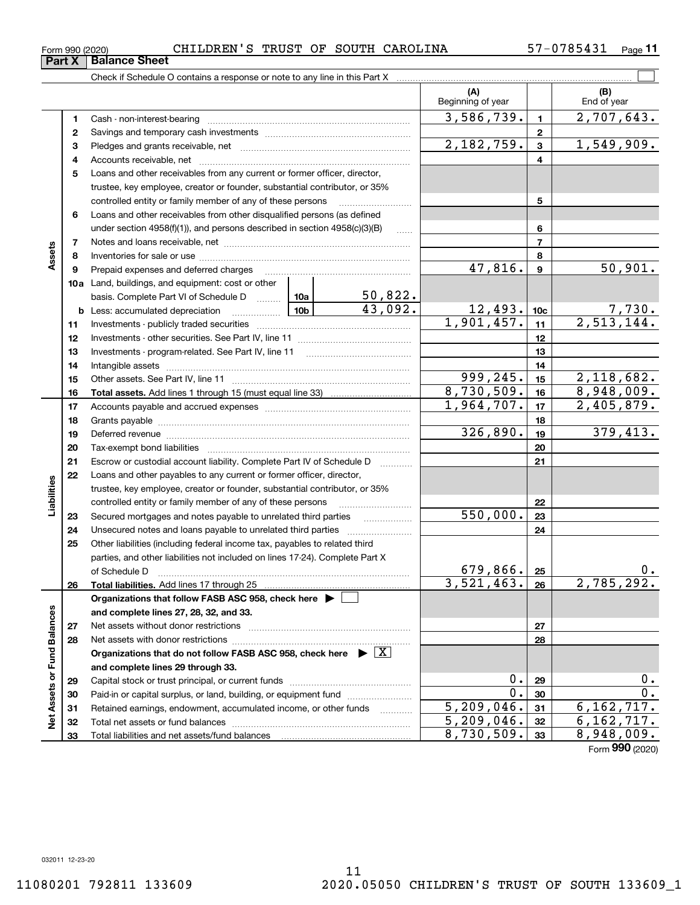**Part X Balance Sheet** 

#### Form 990 (2020) CHILDREN'S TRUST OF SOUTH CAROLINA 57-0785431 <sub>Page</sub>

**11**

|                             |    |                                                                                                                        |                 |          | (A)<br>Beginning of year |                          | (B)<br>End of year          |
|-----------------------------|----|------------------------------------------------------------------------------------------------------------------------|-----------------|----------|--------------------------|--------------------------|-----------------------------|
|                             | 1  |                                                                                                                        |                 |          | 3,586,739.               | $\mathbf{1}$             | 2,707,643.                  |
|                             | 2  |                                                                                                                        |                 |          |                          | $\mathbf 2$              |                             |
|                             | 3  |                                                                                                                        | 2,182,759.      | 3        | 1,549,909.               |                          |                             |
|                             | 4  |                                                                                                                        |                 | 4        |                          |                          |                             |
|                             | 5  | Loans and other receivables from any current or former officer, director,                                              |                 |          |                          |                          |                             |
|                             |    | trustee, key employee, creator or founder, substantial contributor, or 35%                                             |                 |          |                          |                          |                             |
|                             |    | controlled entity or family member of any of these persons                                                             |                 | 5        |                          |                          |                             |
|                             | 6  | Loans and other receivables from other disqualified persons (as defined                                                |                 |          |                          |                          |                             |
|                             |    | under section $4958(f)(1)$ , and persons described in section $4958(c)(3)(B)$                                          |                 | $\ldots$ |                          | 6                        |                             |
|                             | 7  |                                                                                                                        |                 |          |                          | $\overline{\phantom{a}}$ |                             |
| Assets                      | 8  |                                                                                                                        |                 |          |                          | 8                        |                             |
|                             | 9  | Prepaid expenses and deferred charges                                                                                  |                 |          | 47,816.                  | 9                        | 50,901.                     |
|                             |    | 10a Land, buildings, and equipment: cost or other                                                                      |                 |          |                          |                          |                             |
|                             |    | basis. Complete Part VI of Schedule D  10a                                                                             |                 | 50,822.  |                          |                          |                             |
|                             |    | <b>b</b> Less: accumulated depreciation<br>the contract of the contract of                                             | 10 <sub>b</sub> | 43,092.  | <u>12,493.</u>           | 10 <sub>c</sub>          | $\frac{7,730}{2,513,144}$ . |
|                             | 11 |                                                                                                                        | 1,901,457.      | 11       |                          |                          |                             |
|                             | 12 |                                                                                                                        |                 | 12       |                          |                          |                             |
|                             | 13 |                                                                                                                        |                 | 13       |                          |                          |                             |
|                             | 14 |                                                                                                                        |                 | 14       |                          |                          |                             |
|                             | 15 |                                                                                                                        | 999,245.        | 15       | 2,118,682.               |                          |                             |
|                             | 16 |                                                                                                                        |                 |          | 8,730,509.               | 16                       | 8,948,009.                  |
|                             | 17 |                                                                                                                        |                 |          | 1,964,707.               | 17                       | 2,405,879.                  |
|                             | 18 |                                                                                                                        |                 | 18       |                          |                          |                             |
|                             | 19 | Deferred revenue manual contracts and contracts are all the manual contracts and contracts are all the contracts of    |                 | 326,890. | 19                       | 379,413.                 |                             |
|                             | 20 |                                                                                                                        |                 |          | 20                       |                          |                             |
|                             | 21 | Escrow or custodial account liability. Complete Part IV of Schedule D                                                  |                 |          | 21                       |                          |                             |
|                             | 22 | Loans and other payables to any current or former officer, director,                                                   |                 |          |                          |                          |                             |
| Liabilities                 |    | trustee, key employee, creator or founder, substantial contributor, or 35%                                             |                 |          |                          |                          |                             |
|                             |    | controlled entity or family member of any of these persons                                                             |                 |          |                          | 22                       |                             |
|                             | 23 | Secured mortgages and notes payable to unrelated third parties                                                         |                 |          | 550,000.                 | 23                       |                             |
|                             | 24 |                                                                                                                        |                 |          |                          | 24                       |                             |
|                             | 25 | Other liabilities (including federal income tax, payables to related third                                             |                 |          |                          |                          |                             |
|                             |    | parties, and other liabilities not included on lines 17-24). Complete Part X                                           |                 |          | 679,866.                 |                          |                             |
|                             |    | of Schedule D                                                                                                          |                 |          | 3,521,463.               | 25<br>26                 | 0.<br>2,785,292.            |
|                             | 26 | Total liabilities. Add lines 17 through 25<br>Organizations that follow FASB ASC 958, check here $\blacktriangleright$ |                 |          |                          |                          |                             |
|                             |    | and complete lines 27, 28, 32, and 33.                                                                                 |                 |          |                          |                          |                             |
|                             | 27 |                                                                                                                        |                 |          |                          | 27                       |                             |
|                             | 28 |                                                                                                                        |                 |          |                          | 28                       |                             |
|                             |    | Organizations that do not follow FASB ASC 958, check here $\triangleright \lfloor X \rfloor$                           |                 |          |                          |                          |                             |
|                             |    | and complete lines 29 through 33.                                                                                      |                 |          |                          |                          |                             |
|                             | 29 |                                                                                                                        |                 |          | 0.                       | 29                       | 0.                          |
|                             | 30 | Paid-in or capital surplus, or land, building, or equipment fund                                                       |                 |          | 0.                       | 30                       | 0.                          |
|                             | 31 | Retained earnings, endowment, accumulated income, or other funds                                                       |                 |          | $\overline{5,209,046}$ . | 31                       | 6, 162, 717.                |
| Net Assets or Fund Balances | 32 |                                                                                                                        |                 |          | 5,209,046.               | 32                       | 6, 162, 717.                |
|                             | 33 |                                                                                                                        |                 |          | 8,730,509.               | 33                       | 8,948,009.                  |
|                             |    |                                                                                                                        |                 |          |                          |                          | Form 990 (2020)             |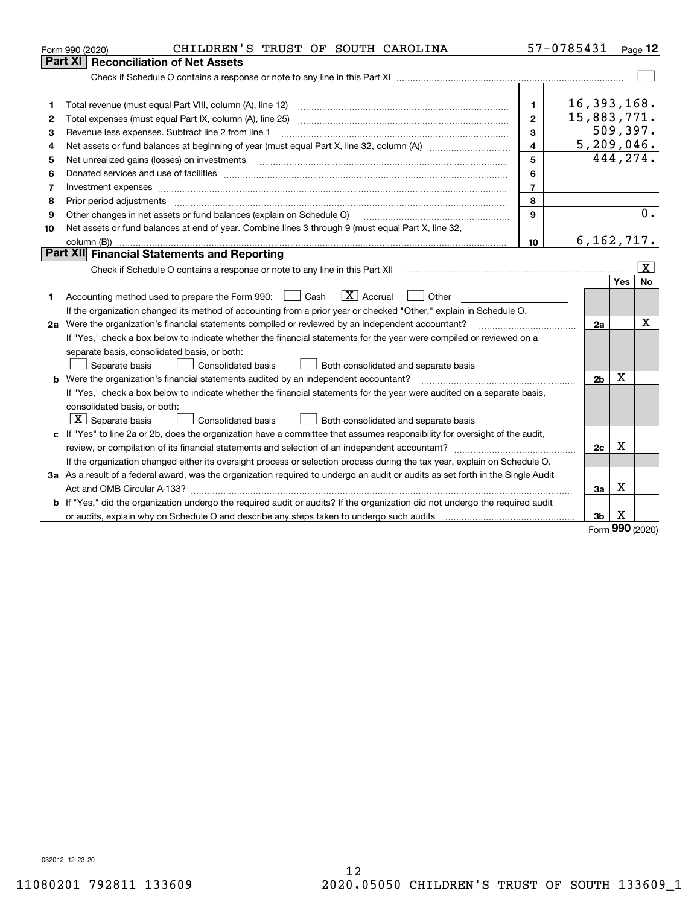|    | CHILDREN'S TRUST OF SOUTH CAROLINA<br>Form 990 (2020)                                                                                |                | 57-0785431     |            | Page $12$      |
|----|--------------------------------------------------------------------------------------------------------------------------------------|----------------|----------------|------------|----------------|
|    | Part XI<br><b>Reconciliation of Net Assets</b>                                                                                       |                |                |            |                |
|    |                                                                                                                                      |                |                |            |                |
|    |                                                                                                                                      |                |                |            |                |
| 1  |                                                                                                                                      | 1.             | 16, 393, 168.  |            |                |
| 2  |                                                                                                                                      | $\mathbf{2}$   | 15,883,771.    |            |                |
| 3  | Revenue less expenses. Subtract line 2 from line 1                                                                                   | 3              |                |            | 509, 397.      |
| 4  |                                                                                                                                      | $\overline{4}$ | 5, 209, 046.   |            |                |
| 5  |                                                                                                                                      | 5              |                |            | 444,274.       |
| 6  |                                                                                                                                      | 6              |                |            |                |
| 7  | Investment expenses www.communication.com/www.communication.com/www.communication.com/www.com                                        | $\overline{7}$ |                |            |                |
| 8  | Prior period adjustments                                                                                                             | 8              |                |            |                |
| 9  | Other changes in net assets or fund balances (explain on Schedule O)                                                                 | 9              |                |            | 0.             |
| 10 | Net assets or fund balances at end of year. Combine lines 3 through 9 (must equal Part X, line 32,                                   |                |                |            |                |
|    |                                                                                                                                      | 10             | 6, 162, 717.   |            |                |
|    | Part XII Financial Statements and Reporting                                                                                          |                |                |            |                |
|    |                                                                                                                                      |                |                |            | $ \mathbf{X} $ |
|    |                                                                                                                                      |                |                | <b>Yes</b> | <b>No</b>      |
| 1  | $\mathbf{X}$ Accrual<br>Accounting method used to prepare the Form 990: <u>I</u> Cash<br>Other                                       |                |                |            |                |
|    | If the organization changed its method of accounting from a prior year or checked "Other," explain in Schedule O.                    |                |                |            |                |
|    | 2a Were the organization's financial statements compiled or reviewed by an independent accountant?                                   |                | 2a             |            | x              |
|    | If "Yes," check a box below to indicate whether the financial statements for the year were compiled or reviewed on a                 |                |                |            |                |
|    | separate basis, consolidated basis, or both:                                                                                         |                |                |            |                |
|    | Separate basis<br>Consolidated basis<br>Both consolidated and separate basis                                                         |                |                |            |                |
|    | <b>b</b> Were the organization's financial statements audited by an independent accountant?                                          |                | 2 <sub>b</sub> | X          |                |
|    | If "Yes," check a box below to indicate whether the financial statements for the year were audited on a separate basis,              |                |                |            |                |
|    | consolidated basis, or both:                                                                                                         |                |                |            |                |
|    | $\mid$ $\rm X\mid$ Separate basis<br>Consolidated basis<br>Both consolidated and separate basis                                      |                |                |            |                |
|    | c If "Yes" to line 2a or 2b, does the organization have a committee that assumes responsibility for oversight of the audit,          |                |                |            |                |
|    |                                                                                                                                      |                | 2c             | x          |                |
|    | If the organization changed either its oversight process or selection process during the tax year, explain on Schedule O.            |                |                |            |                |
|    | 3a As a result of a federal award, was the organization required to undergo an audit or audits as set forth in the Single Audit      |                |                |            |                |
|    |                                                                                                                                      |                | 3a             | х          |                |
|    | <b>b</b> If "Yes," did the organization undergo the required audit or audits? If the organization did not undergo the required audit |                |                |            |                |
|    |                                                                                                                                      |                | 3 <sub>b</sub> | х          |                |

Form (2020) **990**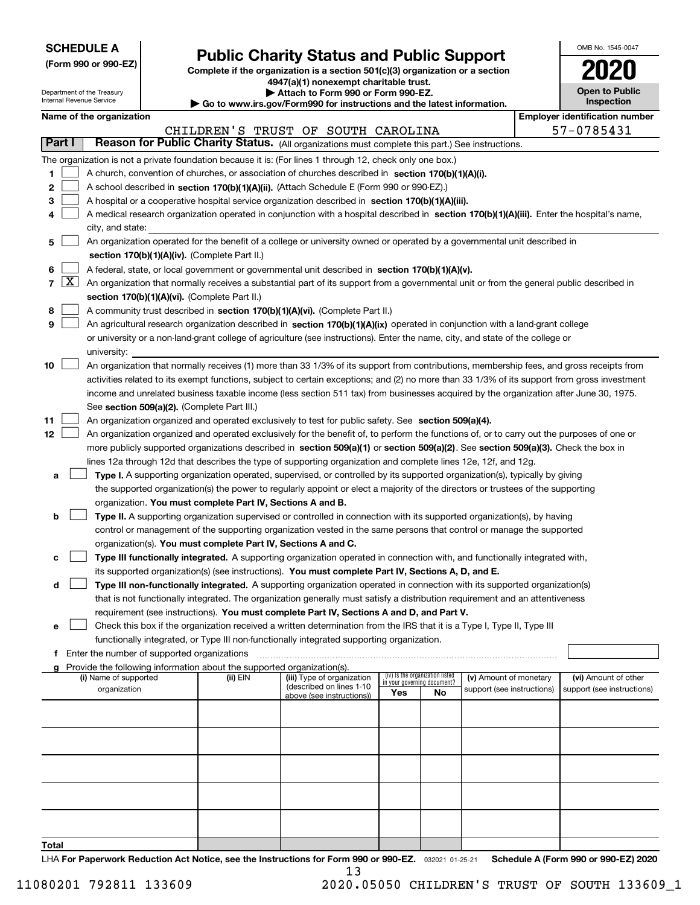| <b>SCHEDULE A</b> |
|-------------------|
|-------------------|

Department of the Treasury Internal Revenue Service

**(Form 990 or 990-EZ)**

# **Public Charity Status and Public Support**

**Complete if the organization is a section 501(c)(3) organization or a section 4947(a)(1) nonexempt charitable trust. | Attach to Form 990 or Form 990-EZ.** 

| Go to www.irs.gov/Form990 for instructions and the latest information. |  |
|------------------------------------------------------------------------|--|

| OMB No. 1545-0047     |
|-----------------------|
| 2020                  |
| <b>Open to Public</b> |

| <b>Inspection</b>         |
|---------------------------|
| over identification numbe |

|  |  |  |  |  | Name of the organization |
|--|--|--|--|--|--------------------------|
|--|--|--|--|--|--------------------------|

|                 | Name of the organization                                                                                                                                                                                                                                                                                                                                                                                                                                                         |          |                                    |                             |                                 |                                                      |  | <b>Employer identification number</b>              |  |  |  |
|-----------------|----------------------------------------------------------------------------------------------------------------------------------------------------------------------------------------------------------------------------------------------------------------------------------------------------------------------------------------------------------------------------------------------------------------------------------------------------------------------------------|----------|------------------------------------|-----------------------------|---------------------------------|------------------------------------------------------|--|----------------------------------------------------|--|--|--|
| Part I          | Reason for Public Charity Status. (All organizations must complete this part.) See instructions.                                                                                                                                                                                                                                                                                                                                                                                 |          | CHILDREN'S TRUST OF SOUTH CAROLINA |                             |                                 |                                                      |  | 57-0785431                                         |  |  |  |
|                 |                                                                                                                                                                                                                                                                                                                                                                                                                                                                                  |          |                                    |                             |                                 |                                                      |  |                                                    |  |  |  |
|                 | The organization is not a private foundation because it is: (For lines 1 through 12, check only one box.)                                                                                                                                                                                                                                                                                                                                                                        |          |                                    |                             |                                 |                                                      |  |                                                    |  |  |  |
| 1               | A church, convention of churches, or association of churches described in section 170(b)(1)(A)(i).                                                                                                                                                                                                                                                                                                                                                                               |          |                                    |                             |                                 |                                                      |  |                                                    |  |  |  |
| 2               | A school described in section 170(b)(1)(A)(ii). (Attach Schedule E (Form 990 or 990-EZ).)                                                                                                                                                                                                                                                                                                                                                                                        |          |                                    |                             |                                 |                                                      |  |                                                    |  |  |  |
| 3               | A hospital or a cooperative hospital service organization described in section $170(b)(1)(A)(iii)$ .                                                                                                                                                                                                                                                                                                                                                                             |          |                                    |                             |                                 |                                                      |  |                                                    |  |  |  |
| 4               | A medical research organization operated in conjunction with a hospital described in section 170(b)(1)(A)(iii). Enter the hospital's name,<br>city, and state:                                                                                                                                                                                                                                                                                                                   |          |                                    |                             |                                 |                                                      |  |                                                    |  |  |  |
| 5               | An organization operated for the benefit of a college or university owned or operated by a governmental unit described in                                                                                                                                                                                                                                                                                                                                                        |          |                                    |                             |                                 |                                                      |  |                                                    |  |  |  |
|                 | section 170(b)(1)(A)(iv). (Complete Part II.)<br>A federal, state, or local government or governmental unit described in section 170(b)(1)(A)(v).                                                                                                                                                                                                                                                                                                                                |          |                                    |                             |                                 |                                                      |  |                                                    |  |  |  |
| 6<br>$7 \times$ |                                                                                                                                                                                                                                                                                                                                                                                                                                                                                  |          |                                    |                             |                                 |                                                      |  |                                                    |  |  |  |
|                 | An organization that normally receives a substantial part of its support from a governmental unit or from the general public described in<br>section 170(b)(1)(A)(vi). (Complete Part II.)                                                                                                                                                                                                                                                                                       |          |                                    |                             |                                 |                                                      |  |                                                    |  |  |  |
| 8               | A community trust described in section 170(b)(1)(A)(vi). (Complete Part II.)                                                                                                                                                                                                                                                                                                                                                                                                     |          |                                    |                             |                                 |                                                      |  |                                                    |  |  |  |
| 9               | An agricultural research organization described in section 170(b)(1)(A)(ix) operated in conjunction with a land-grant college                                                                                                                                                                                                                                                                                                                                                    |          |                                    |                             |                                 |                                                      |  |                                                    |  |  |  |
|                 | or university or a non-land-grant college of agriculture (see instructions). Enter the name, city, and state of the college or                                                                                                                                                                                                                                                                                                                                                   |          |                                    |                             |                                 |                                                      |  |                                                    |  |  |  |
|                 | university:                                                                                                                                                                                                                                                                                                                                                                                                                                                                      |          |                                    |                             |                                 |                                                      |  |                                                    |  |  |  |
| 10              | An organization that normally receives (1) more than 33 1/3% of its support from contributions, membership fees, and gross receipts from<br>activities related to its exempt functions, subject to certain exceptions; and (2) no more than 33 1/3% of its support from gross investment<br>income and unrelated business taxable income (less section 511 tax) from businesses acquired by the organization after June 30, 1975.<br>See section 509(a)(2). (Complete Part III.) |          |                                    |                             |                                 |                                                      |  |                                                    |  |  |  |
| 11              | An organization organized and operated exclusively to test for public safety. See section 509(a)(4).                                                                                                                                                                                                                                                                                                                                                                             |          |                                    |                             |                                 |                                                      |  |                                                    |  |  |  |
| 12              | An organization organized and operated exclusively for the benefit of, to perform the functions of, or to carry out the purposes of one or                                                                                                                                                                                                                                                                                                                                       |          |                                    |                             |                                 |                                                      |  |                                                    |  |  |  |
|                 | more publicly supported organizations described in section 509(a)(1) or section 509(a)(2). See section 509(a)(3). Check the box in                                                                                                                                                                                                                                                                                                                                               |          |                                    |                             |                                 |                                                      |  |                                                    |  |  |  |
|                 | lines 12a through 12d that describes the type of supporting organization and complete lines 12e, 12f, and 12g.                                                                                                                                                                                                                                                                                                                                                                   |          |                                    |                             |                                 |                                                      |  |                                                    |  |  |  |
| а               | <b>Type I.</b> A supporting organization operated, supervised, or controlled by its supported organization(s), typically by giving                                                                                                                                                                                                                                                                                                                                               |          |                                    |                             |                                 |                                                      |  |                                                    |  |  |  |
|                 | the supported organization(s) the power to regularly appoint or elect a majority of the directors or trustees of the supporting                                                                                                                                                                                                                                                                                                                                                  |          |                                    |                             |                                 |                                                      |  |                                                    |  |  |  |
|                 | organization. You must complete Part IV, Sections A and B.                                                                                                                                                                                                                                                                                                                                                                                                                       |          |                                    |                             |                                 |                                                      |  |                                                    |  |  |  |
| b               | Type II. A supporting organization supervised or controlled in connection with its supported organization(s), by having                                                                                                                                                                                                                                                                                                                                                          |          |                                    |                             |                                 |                                                      |  |                                                    |  |  |  |
|                 | control or management of the supporting organization vested in the same persons that control or manage the supported                                                                                                                                                                                                                                                                                                                                                             |          |                                    |                             |                                 |                                                      |  |                                                    |  |  |  |
|                 | organization(s). You must complete Part IV, Sections A and C.                                                                                                                                                                                                                                                                                                                                                                                                                    |          |                                    |                             |                                 |                                                      |  |                                                    |  |  |  |
| с               | Type III functionally integrated. A supporting organization operated in connection with, and functionally integrated with,                                                                                                                                                                                                                                                                                                                                                       |          |                                    |                             |                                 |                                                      |  |                                                    |  |  |  |
|                 | its supported organization(s) (see instructions). You must complete Part IV, Sections A, D, and E.                                                                                                                                                                                                                                                                                                                                                                               |          |                                    |                             |                                 |                                                      |  |                                                    |  |  |  |
| d               | Type III non-functionally integrated. A supporting organization operated in connection with its supported organization(s)                                                                                                                                                                                                                                                                                                                                                        |          |                                    |                             |                                 |                                                      |  |                                                    |  |  |  |
|                 | that is not functionally integrated. The organization generally must satisfy a distribution requirement and an attentiveness                                                                                                                                                                                                                                                                                                                                                     |          |                                    |                             |                                 |                                                      |  |                                                    |  |  |  |
|                 | requirement (see instructions). You must complete Part IV, Sections A and D, and Part V.                                                                                                                                                                                                                                                                                                                                                                                         |          |                                    |                             |                                 |                                                      |  |                                                    |  |  |  |
|                 | Check this box if the organization received a written determination from the IRS that it is a Type I, Type II, Type III                                                                                                                                                                                                                                                                                                                                                          |          |                                    |                             |                                 |                                                      |  |                                                    |  |  |  |
|                 | functionally integrated, or Type III non-functionally integrated supporting organization.                                                                                                                                                                                                                                                                                                                                                                                        |          |                                    |                             |                                 |                                                      |  |                                                    |  |  |  |
|                 | f Enter the number of supported organizations                                                                                                                                                                                                                                                                                                                                                                                                                                    |          |                                    |                             |                                 |                                                      |  |                                                    |  |  |  |
|                 | g Provide the following information about the supported organization(s).<br>(i) Name of supported                                                                                                                                                                                                                                                                                                                                                                                |          | (iii) Type of organization         |                             | (iv) Is the organization listed |                                                      |  |                                                    |  |  |  |
|                 | organization                                                                                                                                                                                                                                                                                                                                                                                                                                                                     | (ii) EIN | (described on lines 1-10           | in your governing document? |                                 | (v) Amount of monetary<br>support (see instructions) |  | (vi) Amount of other<br>support (see instructions) |  |  |  |
|                 |                                                                                                                                                                                                                                                                                                                                                                                                                                                                                  |          | above (see instructions))          | Yes                         | No                              |                                                      |  |                                                    |  |  |  |
|                 |                                                                                                                                                                                                                                                                                                                                                                                                                                                                                  |          |                                    |                             |                                 |                                                      |  |                                                    |  |  |  |
|                 |                                                                                                                                                                                                                                                                                                                                                                                                                                                                                  |          |                                    |                             |                                 |                                                      |  |                                                    |  |  |  |
|                 |                                                                                                                                                                                                                                                                                                                                                                                                                                                                                  |          |                                    |                             |                                 |                                                      |  |                                                    |  |  |  |
|                 |                                                                                                                                                                                                                                                                                                                                                                                                                                                                                  |          |                                    |                             |                                 |                                                      |  |                                                    |  |  |  |
|                 |                                                                                                                                                                                                                                                                                                                                                                                                                                                                                  |          |                                    |                             |                                 |                                                      |  |                                                    |  |  |  |
|                 |                                                                                                                                                                                                                                                                                                                                                                                                                                                                                  |          |                                    |                             |                                 |                                                      |  |                                                    |  |  |  |
|                 |                                                                                                                                                                                                                                                                                                                                                                                                                                                                                  |          |                                    |                             |                                 |                                                      |  |                                                    |  |  |  |

LHA For Paperwork Reduction Act Notice, see the Instructions for Form 990 or 990-EZ. <sub>032021</sub> o1-25-21 Schedule A (Form 990 or 990-EZ) 2020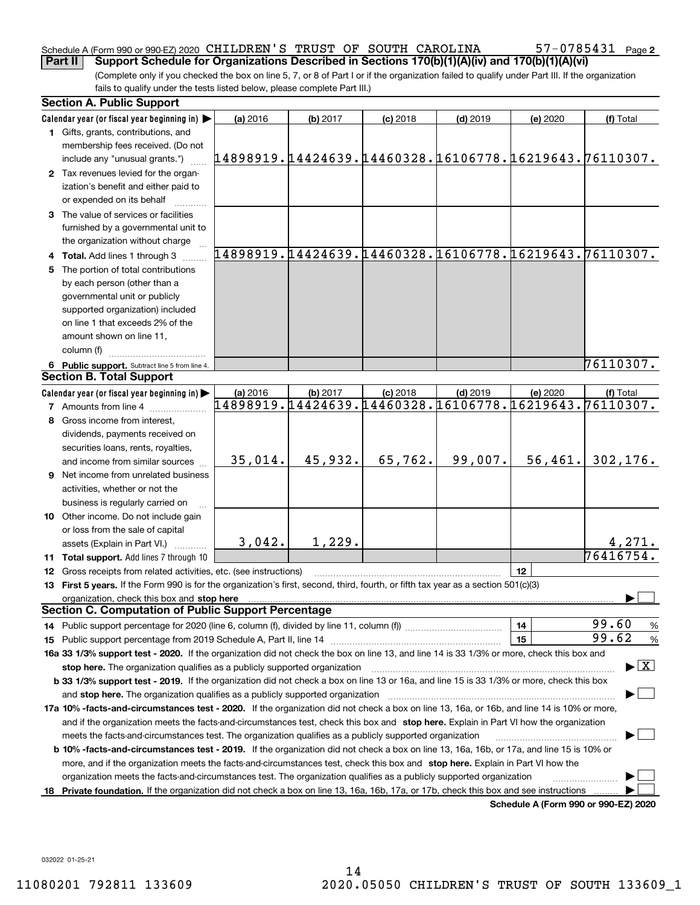#### Schedule A (Form 990 or 990-EZ) 2020 <code>CHILDREN'S TRUST OF SOUTH CAROLINA</code> 57-0785431 <code>Page</code> **Part II Support Schedule for Organizations Described in Sections 170(b)(1)(A)(iv) and 170(b)(1)(A)(vi)**

 $57 - 0785431$  Page 2

(Complete only if you checked the box on line 5, 7, or 8 of Part I or if the organization failed to qualify under Part III. If the organization fails to qualify under the tests listed below, please complete Part III.)

|    | <b>Section A. Public Support</b>                                                                                                               |                                                        |          |            |            |          |                                                        |
|----|------------------------------------------------------------------------------------------------------------------------------------------------|--------------------------------------------------------|----------|------------|------------|----------|--------------------------------------------------------|
|    | Calendar year (or fiscal year beginning in)                                                                                                    | (a) 2016                                               | (b) 2017 | $(c)$ 2018 | $(d)$ 2019 | (e) 2020 | (f) Total                                              |
|    | 1 Gifts, grants, contributions, and<br>membership fees received. (Do not                                                                       |                                                        |          |            |            |          |                                                        |
|    | include any "unusual grants.")                                                                                                                 | 14898919.14424639.14460328.16106778.16219643.76110307. |          |            |            |          |                                                        |
|    | 2 Tax revenues levied for the organ-<br>ization's benefit and either paid to<br>or expended on its behalf                                      |                                                        |          |            |            |          |                                                        |
|    | 3 The value of services or facilities<br>furnished by a governmental unit to                                                                   |                                                        |          |            |            |          |                                                        |
|    | the organization without charge                                                                                                                |                                                        |          |            |            |          |                                                        |
|    | 4 Total. Add lines 1 through 3                                                                                                                 |                                                        |          |            |            |          | 14898919.14424639.14460328.16106778.16219643.76110307. |
|    | 5 The portion of total contributions                                                                                                           |                                                        |          |            |            |          |                                                        |
|    | by each person (other than a                                                                                                                   |                                                        |          |            |            |          |                                                        |
|    | governmental unit or publicly                                                                                                                  |                                                        |          |            |            |          |                                                        |
|    | supported organization) included                                                                                                               |                                                        |          |            |            |          |                                                        |
|    | on line 1 that exceeds 2% of the                                                                                                               |                                                        |          |            |            |          |                                                        |
|    | amount shown on line 11,                                                                                                                       |                                                        |          |            |            |          |                                                        |
|    | column (f)                                                                                                                                     |                                                        |          |            |            |          |                                                        |
|    | 6 Public support. Subtract line 5 from line 4.                                                                                                 |                                                        |          |            |            |          | 76110307.                                              |
|    | <b>Section B. Total Support</b>                                                                                                                |                                                        |          |            |            |          |                                                        |
|    | Calendar year (or fiscal year beginning in)                                                                                                    | (a) 2016                                               | (b) 2017 | $(c)$ 2018 | $(d)$ 2019 | (e) 2020 | (f) Total                                              |
|    | <b>7</b> Amounts from line 4                                                                                                                   |                                                        |          |            |            |          | 14898919.14424639.14460328.16106778.16219643.76110307. |
| 8  | Gross income from interest,                                                                                                                    |                                                        |          |            |            |          |                                                        |
|    | dividends, payments received on                                                                                                                |                                                        |          |            |            |          |                                                        |
|    | securities loans, rents, royalties,                                                                                                            |                                                        |          |            |            |          |                                                        |
|    | and income from similar sources                                                                                                                | 35,014.                                                | 45,932.  | 65,762.    | 99,007.    | 56,461.  | 302, 176.                                              |
|    | <b>9</b> Net income from unrelated business                                                                                                    |                                                        |          |            |            |          |                                                        |
|    | activities, whether or not the                                                                                                                 |                                                        |          |            |            |          |                                                        |
|    | business is regularly carried on                                                                                                               |                                                        |          |            |            |          |                                                        |
|    | 10 Other income. Do not include gain                                                                                                           |                                                        |          |            |            |          |                                                        |
|    | or loss from the sale of capital                                                                                                               |                                                        |          |            |            |          |                                                        |
|    | assets (Explain in Part VI.)                                                                                                                   | 3,042.                                                 | 1,229.   |            |            |          | 4,271.                                                 |
|    | 11 Total support. Add lines 7 through 10                                                                                                       |                                                        |          |            |            |          | 76416754.                                              |
|    | 12 Gross receipts from related activities, etc. (see instructions)                                                                             |                                                        |          |            |            | 12       |                                                        |
|    | 13 First 5 years. If the Form 990 is for the organization's first, second, third, fourth, or fifth tax year as a section 501(c)(3)             |                                                        |          |            |            |          |                                                        |
|    | organization, check this box and stop here                                                                                                     |                                                        |          |            |            |          |                                                        |
|    | <b>Section C. Computation of Public Support Percentage</b>                                                                                     |                                                        |          |            |            |          |                                                        |
|    |                                                                                                                                                |                                                        |          |            |            | 14       | 99.60<br>$\frac{9}{6}$                                 |
|    |                                                                                                                                                |                                                        |          |            |            | 15       | 99.62<br>%                                             |
|    | 16a 33 1/3% support test - 2020. If the organization did not check the box on line 13, and line 14 is 33 1/3% or more, check this box and      |                                                        |          |            |            |          |                                                        |
|    | stop here. The organization qualifies as a publicly supported organization                                                                     |                                                        |          |            |            |          | $\blacktriangleright$ $\boxed{\text{X}}$               |
|    | b 33 1/3% support test - 2019. If the organization did not check a box on line 13 or 16a, and line 15 is 33 1/3% or more, check this box       |                                                        |          |            |            |          |                                                        |
|    | and stop here. The organization qualifies as a publicly supported organization                                                                 |                                                        |          |            |            |          |                                                        |
|    | 17a 10% -facts-and-circumstances test - 2020. If the organization did not check a box on line 13, 16a, or 16b, and line 14 is 10% or more,     |                                                        |          |            |            |          |                                                        |
|    | and if the organization meets the facts-and-circumstances test, check this box and stop here. Explain in Part VI how the organization          |                                                        |          |            |            |          |                                                        |
|    | meets the facts-and-circumstances test. The organization qualifies as a publicly supported organization                                        |                                                        |          |            |            |          |                                                        |
|    | <b>b 10% -facts-and-circumstances test - 2019.</b> If the organization did not check a box on line 13, 16a, 16b, or 17a, and line 15 is 10% or |                                                        |          |            |            |          |                                                        |
|    | more, and if the organization meets the facts-and-circumstances test, check this box and stop here. Explain in Part VI how the                 |                                                        |          |            |            |          |                                                        |
|    | organization meets the facts-and-circumstances test. The organization qualifies as a publicly supported organization                           |                                                        |          |            |            |          |                                                        |
| 18 | Private foundation. If the organization did not check a box on line 13, 16a, 16b, 17a, or 17b, check this box and see instructions             |                                                        |          |            |            |          |                                                        |
|    |                                                                                                                                                |                                                        |          |            |            |          | Schedule A (Form 990 or 990-EZ) 2020                   |

032022 01-25-21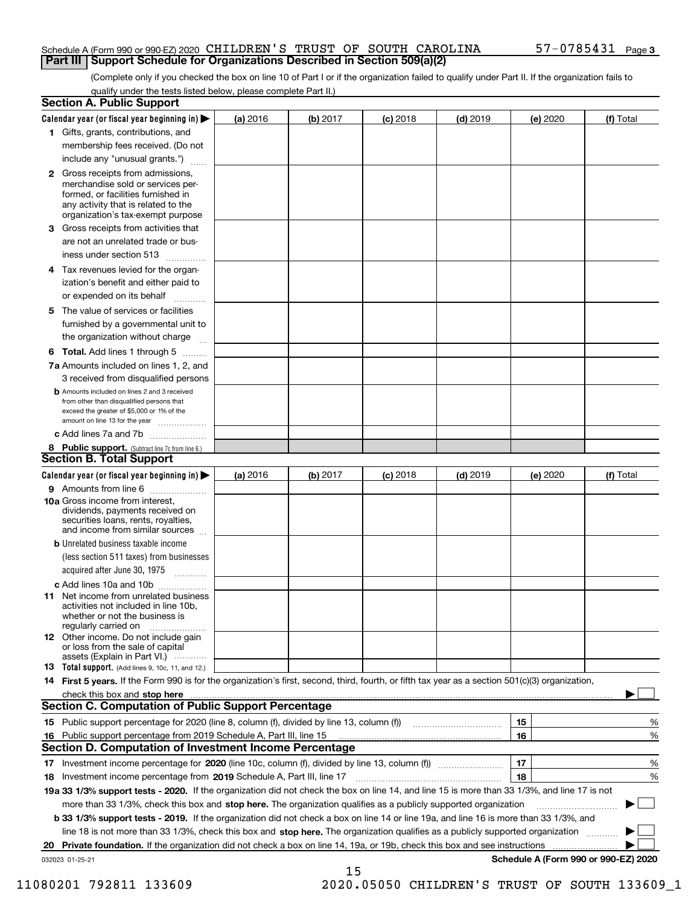#### Schedule A (Form 990 or 990-EZ) 2020 <code>CHILDREN'S TRUST OF SOUTH CAROLINA</code> 57-0785431 <code>Page</code> **Part III Support Schedule for Organizations Described in Section 509(a)(2)**

(Complete only if you checked the box on line 10 of Part I or if the organization failed to qualify under Part II. If the organization fails to qualify under the tests listed below, please complete Part II.)

|    | <b>Section A. Public Support</b>                                                                                                                                                                |          |          |            |            |          |                                      |
|----|-------------------------------------------------------------------------------------------------------------------------------------------------------------------------------------------------|----------|----------|------------|------------|----------|--------------------------------------|
|    | Calendar year (or fiscal year beginning in) $\blacktriangleright$                                                                                                                               | (a) 2016 | (b) 2017 | $(c)$ 2018 | $(d)$ 2019 | (e) 2020 | (f) Total                            |
|    | 1 Gifts, grants, contributions, and                                                                                                                                                             |          |          |            |            |          |                                      |
|    | membership fees received. (Do not                                                                                                                                                               |          |          |            |            |          |                                      |
|    | include any "unusual grants.")                                                                                                                                                                  |          |          |            |            |          |                                      |
|    | <b>2</b> Gross receipts from admissions,<br>merchandise sold or services per-<br>formed, or facilities furnished in<br>any activity that is related to the<br>organization's tax-exempt purpose |          |          |            |            |          |                                      |
|    | 3 Gross receipts from activities that<br>are not an unrelated trade or bus-                                                                                                                     |          |          |            |            |          |                                      |
|    | iness under section 513                                                                                                                                                                         |          |          |            |            |          |                                      |
|    | 4 Tax revenues levied for the organ-<br>ization's benefit and either paid to                                                                                                                    |          |          |            |            |          |                                      |
|    | or expended on its behalf                                                                                                                                                                       |          |          |            |            |          |                                      |
|    | 5 The value of services or facilities<br>furnished by a governmental unit to                                                                                                                    |          |          |            |            |          |                                      |
|    | the organization without charge                                                                                                                                                                 |          |          |            |            |          |                                      |
|    | <b>6 Total.</b> Add lines 1 through 5                                                                                                                                                           |          |          |            |            |          |                                      |
|    | 7a Amounts included on lines 1, 2, and<br>3 received from disqualified persons                                                                                                                  |          |          |            |            |          |                                      |
|    | <b>b</b> Amounts included on lines 2 and 3 received<br>from other than disqualified persons that<br>exceed the greater of \$5,000 or 1% of the<br>amount on line 13 for the year                |          |          |            |            |          |                                      |
|    | c Add lines 7a and 7b                                                                                                                                                                           |          |          |            |            |          |                                      |
|    | 8 Public support. (Subtract line 7c from line 6.)<br><b>Section B. Total Support</b>                                                                                                            |          |          |            |            |          |                                      |
|    | Calendar year (or fiscal year beginning in)                                                                                                                                                     | (a) 2016 | (b) 2017 | $(c)$ 2018 | $(d)$ 2019 | (e) 2020 | (f) Total                            |
|    | 9 Amounts from line 6                                                                                                                                                                           |          |          |            |            |          |                                      |
|    | <b>10a</b> Gross income from interest,<br>dividends, payments received on<br>securities loans, rents, royalties,<br>and income from similar sources                                             |          |          |            |            |          |                                      |
|    | <b>b</b> Unrelated business taxable income<br>(less section 511 taxes) from businesses                                                                                                          |          |          |            |            |          |                                      |
|    | acquired after June 30, 1975                                                                                                                                                                    |          |          |            |            |          |                                      |
|    | c Add lines 10a and 10b                                                                                                                                                                         |          |          |            |            |          |                                      |
|    | 11 Net income from unrelated business<br>activities not included in line 10b,<br>whether or not the business is<br>regularly carried on                                                         |          |          |            |            |          |                                      |
|    | 12 Other income. Do not include gain<br>or loss from the sale of capital<br>assets (Explain in Part VI.)                                                                                        |          |          |            |            |          |                                      |
|    | 13 Total support. (Add lines 9, 10c, 11, and 12.)                                                                                                                                               |          |          |            |            |          |                                      |
|    | 14 First 5 years. If the Form 990 is for the organization's first, second, third, fourth, or fifth tax year as a section 501(c)(3) organization,                                                |          |          |            |            |          |                                      |
|    |                                                                                                                                                                                                 |          |          |            |            |          |                                      |
|    | <b>Section C. Computation of Public Support Percentage</b>                                                                                                                                      |          |          |            |            |          |                                      |
|    |                                                                                                                                                                                                 |          |          |            |            | 15       | %                                    |
| 16 | Public support percentage from 2019 Schedule A, Part III, line 15                                                                                                                               |          |          |            |            | 16       | %                                    |
|    | Section D. Computation of Investment Income Percentage                                                                                                                                          |          |          |            |            |          |                                      |
|    | 17 Investment income percentage for 2020 (line 10c, column (f), divided by line 13, column (f))<br>18 Investment income percentage from 2019 Schedule A, Part III, line 17                      |          |          |            |            | 17<br>18 | %<br>%                               |
|    | 19a 33 1/3% support tests - 2020. If the organization did not check the box on line 14, and line 15 is more than 33 1/3%, and line 17 is not                                                    |          |          |            |            |          |                                      |
|    | more than 33 1/3%, check this box and stop here. The organization qualifies as a publicly supported organization                                                                                |          |          |            |            |          |                                      |
|    | b 33 1/3% support tests - 2019. If the organization did not check a box on line 14 or line 19a, and line 16 is more than 33 1/3%, and                                                           |          |          |            |            |          |                                      |
|    | line 18 is not more than 33 1/3%, check this box and stop here. The organization qualifies as a publicly supported organization                                                                 |          |          |            |            |          |                                      |
| 20 | <b>Private foundation.</b> If the organization did not check a box on line 14, 19a, or 19b, check this box and see instructions                                                                 |          |          |            |            |          | .                                    |
|    | 032023 01-25-21                                                                                                                                                                                 |          |          |            |            |          | Schedule A (Form 990 or 990-EZ) 2020 |
|    |                                                                                                                                                                                                 |          | 15       |            |            |          |                                      |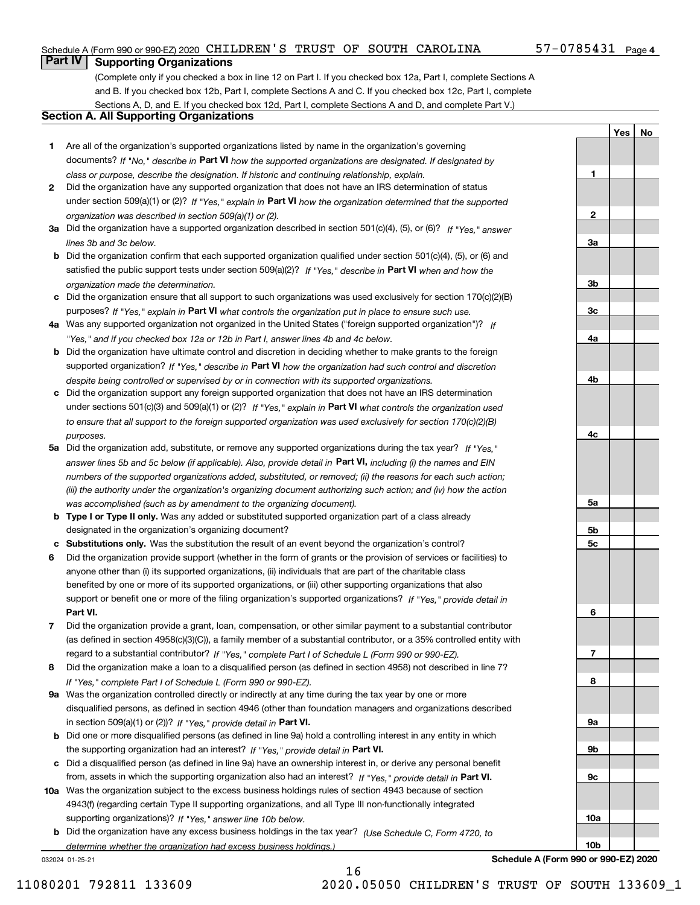#### Schedule A (Form 990 or 990-EZ) 2020 <code>CHILDREN'S TRUST OF SOUTH CAROLINA</code> 57-0785431 <code>Page</code>

#### $57 - 0785431$  Page 4

**1**

**YesNo**

### **Part IV Supporting Organizations**

(Complete only if you checked a box in line 12 on Part I. If you checked box 12a, Part I, complete Sections A and B. If you checked box 12b, Part I, complete Sections A and C. If you checked box 12c, Part I, complete Sections A, D, and E. If you checked box 12d, Part I, complete Sections A and D, and complete Part V.)

#### **Section A. All Supporting Organizations**

- **1** Are all of the organization's supported organizations listed by name in the organization's governing documents? If "No," describe in **Part VI** how the supported organizations are designated. If designated by *class or purpose, describe the designation. If historic and continuing relationship, explain.*
- **2** Did the organization have any supported organization that does not have an IRS determination of status under section 509(a)(1) or (2)? If "Yes," explain in Part VI how the organization determined that the supported *organization was described in section 509(a)(1) or (2).*
- **3a** Did the organization have a supported organization described in section 501(c)(4), (5), or (6)? If "Yes," answer *lines 3b and 3c below.*
- **b** Did the organization confirm that each supported organization qualified under section 501(c)(4), (5), or (6) and satisfied the public support tests under section 509(a)(2)? If "Yes," describe in **Part VI** when and how the *organization made the determination.*
- **c**Did the organization ensure that all support to such organizations was used exclusively for section 170(c)(2)(B) purposes? If "Yes," explain in **Part VI** what controls the organization put in place to ensure such use.
- **4a***If* Was any supported organization not organized in the United States ("foreign supported organization")? *"Yes," and if you checked box 12a or 12b in Part I, answer lines 4b and 4c below.*
- **b** Did the organization have ultimate control and discretion in deciding whether to make grants to the foreign supported organization? If "Yes," describe in **Part VI** how the organization had such control and discretion *despite being controlled or supervised by or in connection with its supported organizations.*
- **c** Did the organization support any foreign supported organization that does not have an IRS determination under sections 501(c)(3) and 509(a)(1) or (2)? If "Yes," explain in **Part VI** what controls the organization used *to ensure that all support to the foreign supported organization was used exclusively for section 170(c)(2)(B) purposes.*
- **5a** Did the organization add, substitute, or remove any supported organizations during the tax year? If "Yes," answer lines 5b and 5c below (if applicable). Also, provide detail in **Part VI,** including (i) the names and EIN *numbers of the supported organizations added, substituted, or removed; (ii) the reasons for each such action; (iii) the authority under the organization's organizing document authorizing such action; and (iv) how the action was accomplished (such as by amendment to the organizing document).*
- **b** Type I or Type II only. Was any added or substituted supported organization part of a class already designated in the organization's organizing document?
- **cSubstitutions only.**  Was the substitution the result of an event beyond the organization's control?
- **6** Did the organization provide support (whether in the form of grants or the provision of services or facilities) to **Part VI.** *If "Yes," provide detail in* support or benefit one or more of the filing organization's supported organizations? anyone other than (i) its supported organizations, (ii) individuals that are part of the charitable class benefited by one or more of its supported organizations, or (iii) other supporting organizations that also
- **7**Did the organization provide a grant, loan, compensation, or other similar payment to a substantial contributor *If "Yes," complete Part I of Schedule L (Form 990 or 990-EZ).* regard to a substantial contributor? (as defined in section 4958(c)(3)(C)), a family member of a substantial contributor, or a 35% controlled entity with
- **8** Did the organization make a loan to a disqualified person (as defined in section 4958) not described in line 7? *If "Yes," complete Part I of Schedule L (Form 990 or 990-EZ).*
- **9a** Was the organization controlled directly or indirectly at any time during the tax year by one or more in section 509(a)(1) or (2))? If "Yes," *provide detail in* <code>Part VI.</code> disqualified persons, as defined in section 4946 (other than foundation managers and organizations described
- **b** Did one or more disqualified persons (as defined in line 9a) hold a controlling interest in any entity in which the supporting organization had an interest? If "Yes," provide detail in P**art VI**.
- **c**Did a disqualified person (as defined in line 9a) have an ownership interest in, or derive any personal benefit from, assets in which the supporting organization also had an interest? If "Yes," provide detail in P**art VI.**
- **10a** Was the organization subject to the excess business holdings rules of section 4943 because of section supporting organizations)? If "Yes," answer line 10b below. 4943(f) (regarding certain Type II supporting organizations, and all Type III non-functionally integrated
- **b** Did the organization have any excess business holdings in the tax year? (Use Schedule C, Form 4720, to *determine whether the organization had excess business holdings.)*

032024 01-25-21



**Schedule A (Form 990 or 990-EZ) 2020**

11080201 792811 133609 2020.05050 CHILDREN'S TRUST OF SOUTH 133609\_1

16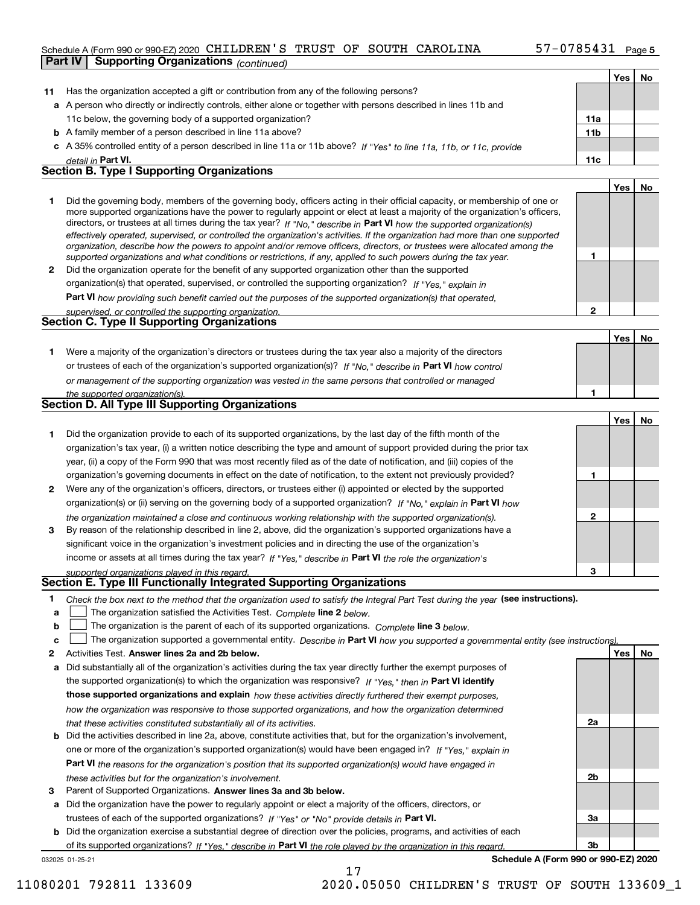#### Schedule A (Form 990 or 990-EZ) 2020 <code>CHILDREN'S TRUST OF SOUTH CAROLINA</code> 57-0785431 <code>Page</code>

|              | Supporting Organizations (continued)<br>Part IV                                                                                                                                                                                                                                                                                                                                                                                                                                                                                                                                                                                                      |                 |     |    |
|--------------|------------------------------------------------------------------------------------------------------------------------------------------------------------------------------------------------------------------------------------------------------------------------------------------------------------------------------------------------------------------------------------------------------------------------------------------------------------------------------------------------------------------------------------------------------------------------------------------------------------------------------------------------------|-----------------|-----|----|
|              |                                                                                                                                                                                                                                                                                                                                                                                                                                                                                                                                                                                                                                                      |                 | Yes | No |
| 11           | Has the organization accepted a gift or contribution from any of the following persons?                                                                                                                                                                                                                                                                                                                                                                                                                                                                                                                                                              |                 |     |    |
|              | a A person who directly or indirectly controls, either alone or together with persons described in lines 11b and                                                                                                                                                                                                                                                                                                                                                                                                                                                                                                                                     |                 |     |    |
|              | 11c below, the governing body of a supported organization?                                                                                                                                                                                                                                                                                                                                                                                                                                                                                                                                                                                           | 11a             |     |    |
|              | <b>b</b> A family member of a person described in line 11a above?                                                                                                                                                                                                                                                                                                                                                                                                                                                                                                                                                                                    | 11 <sub>b</sub> |     |    |
|              | c A 35% controlled entity of a person described in line 11a or 11b above? If "Yes" to line 11a, 11b, or 11c, provide                                                                                                                                                                                                                                                                                                                                                                                                                                                                                                                                 |                 |     |    |
|              | detail in Part VI.                                                                                                                                                                                                                                                                                                                                                                                                                                                                                                                                                                                                                                   | 11c             |     |    |
|              | <b>Section B. Type I Supporting Organizations</b>                                                                                                                                                                                                                                                                                                                                                                                                                                                                                                                                                                                                    |                 |     |    |
|              |                                                                                                                                                                                                                                                                                                                                                                                                                                                                                                                                                                                                                                                      |                 | Yes | No |
| 1            | Did the governing body, members of the governing body, officers acting in their official capacity, or membership of one or<br>more supported organizations have the power to regularly appoint or elect at least a majority of the organization's officers,<br>directors, or trustees at all times during the tax year? If "No," describe in Part VI how the supported organization(s)<br>effectively operated, supervised, or controlled the organization's activities. If the organization had more than one supported<br>organization, describe how the powers to appoint and/or remove officers, directors, or trustees were allocated among the |                 |     |    |
|              | supported organizations and what conditions or restrictions, if any, applied to such powers during the tax year.                                                                                                                                                                                                                                                                                                                                                                                                                                                                                                                                     | 1               |     |    |
| $\mathbf{2}$ | Did the organization operate for the benefit of any supported organization other than the supported                                                                                                                                                                                                                                                                                                                                                                                                                                                                                                                                                  |                 |     |    |
|              | organization(s) that operated, supervised, or controlled the supporting organization? If "Yes," explain in                                                                                                                                                                                                                                                                                                                                                                                                                                                                                                                                           |                 |     |    |
|              | Part VI how providing such benefit carried out the purposes of the supported organization(s) that operated,                                                                                                                                                                                                                                                                                                                                                                                                                                                                                                                                          |                 |     |    |
|              | supervised, or controlled the supporting organization.<br>Section C. Type II Supporting Organizations                                                                                                                                                                                                                                                                                                                                                                                                                                                                                                                                                | $\overline{2}$  |     |    |
|              |                                                                                                                                                                                                                                                                                                                                                                                                                                                                                                                                                                                                                                                      |                 |     |    |
|              |                                                                                                                                                                                                                                                                                                                                                                                                                                                                                                                                                                                                                                                      |                 | Yes | No |
| 1.           | Were a majority of the organization's directors or trustees during the tax year also a majority of the directors                                                                                                                                                                                                                                                                                                                                                                                                                                                                                                                                     |                 |     |    |
|              | or trustees of each of the organization's supported organization(s)? If "No," describe in Part VI how control                                                                                                                                                                                                                                                                                                                                                                                                                                                                                                                                        |                 |     |    |
|              | or management of the supporting organization was vested in the same persons that controlled or managed                                                                                                                                                                                                                                                                                                                                                                                                                                                                                                                                               | 1               |     |    |
|              | the supported organization(s).<br><b>Section D. All Type III Supporting Organizations</b>                                                                                                                                                                                                                                                                                                                                                                                                                                                                                                                                                            |                 |     |    |
|              |                                                                                                                                                                                                                                                                                                                                                                                                                                                                                                                                                                                                                                                      |                 | Yes | No |
| 1            | Did the organization provide to each of its supported organizations, by the last day of the fifth month of the                                                                                                                                                                                                                                                                                                                                                                                                                                                                                                                                       |                 |     |    |
|              | organization's tax year, (i) a written notice describing the type and amount of support provided during the prior tax                                                                                                                                                                                                                                                                                                                                                                                                                                                                                                                                |                 |     |    |
|              | year, (ii) a copy of the Form 990 that was most recently filed as of the date of notification, and (iii) copies of the                                                                                                                                                                                                                                                                                                                                                                                                                                                                                                                               |                 |     |    |
|              | organization's governing documents in effect on the date of notification, to the extent not previously provided?                                                                                                                                                                                                                                                                                                                                                                                                                                                                                                                                     | 1               |     |    |
| 2            | Were any of the organization's officers, directors, or trustees either (i) appointed or elected by the supported                                                                                                                                                                                                                                                                                                                                                                                                                                                                                                                                     |                 |     |    |
|              | organization(s) or (ii) serving on the governing body of a supported organization? If "No," explain in Part VI how                                                                                                                                                                                                                                                                                                                                                                                                                                                                                                                                   |                 |     |    |
|              | the organization maintained a close and continuous working relationship with the supported organization(s).                                                                                                                                                                                                                                                                                                                                                                                                                                                                                                                                          | $\mathbf{2}$    |     |    |
| 3            | By reason of the relationship described in line 2, above, did the organization's supported organizations have a                                                                                                                                                                                                                                                                                                                                                                                                                                                                                                                                      |                 |     |    |
|              | significant voice in the organization's investment policies and in directing the use of the organization's                                                                                                                                                                                                                                                                                                                                                                                                                                                                                                                                           |                 |     |    |
|              | income or assets at all times during the tax year? If "Yes," describe in Part VI the role the organization's                                                                                                                                                                                                                                                                                                                                                                                                                                                                                                                                         |                 |     |    |
|              | supported organizations played in this regard.                                                                                                                                                                                                                                                                                                                                                                                                                                                                                                                                                                                                       |                 |     |    |
|              | Section E. Type III Functionally Integrated Supporting Organizations                                                                                                                                                                                                                                                                                                                                                                                                                                                                                                                                                                                 |                 |     |    |
| 1.           | Check the box next to the method that the organization used to satisfy the Integral Part Test during the year (see instructions).                                                                                                                                                                                                                                                                                                                                                                                                                                                                                                                    |                 |     |    |
| a            | The organization satisfied the Activities Test. Complete line 2 below.                                                                                                                                                                                                                                                                                                                                                                                                                                                                                                                                                                               |                 |     |    |
| b            | The organization is the parent of each of its supported organizations. Complete line 3 below.                                                                                                                                                                                                                                                                                                                                                                                                                                                                                                                                                        |                 |     |    |
| c            | The organization supported a governmental entity. Describe in Part VI how you supported a governmental entity (see instructions)                                                                                                                                                                                                                                                                                                                                                                                                                                                                                                                     |                 |     |    |
| 2            | Activities Test. Answer lines 2a and 2b below.                                                                                                                                                                                                                                                                                                                                                                                                                                                                                                                                                                                                       |                 | Yes | No |
| а            | Did substantially all of the organization's activities during the tax year directly further the exempt purposes of                                                                                                                                                                                                                                                                                                                                                                                                                                                                                                                                   |                 |     |    |
|              | the supported organization(s) to which the organization was responsive? If "Yes." then in Part VI identify                                                                                                                                                                                                                                                                                                                                                                                                                                                                                                                                           |                 |     |    |
|              | those supported organizations and explain how these activities directly furthered their exempt purposes,                                                                                                                                                                                                                                                                                                                                                                                                                                                                                                                                             |                 |     |    |
|              | how the organization was responsive to those supported organizations, and how the organization determined                                                                                                                                                                                                                                                                                                                                                                                                                                                                                                                                            |                 |     |    |
|              | that these activities constituted substantially all of its activities.                                                                                                                                                                                                                                                                                                                                                                                                                                                                                                                                                                               | 2a              |     |    |
| b            | Did the activities described in line 2a, above, constitute activities that, but for the organization's involvement,                                                                                                                                                                                                                                                                                                                                                                                                                                                                                                                                  |                 |     |    |
|              | one or more of the organization's supported organization(s) would have been engaged in? If "Yes." explain in                                                                                                                                                                                                                                                                                                                                                                                                                                                                                                                                         |                 |     |    |

- **3** Parent of Supported Organizations. Answer lines 3a and 3b below. *these activities but for the organization's involvement.*
- **a** Did the organization have the power to regularly appoint or elect a majority of the officers, directors, or trustees of each of the supported organizations? If "Yes" or "No" provide details in P**art VI.**

**Part VI**  *the reasons for the organization's position that its supported organization(s) would have engaged in*

**b** Did the organization exercise a substantial degree of direction over the policies, programs, and activities of each of its supported organizations? If "Yes," describe in Part VI the role played by the organization in this regard.

17

032025 01-25-21

**Schedule A (Form 990 or 990-EZ) 2020**

**2b**

**3a**

**3b**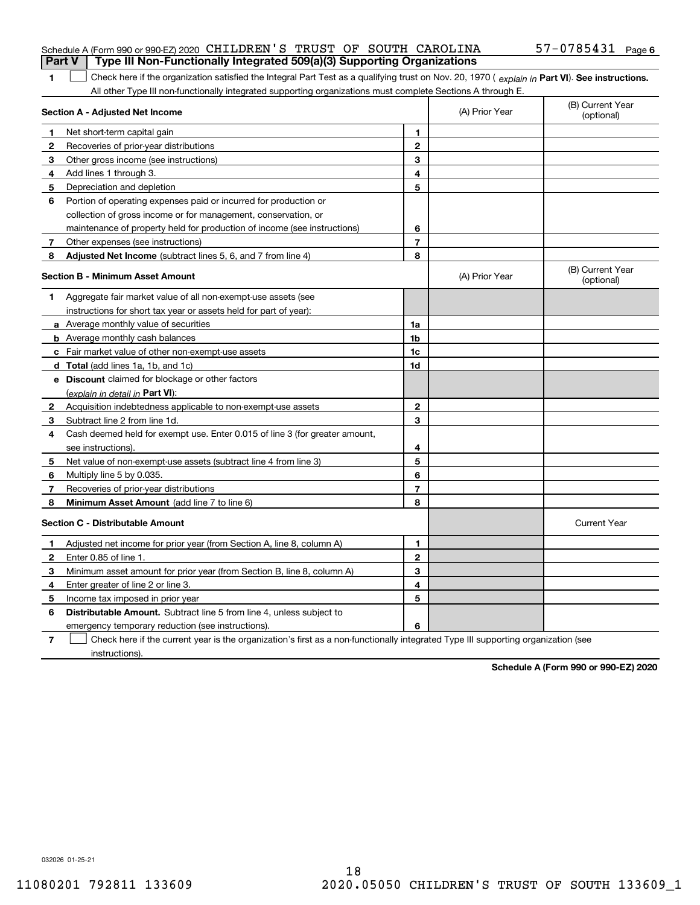|  | Schedule A (Form 990 or 990-EZ) 2020 CHILDREN'S TRUST OF SOUTH CAROLINA               |  |  | 57-0785431 Page 6 |  |
|--|---------------------------------------------------------------------------------------|--|--|-------------------|--|
|  | <b>Part V</b> Type III Non-Functionally Integrated 509(a)(3) Supporting Organizations |  |  |                   |  |

1 Check here if the organization satisfied the Integral Part Test as a qualifying trust on Nov. 20, 1970 (explain in Part VI). See instructions. All other Type III non-functionally integrated supporting organizations must complete Sections A through E.

|                                         | Section A - Adjusted Net Income                                                                                                   | (A) Prior Year | (B) Current Year<br>(optional) |                                |
|-----------------------------------------|-----------------------------------------------------------------------------------------------------------------------------------|----------------|--------------------------------|--------------------------------|
| 1                                       | Net short-term capital gain                                                                                                       | 1              |                                |                                |
| 2                                       | Recoveries of prior-year distributions                                                                                            | $\mathbf{2}$   |                                |                                |
| 3                                       | Other gross income (see instructions)                                                                                             | 3              |                                |                                |
| 4                                       | Add lines 1 through 3.                                                                                                            | 4              |                                |                                |
| 5                                       | Depreciation and depletion                                                                                                        | 5              |                                |                                |
| 6                                       | Portion of operating expenses paid or incurred for production or                                                                  |                |                                |                                |
|                                         | collection of gross income or for management, conservation, or                                                                    |                |                                |                                |
|                                         | maintenance of property held for production of income (see instructions)                                                          | 6              |                                |                                |
| 7                                       | Other expenses (see instructions)                                                                                                 | $\overline{7}$ |                                |                                |
| 8                                       | Adjusted Net Income (subtract lines 5, 6, and 7 from line 4)                                                                      | 8              |                                |                                |
| <b>Section B - Minimum Asset Amount</b> |                                                                                                                                   |                | (A) Prior Year                 | (B) Current Year<br>(optional) |
| 1                                       | Aggregate fair market value of all non-exempt-use assets (see                                                                     |                |                                |                                |
|                                         | instructions for short tax year or assets held for part of year):                                                                 |                |                                |                                |
|                                         | <b>a</b> Average monthly value of securities                                                                                      | 1a             |                                |                                |
|                                         | <b>b</b> Average monthly cash balances                                                                                            | 1b             |                                |                                |
|                                         | c Fair market value of other non-exempt-use assets                                                                                | 1c             |                                |                                |
|                                         | <b>d</b> Total (add lines 1a, 1b, and 1c)                                                                                         | 1d             |                                |                                |
|                                         | e Discount claimed for blockage or other factors                                                                                  |                |                                |                                |
|                                         | (explain in detail in Part VI):                                                                                                   |                |                                |                                |
| 2                                       | Acquisition indebtedness applicable to non-exempt-use assets                                                                      | $\mathbf{2}$   |                                |                                |
| 3                                       | Subtract line 2 from line 1d.                                                                                                     | 3              |                                |                                |
| 4                                       | Cash deemed held for exempt use. Enter 0.015 of line 3 (for greater amount,                                                       |                |                                |                                |
|                                         | see instructions).                                                                                                                | 4              |                                |                                |
| 5                                       | Net value of non-exempt-use assets (subtract line 4 from line 3)                                                                  | 5              |                                |                                |
| 6                                       | Multiply line 5 by 0.035.                                                                                                         | 6              |                                |                                |
| 7                                       | Recoveries of prior-year distributions                                                                                            | $\overline{7}$ |                                |                                |
| 8                                       | Minimum Asset Amount (add line 7 to line 6)                                                                                       | 8              |                                |                                |
|                                         | <b>Section C - Distributable Amount</b>                                                                                           |                |                                | <b>Current Year</b>            |
| 1                                       | Adjusted net income for prior year (from Section A, line 8, column A)                                                             | 1              |                                |                                |
| 2                                       | Enter 0.85 of line 1.                                                                                                             | $\overline{2}$ |                                |                                |
| 3                                       | Minimum asset amount for prior year (from Section B, line 8, column A)                                                            | 3              |                                |                                |
| 4                                       | Enter greater of line 2 or line 3.                                                                                                | 4              |                                |                                |
| 5                                       | Income tax imposed in prior year                                                                                                  | 5              |                                |                                |
| 6                                       | <b>Distributable Amount.</b> Subtract line 5 from line 4, unless subject to                                                       |                |                                |                                |
|                                         | emergency temporary reduction (see instructions).                                                                                 | 6              |                                |                                |
| 7                                       | Check here if the current year is the organization's first as a non-functionally integrated Type III supporting organization (see |                |                                |                                |

instructions).

**1**

**Schedule A (Form 990 or 990-EZ) 2020**

032026 01-25-21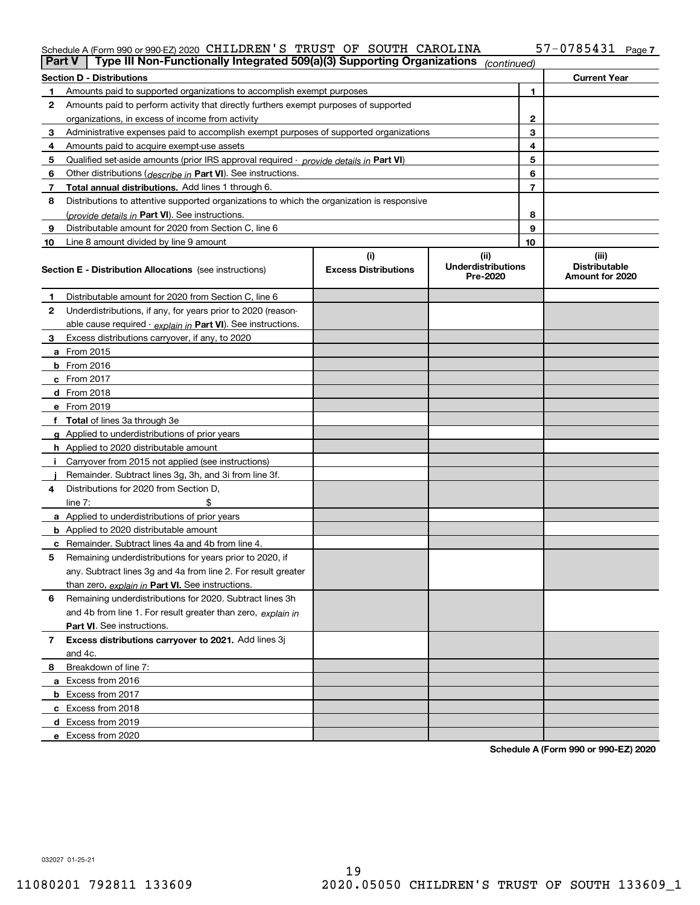#### Schedule A (Form 990 or 990-EZ) 2020 Page CHILDREN'S TRUST OF SOUTH CAROLINA 57-0785431

| Part V | Type III Non-Functionally Integrated 509(a)(3) Supporting Organizations                       |                             | (continued)                           |              |                                         |
|--------|-----------------------------------------------------------------------------------------------|-----------------------------|---------------------------------------|--------------|-----------------------------------------|
|        | <b>Section D - Distributions</b>                                                              |                             |                                       |              | <b>Current Year</b>                     |
|        | Amounts paid to supported organizations to accomplish exempt purposes                         |                             |                                       | 1            |                                         |
| 2      | Amounts paid to perform activity that directly furthers exempt purposes of supported          |                             |                                       |              |                                         |
|        | organizations, in excess of income from activity                                              |                             |                                       | $\mathbf{2}$ |                                         |
| 3      | Administrative expenses paid to accomplish exempt purposes of supported organizations         |                             |                                       | 3            |                                         |
| 4      | Amounts paid to acquire exempt-use assets                                                     |                             |                                       | 4            |                                         |
| 5      | Qualified set-aside amounts (prior IRS approval required - <i>provide details in</i> Part VI) |                             |                                       | 5            |                                         |
| 6      | Other distributions ( <i>describe in</i> Part VI). See instructions.                          |                             |                                       | 6            |                                         |
| 7      | Total annual distributions. Add lines 1 through 6.                                            |                             |                                       | 7            |                                         |
| 8      | Distributions to attentive supported organizations to which the organization is responsive    |                             |                                       |              |                                         |
|        | (provide details in Part VI). See instructions.                                               |                             |                                       | 8            |                                         |
| 9      | Distributable amount for 2020 from Section C, line 6                                          |                             |                                       | 9            |                                         |
| 10     | Line 8 amount divided by line 9 amount                                                        |                             |                                       | 10           |                                         |
|        |                                                                                               | (i)                         | (ii)                                  |              | (iii)                                   |
|        | <b>Section E - Distribution Allocations</b> (see instructions)                                | <b>Excess Distributions</b> | <b>Underdistributions</b><br>Pre-2020 |              | <b>Distributable</b><br>Amount for 2020 |
| 1      | Distributable amount for 2020 from Section C, line 6                                          |                             |                                       |              |                                         |
| 2      | Underdistributions, if any, for years prior to 2020 (reason-                                  |                             |                                       |              |                                         |
|        | able cause required - explain in Part VI). See instructions.                                  |                             |                                       |              |                                         |
| 3      | Excess distributions carryover, if any, to 2020                                               |                             |                                       |              |                                         |
|        | a From 2015                                                                                   |                             |                                       |              |                                         |
|        | $b$ From 2016                                                                                 |                             |                                       |              |                                         |
|        | $c$ From 2017                                                                                 |                             |                                       |              |                                         |
|        | <b>d</b> From 2018                                                                            |                             |                                       |              |                                         |
|        | e From 2019                                                                                   |                             |                                       |              |                                         |
|        | f Total of lines 3a through 3e                                                                |                             |                                       |              |                                         |
|        | g Applied to underdistributions of prior years                                                |                             |                                       |              |                                         |
|        | h Applied to 2020 distributable amount                                                        |                             |                                       |              |                                         |
|        | Carryover from 2015 not applied (see instructions)                                            |                             |                                       |              |                                         |
|        | Remainder. Subtract lines 3g, 3h, and 3i from line 3f.                                        |                             |                                       |              |                                         |
| 4      | Distributions for 2020 from Section D,                                                        |                             |                                       |              |                                         |
|        | line $7:$                                                                                     |                             |                                       |              |                                         |
|        | a Applied to underdistributions of prior years                                                |                             |                                       |              |                                         |
|        | <b>b</b> Applied to 2020 distributable amount                                                 |                             |                                       |              |                                         |
|        | c Remainder. Subtract lines 4a and 4b from line 4.                                            |                             |                                       |              |                                         |
| 5      | Remaining underdistributions for years prior to 2020, if                                      |                             |                                       |              |                                         |
|        | any. Subtract lines 3g and 4a from line 2. For result greater                                 |                             |                                       |              |                                         |
|        | than zero, explain in Part VI. See instructions.                                              |                             |                                       |              |                                         |
| 6      | Remaining underdistributions for 2020. Subtract lines 3h                                      |                             |                                       |              |                                         |
|        | and 4b from line 1. For result greater than zero, explain in                                  |                             |                                       |              |                                         |
|        | Part VI. See instructions.                                                                    |                             |                                       |              |                                         |
| 7      | Excess distributions carryover to 2021. Add lines 3j                                          |                             |                                       |              |                                         |
|        | and 4c.                                                                                       |                             |                                       |              |                                         |
| 8      | Breakdown of line 7:                                                                          |                             |                                       |              |                                         |
|        | a Excess from 2016                                                                            |                             |                                       |              |                                         |
|        | <b>b</b> Excess from 2017                                                                     |                             |                                       |              |                                         |
|        | c Excess from 2018                                                                            |                             |                                       |              |                                         |
|        | d Excess from 2019                                                                            |                             |                                       |              |                                         |
|        | e Excess from 2020                                                                            |                             |                                       |              |                                         |

**Schedule A (Form 990 or 990-EZ) 2020**

032027 01-25-21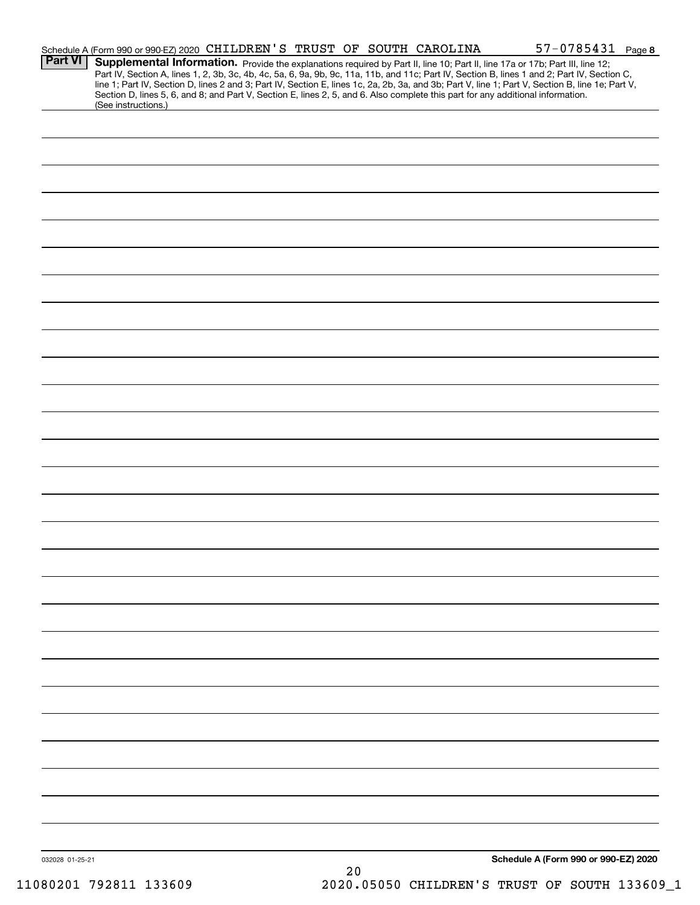|                 | Schedule A (Form 990 or 990-EZ) 2020 CHILDREN'S TRUST OF SOUTH CAROLINA                                                                                |    |  | $57 - 0785431$ Page 8                                                                                                                                                                                                                                                                                                                                                                                                             |  |
|-----------------|--------------------------------------------------------------------------------------------------------------------------------------------------------|----|--|-----------------------------------------------------------------------------------------------------------------------------------------------------------------------------------------------------------------------------------------------------------------------------------------------------------------------------------------------------------------------------------------------------------------------------------|--|
| <b>Part VI</b>  |                                                                                                                                                        |    |  | Supplemental Information. Provide the explanations required by Part II, line 10; Part II, line 17a or 17b; Part III, line 12;<br>Part IV, Section A, lines 1, 2, 3b, 3c, 4b, 4c, 5a, 6, 9a, 9b, 9c, 11a, 11b, and 11c; Part IV, Section B, lines 1 and 2; Part IV, Section C,<br>line 1; Part IV, Section D, lines 2 and 3; Part IV, Section E, lines 1c, 2a, 2b, 3a, and 3b; Part V, line 1; Part V, Section B, line 1e; Part V, |  |
|                 | Section D, lines 5, 6, and 8; and Part V, Section E, lines 2, 5, and 6. Also complete this part for any additional information.<br>(See instructions.) |    |  |                                                                                                                                                                                                                                                                                                                                                                                                                                   |  |
|                 |                                                                                                                                                        |    |  |                                                                                                                                                                                                                                                                                                                                                                                                                                   |  |
|                 |                                                                                                                                                        |    |  |                                                                                                                                                                                                                                                                                                                                                                                                                                   |  |
|                 |                                                                                                                                                        |    |  |                                                                                                                                                                                                                                                                                                                                                                                                                                   |  |
|                 |                                                                                                                                                        |    |  |                                                                                                                                                                                                                                                                                                                                                                                                                                   |  |
|                 |                                                                                                                                                        |    |  |                                                                                                                                                                                                                                                                                                                                                                                                                                   |  |
|                 |                                                                                                                                                        |    |  |                                                                                                                                                                                                                                                                                                                                                                                                                                   |  |
|                 |                                                                                                                                                        |    |  |                                                                                                                                                                                                                                                                                                                                                                                                                                   |  |
|                 |                                                                                                                                                        |    |  |                                                                                                                                                                                                                                                                                                                                                                                                                                   |  |
|                 |                                                                                                                                                        |    |  |                                                                                                                                                                                                                                                                                                                                                                                                                                   |  |
|                 |                                                                                                                                                        |    |  |                                                                                                                                                                                                                                                                                                                                                                                                                                   |  |
|                 |                                                                                                                                                        |    |  |                                                                                                                                                                                                                                                                                                                                                                                                                                   |  |
|                 |                                                                                                                                                        |    |  |                                                                                                                                                                                                                                                                                                                                                                                                                                   |  |
|                 |                                                                                                                                                        |    |  |                                                                                                                                                                                                                                                                                                                                                                                                                                   |  |
|                 |                                                                                                                                                        |    |  |                                                                                                                                                                                                                                                                                                                                                                                                                                   |  |
|                 |                                                                                                                                                        |    |  |                                                                                                                                                                                                                                                                                                                                                                                                                                   |  |
|                 |                                                                                                                                                        |    |  |                                                                                                                                                                                                                                                                                                                                                                                                                                   |  |
|                 |                                                                                                                                                        |    |  |                                                                                                                                                                                                                                                                                                                                                                                                                                   |  |
|                 |                                                                                                                                                        |    |  |                                                                                                                                                                                                                                                                                                                                                                                                                                   |  |
|                 |                                                                                                                                                        |    |  |                                                                                                                                                                                                                                                                                                                                                                                                                                   |  |
|                 |                                                                                                                                                        |    |  |                                                                                                                                                                                                                                                                                                                                                                                                                                   |  |
|                 |                                                                                                                                                        |    |  |                                                                                                                                                                                                                                                                                                                                                                                                                                   |  |
|                 |                                                                                                                                                        |    |  |                                                                                                                                                                                                                                                                                                                                                                                                                                   |  |
|                 |                                                                                                                                                        |    |  |                                                                                                                                                                                                                                                                                                                                                                                                                                   |  |
|                 |                                                                                                                                                        |    |  |                                                                                                                                                                                                                                                                                                                                                                                                                                   |  |
|                 |                                                                                                                                                        |    |  |                                                                                                                                                                                                                                                                                                                                                                                                                                   |  |
|                 |                                                                                                                                                        |    |  |                                                                                                                                                                                                                                                                                                                                                                                                                                   |  |
|                 |                                                                                                                                                        |    |  |                                                                                                                                                                                                                                                                                                                                                                                                                                   |  |
|                 |                                                                                                                                                        |    |  |                                                                                                                                                                                                                                                                                                                                                                                                                                   |  |
|                 |                                                                                                                                                        |    |  |                                                                                                                                                                                                                                                                                                                                                                                                                                   |  |
|                 |                                                                                                                                                        |    |  |                                                                                                                                                                                                                                                                                                                                                                                                                                   |  |
|                 |                                                                                                                                                        |    |  |                                                                                                                                                                                                                                                                                                                                                                                                                                   |  |
|                 |                                                                                                                                                        |    |  |                                                                                                                                                                                                                                                                                                                                                                                                                                   |  |
|                 |                                                                                                                                                        |    |  |                                                                                                                                                                                                                                                                                                                                                                                                                                   |  |
|                 |                                                                                                                                                        |    |  |                                                                                                                                                                                                                                                                                                                                                                                                                                   |  |
|                 |                                                                                                                                                        |    |  |                                                                                                                                                                                                                                                                                                                                                                                                                                   |  |
| 032028 01-25-21 |                                                                                                                                                        | 20 |  | Schedule A (Form 990 or 990-EZ) 2020                                                                                                                                                                                                                                                                                                                                                                                              |  |
|                 |                                                                                                                                                        |    |  |                                                                                                                                                                                                                                                                                                                                                                                                                                   |  |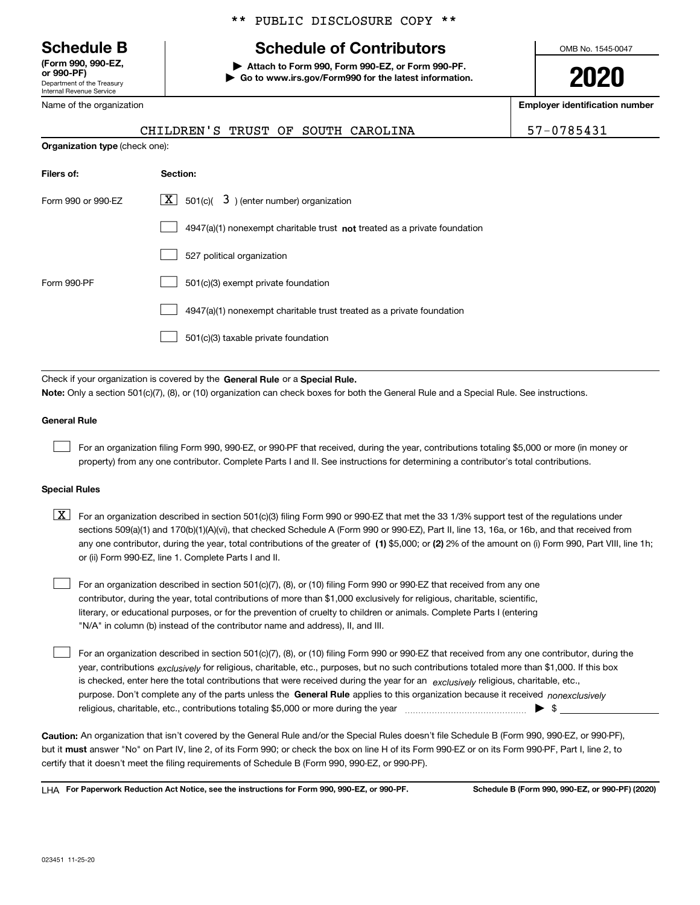Department of the Treasury Internal Revenue Service **(Form 990, 990-EZ, or 990-PF)**

Name of the organization

# \*\* PUBLIC DISCLOSURE COPY \*\*

# **Schedule B Schedule of Contributors**

**| Attach to Form 990, Form 990-EZ, or Form 990-PF. | Go to www.irs.gov/Form990 for the latest information.** OMB No. 1545-0047

**2020**

**Employer identification number**

|                                       | CHILDREN'S TRUST O |  |
|---------------------------------------|--------------------|--|
| <b>Organization type</b> (check one): |                    |  |

F SOUTH CAROLINA  $\vert$  57-0785431

| Filers of:         | Section:                                                                           |
|--------------------|------------------------------------------------------------------------------------|
| Form 990 or 990-EZ | $\boxed{\textbf{X}}$ 501(c)( 3) (enter number) organization                        |
|                    | $4947(a)(1)$ nonexempt charitable trust <b>not</b> treated as a private foundation |
|                    | 527 political organization                                                         |
| Form 990-PF        | 501(c)(3) exempt private foundation                                                |
|                    | 4947(a)(1) nonexempt charitable trust treated as a private foundation              |
|                    | 501(c)(3) taxable private foundation                                               |

Check if your organization is covered by the **General Rule** or a **Special Rule. Note:**  Only a section 501(c)(7), (8), or (10) organization can check boxes for both the General Rule and a Special Rule. See instructions.

#### **General Rule**

 $\mathcal{L}^{\text{max}}$ 

For an organization filing Form 990, 990-EZ, or 990-PF that received, during the year, contributions totaling \$5,000 or more (in money or property) from any one contributor. Complete Parts I and II. See instructions for determining a contributor's total contributions.

#### **Special Rules**

any one contributor, during the year, total contributions of the greater of  $\,$  (1) \$5,000; or **(2)** 2% of the amount on (i) Form 990, Part VIII, line 1h;  $\boxed{\textbf{X}}$  For an organization described in section 501(c)(3) filing Form 990 or 990-EZ that met the 33 1/3% support test of the regulations under sections 509(a)(1) and 170(b)(1)(A)(vi), that checked Schedule A (Form 990 or 990-EZ), Part II, line 13, 16a, or 16b, and that received from or (ii) Form 990-EZ, line 1. Complete Parts I and II.

For an organization described in section 501(c)(7), (8), or (10) filing Form 990 or 990-EZ that received from any one contributor, during the year, total contributions of more than \$1,000 exclusively for religious, charitable, scientific, literary, or educational purposes, or for the prevention of cruelty to children or animals. Complete Parts I (entering "N/A" in column (b) instead of the contributor name and address), II, and III.  $\mathcal{L}^{\text{max}}$ 

purpose. Don't complete any of the parts unless the **General Rule** applies to this organization because it received *nonexclusively* year, contributions <sub>exclusively</sub> for religious, charitable, etc., purposes, but no such contributions totaled more than \$1,000. If this box is checked, enter here the total contributions that were received during the year for an  $\;$ exclusively religious, charitable, etc., For an organization described in section 501(c)(7), (8), or (10) filing Form 990 or 990-EZ that received from any one contributor, during the religious, charitable, etc., contributions totaling \$5,000 or more during the year  $\Box$ — $\Box$   $\Box$  $\mathcal{L}^{\text{max}}$ 

**Caution:**  An organization that isn't covered by the General Rule and/or the Special Rules doesn't file Schedule B (Form 990, 990-EZ, or 990-PF),  **must** but it answer "No" on Part IV, line 2, of its Form 990; or check the box on line H of its Form 990-EZ or on its Form 990-PF, Part I, line 2, to certify that it doesn't meet the filing requirements of Schedule B (Form 990, 990-EZ, or 990-PF).

**For Paperwork Reduction Act Notice, see the instructions for Form 990, 990-EZ, or 990-PF. Schedule B (Form 990, 990-EZ, or 990-PF) (2020)** LHA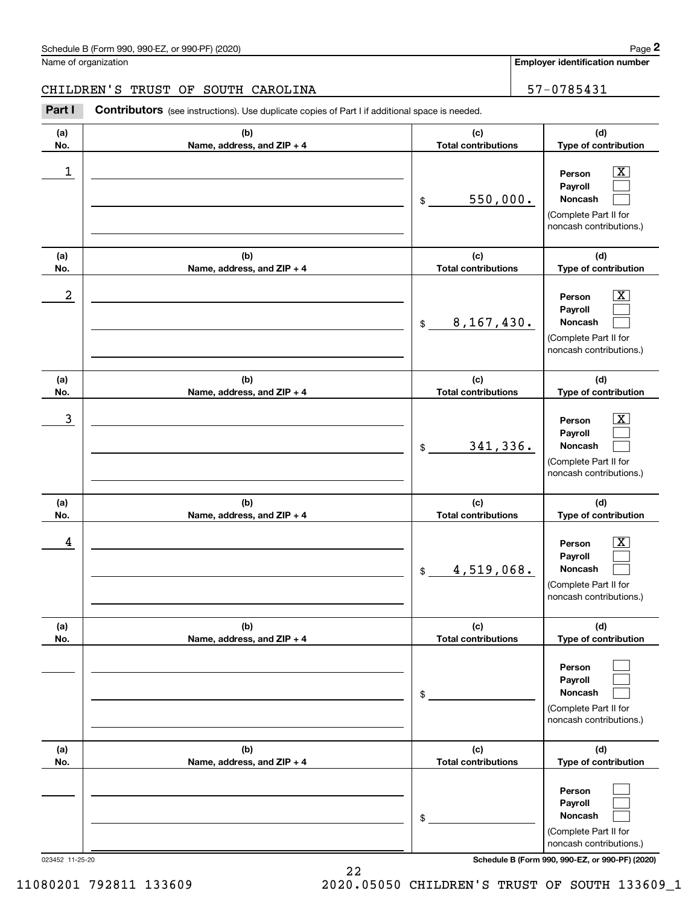**Employer identification number**

#### CHILDREN'S TRUST OF SOUTH CAROLINA 67-0785431

Chedule B (Form 990, 990-EZ, or 990-PF) (2020)<br>
lame of organization<br> **2PART I Contributors** (see instructions). Use duplicate copies of Part I if additional space is needed.<br> **2Part I Contributors** (see instructions).

| (a)<br>No. | (b)<br>Name, address, and ZIP + 4 | (c)<br><b>Total contributions</b> | (d)<br>Type of contribution                                                                                 |
|------------|-----------------------------------|-----------------------------------|-------------------------------------------------------------------------------------------------------------|
| 1          |                                   | 550,000.<br>\$                    | $\overline{\mathbf{X}}$<br>Person<br>Payroll<br>Noncash<br>(Complete Part II for<br>noncash contributions.) |
| (a)<br>No. | (b)<br>Name, address, and ZIP + 4 | (c)<br><b>Total contributions</b> | (d)<br>Type of contribution                                                                                 |
| 2          |                                   | 8,167,430.<br>\$                  | $\overline{\text{X}}$<br>Person<br>Payroll<br>Noncash<br>(Complete Part II for<br>noncash contributions.)   |
| (a)<br>No. | (b)<br>Name, address, and ZIP + 4 | (c)<br><b>Total contributions</b> | (d)<br>Type of contribution                                                                                 |
| 3          |                                   | 341,336.<br>\$                    | $\overline{\text{X}}$<br>Person<br>Payroll<br>Noncash<br>(Complete Part II for<br>noncash contributions.)   |
| (a)<br>No. | (b)<br>Name, address, and ZIP + 4 | (c)<br><b>Total contributions</b> | (d)<br>Type of contribution                                                                                 |
| 4          |                                   | 4,519,068.<br>$\mathfrak{S}$      | $\overline{\text{X}}$<br>Person<br>Payroll<br>Noncash<br>(Complete Part II for<br>noncash contributions.)   |
| (a)<br>No. | (b)<br>Name, address, and ZIP + 4 | (c)<br><b>Total contributions</b> | (d)<br>Type of contribution                                                                                 |
|            |                                   | \$                                | Person<br>Payroll<br>Noncash<br>(Complete Part II for<br>noncash contributions.)                            |
| (a)<br>No. | (b)<br>Name, address, and ZIP + 4 | (c)<br><b>Total contributions</b> | (d)<br>Type of contribution                                                                                 |
|            |                                   | \$                                | Person<br>Payroll<br>Noncash<br>(Complete Part II for<br>noncash contributions.)                            |

023452 11-25-20 **Schedule B (Form 990, 990-EZ, or 990-PF) (2020)**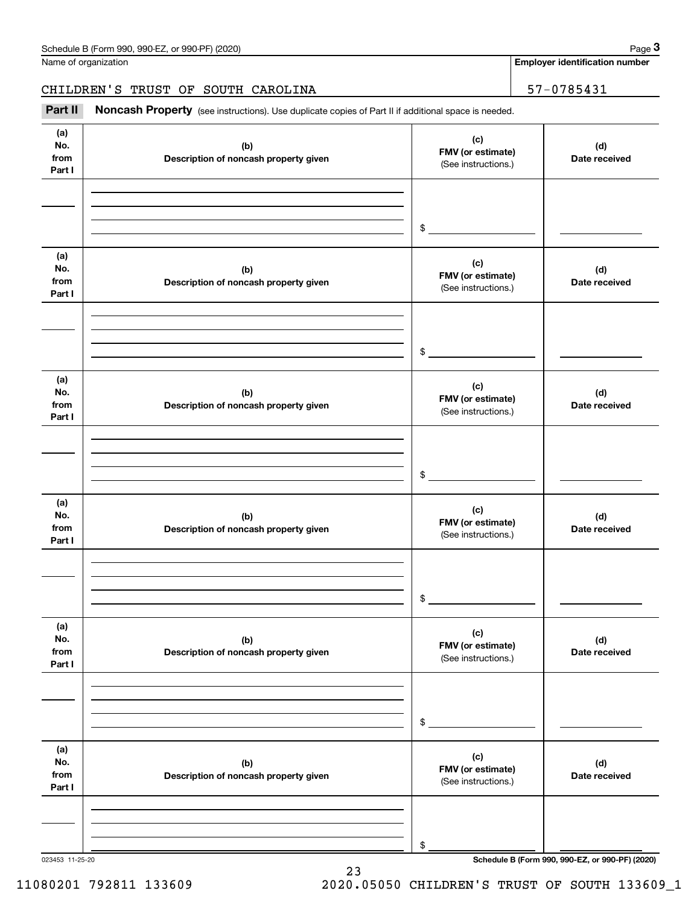|                              | Schedule B (Form 990, 990-EZ, or 990-PF) (2020)                                                     |                                                 | Page 3                                |
|------------------------------|-----------------------------------------------------------------------------------------------------|-------------------------------------------------|---------------------------------------|
|                              | Name of organization                                                                                |                                                 | <b>Employer identification number</b> |
|                              | CHILDREN'S TRUST OF SOUTH CAROLINA                                                                  |                                                 | 57-0785431                            |
| Part II                      | Noncash Property (see instructions). Use duplicate copies of Part II if additional space is needed. |                                                 |                                       |
| (a)<br>No.<br>from<br>Part I | (b)<br>Description of noncash property given                                                        | (c)<br>FMV (or estimate)<br>(See instructions.) | (d)<br>Date received                  |
|                              |                                                                                                     | \$                                              |                                       |
| (a)<br>No.<br>from<br>Part I | (b)<br>Description of noncash property given                                                        | (c)<br>FMV (or estimate)<br>(See instructions.) | (d)<br>Date received                  |
|                              |                                                                                                     | \$                                              |                                       |
| (a)<br>No.<br>from<br>Part I | (b)<br>Description of noncash property given                                                        | (c)<br>FMV (or estimate)<br>(See instructions.) | (d)<br>Date received                  |
|                              |                                                                                                     | \$                                              |                                       |
| (a)<br>No.<br>from<br>Part I | (b)<br>Description of noncash property given                                                        | (c)<br>FMV (or estimate)<br>(See instructions.) | (d)<br>Date received                  |
|                              |                                                                                                     | \$                                              |                                       |
| (a)<br>No.<br>from<br>Part I | (b)<br>Description of noncash property given                                                        | (c)<br>FMV (or estimate)<br>(See instructions.) | (d)<br>Date received                  |
|                              |                                                                                                     | \$                                              |                                       |
| (a)<br>No.<br>from<br>Part I | (b)<br>Description of noncash property given                                                        | (c)<br>FMV (or estimate)<br>(See instructions.) | (d)<br>Date received                  |
|                              |                                                                                                     | \$                                              |                                       |

23

023453 11-25-20 **Schedule B (Form 990, 990-EZ, or 990-PF) (2020)**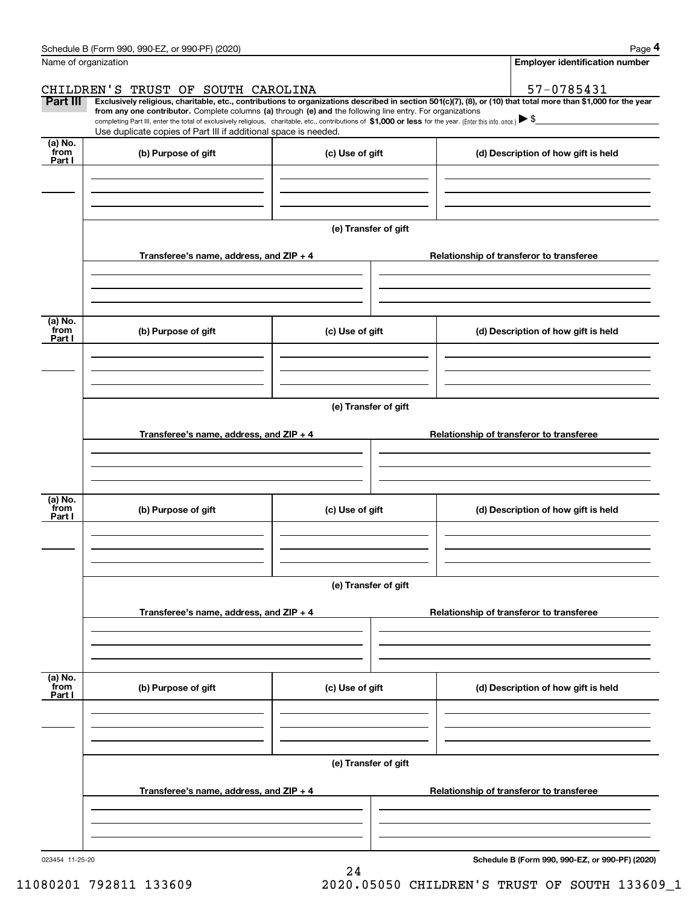|                           | Schedule B (Form 990, 990-EZ, or 990-PF) (2020)                                                                                                                                                                                                                              |                      |  | Page 4                                          |  |  |  |
|---------------------------|------------------------------------------------------------------------------------------------------------------------------------------------------------------------------------------------------------------------------------------------------------------------------|----------------------|--|-------------------------------------------------|--|--|--|
| Name of organization      |                                                                                                                                                                                                                                                                              |                      |  | <b>Employer identification number</b>           |  |  |  |
|                           | CHILDREN'S TRUST OF SOUTH CAROLINA                                                                                                                                                                                                                                           |                      |  | 57-0785431                                      |  |  |  |
| Part III                  | Exclusively religious, charitable, etc., contributions to organizations described in section 501(c)(7), (8), or (10) that total more than \$1,000 for the year<br>from any one contributor. Complete columns (a) through (e) and the following line entry. For organizations |                      |  |                                                 |  |  |  |
|                           | completing Part III, enter the total of exclusively religious, charitable, etc., contributions of \$1,000 or less for the year. (Enter this info. once.) $\blacktriangleright$ \$<br>Use duplicate copies of Part III if additional space is needed.                         |                      |  |                                                 |  |  |  |
| (a) No.                   |                                                                                                                                                                                                                                                                              |                      |  |                                                 |  |  |  |
| from<br>Part I            | (b) Purpose of gift                                                                                                                                                                                                                                                          | (c) Use of gift      |  | (d) Description of how gift is held             |  |  |  |
|                           |                                                                                                                                                                                                                                                                              |                      |  |                                                 |  |  |  |
|                           |                                                                                                                                                                                                                                                                              |                      |  |                                                 |  |  |  |
|                           |                                                                                                                                                                                                                                                                              |                      |  |                                                 |  |  |  |
|                           |                                                                                                                                                                                                                                                                              | (e) Transfer of gift |  |                                                 |  |  |  |
|                           | Transferee's name, address, and ZIP + 4                                                                                                                                                                                                                                      |                      |  | Relationship of transferor to transferee        |  |  |  |
|                           |                                                                                                                                                                                                                                                                              |                      |  |                                                 |  |  |  |
|                           |                                                                                                                                                                                                                                                                              |                      |  |                                                 |  |  |  |
|                           |                                                                                                                                                                                                                                                                              |                      |  |                                                 |  |  |  |
| (a) No.<br>from           | (b) Purpose of gift                                                                                                                                                                                                                                                          | (c) Use of gift      |  | (d) Description of how gift is held             |  |  |  |
| Part I                    |                                                                                                                                                                                                                                                                              |                      |  |                                                 |  |  |  |
|                           |                                                                                                                                                                                                                                                                              |                      |  |                                                 |  |  |  |
|                           |                                                                                                                                                                                                                                                                              |                      |  |                                                 |  |  |  |
|                           | (e) Transfer of gift                                                                                                                                                                                                                                                         |                      |  |                                                 |  |  |  |
|                           | Transferee's name, address, and ZIP + 4<br>Relationship of transferor to transferee                                                                                                                                                                                          |                      |  |                                                 |  |  |  |
|                           |                                                                                                                                                                                                                                                                              |                      |  |                                                 |  |  |  |
|                           |                                                                                                                                                                                                                                                                              |                      |  |                                                 |  |  |  |
|                           |                                                                                                                                                                                                                                                                              |                      |  |                                                 |  |  |  |
| (a) No.<br>from           |                                                                                                                                                                                                                                                                              |                      |  |                                                 |  |  |  |
| Part I                    | (b) Purpose of gift                                                                                                                                                                                                                                                          | (c) Use of gift      |  | (d) Description of how gift is held             |  |  |  |
|                           |                                                                                                                                                                                                                                                                              |                      |  |                                                 |  |  |  |
|                           |                                                                                                                                                                                                                                                                              |                      |  |                                                 |  |  |  |
|                           |                                                                                                                                                                                                                                                                              | (e) Transfer of gift |  |                                                 |  |  |  |
|                           |                                                                                                                                                                                                                                                                              |                      |  |                                                 |  |  |  |
|                           | Transferee's name, address, and $ZIP + 4$                                                                                                                                                                                                                                    |                      |  | Relationship of transferor to transferee        |  |  |  |
|                           |                                                                                                                                                                                                                                                                              |                      |  |                                                 |  |  |  |
|                           |                                                                                                                                                                                                                                                                              |                      |  |                                                 |  |  |  |
|                           |                                                                                                                                                                                                                                                                              |                      |  |                                                 |  |  |  |
| (a) No.<br>from<br>Part I | (b) Purpose of gift                                                                                                                                                                                                                                                          | (c) Use of gift      |  | (d) Description of how gift is held             |  |  |  |
|                           |                                                                                                                                                                                                                                                                              |                      |  |                                                 |  |  |  |
|                           |                                                                                                                                                                                                                                                                              |                      |  |                                                 |  |  |  |
|                           |                                                                                                                                                                                                                                                                              |                      |  |                                                 |  |  |  |
|                           |                                                                                                                                                                                                                                                                              | (e) Transfer of gift |  |                                                 |  |  |  |
|                           | Transferee's name, address, and $ZIP + 4$                                                                                                                                                                                                                                    |                      |  | Relationship of transferor to transferee        |  |  |  |
|                           |                                                                                                                                                                                                                                                                              |                      |  |                                                 |  |  |  |
|                           |                                                                                                                                                                                                                                                                              |                      |  |                                                 |  |  |  |
|                           |                                                                                                                                                                                                                                                                              |                      |  |                                                 |  |  |  |
| 023454 11-25-20           |                                                                                                                                                                                                                                                                              |                      |  | Schedule B (Form 990, 990-FZ, or 990-PF) (2020) |  |  |  |

24

023454 11-25-20

**Schedule B (Form 990, 990-EZ, or 990-PF) (2020)**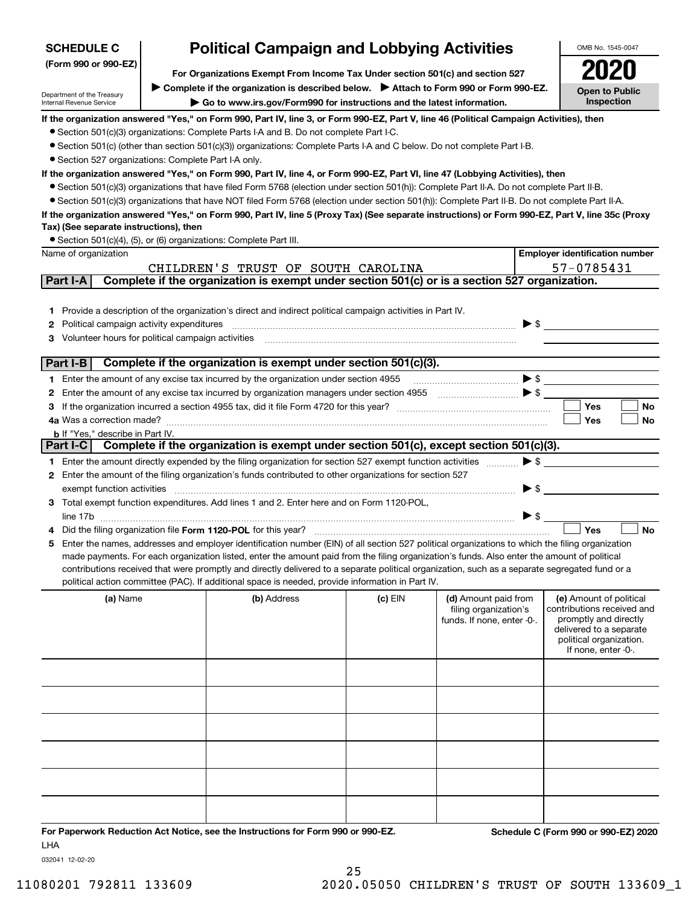| <b>SCHEDULE C</b>                                                                                       |                                                                               | <b>Political Campaign and Lobbying Activities</b>                                                                                                                                                                                                                                                                                                                                                                                                                                                                                                                                    |           |                                                                             |                          | OMB No. 1545-0047                                                                                                                                           |
|---------------------------------------------------------------------------------------------------------|-------------------------------------------------------------------------------|--------------------------------------------------------------------------------------------------------------------------------------------------------------------------------------------------------------------------------------------------------------------------------------------------------------------------------------------------------------------------------------------------------------------------------------------------------------------------------------------------------------------------------------------------------------------------------------|-----------|-----------------------------------------------------------------------------|--------------------------|-------------------------------------------------------------------------------------------------------------------------------------------------------------|
| (Form 990 or 990-EZ)                                                                                    | For Organizations Exempt From Income Tax Under section 501(c) and section 527 |                                                                                                                                                                                                                                                                                                                                                                                                                                                                                                                                                                                      |           |                                                                             |                          |                                                                                                                                                             |
| Department of the Treasury<br>Internal Revenue Service                                                  |                                                                               | ▶ Complete if the organization is described below. ▶ Attach to Form 990 or Form 990-EZ.<br>Go to www.irs.gov/Form990 for instructions and the latest information.                                                                                                                                                                                                                                                                                                                                                                                                                    |           |                                                                             |                          | <b>Open to Public</b><br>Inspection                                                                                                                         |
| • Section 527 organizations: Complete Part I-A only.                                                    |                                                                               | If the organization answered "Yes," on Form 990, Part IV, line 3, or Form 990-EZ, Part V, line 46 (Political Campaign Activities), then<br>• Section 501(c)(3) organizations: Complete Parts I-A and B. Do not complete Part I-C.<br>● Section 501(c) (other than section 501(c)(3)) organizations: Complete Parts I-A and C below. Do not complete Part I-B.                                                                                                                                                                                                                        |           |                                                                             |                          |                                                                                                                                                             |
|                                                                                                         |                                                                               | If the organization answered "Yes," on Form 990, Part IV, line 4, or Form 990-EZ, Part VI, line 47 (Lobbying Activities), then<br>• Section 501(c)(3) organizations that have filed Form 5768 (election under section 501(h)): Complete Part II-A. Do not complete Part II-B.<br>• Section 501(c)(3) organizations that have NOT filed Form 5768 (election under section 501(h)): Complete Part II-B. Do not complete Part II-A.<br>If the organization answered "Yes," on Form 990, Part IV, line 5 (Proxy Tax) (See separate instructions) or Form 990-EZ, Part V, line 35c (Proxy |           |                                                                             |                          |                                                                                                                                                             |
| Tax) (See separate instructions), then                                                                  |                                                                               | • Section 501(c)(4), (5), or (6) organizations: Complete Part III.                                                                                                                                                                                                                                                                                                                                                                                                                                                                                                                   |           |                                                                             |                          |                                                                                                                                                             |
| Name of organization<br>Part I-A                                                                        |                                                                               | CHILDREN'S TRUST OF SOUTH CAROLINA<br>Complete if the organization is exempt under section 501(c) or is a section 527 organization.                                                                                                                                                                                                                                                                                                                                                                                                                                                  |           |                                                                             |                          | <b>Employer identification number</b><br>57-0785431                                                                                                         |
| Political campaign activity expenditures<br>2<br>Volunteer hours for political campaign activities<br>3 |                                                                               | 1 Provide a description of the organization's direct and indirect political campaign activities in Part IV.                                                                                                                                                                                                                                                                                                                                                                                                                                                                          |           |                                                                             | $\blacktriangleright$ \$ |                                                                                                                                                             |
| Part I-B                                                                                                |                                                                               | Complete if the organization is exempt under section 501(c)(3).                                                                                                                                                                                                                                                                                                                                                                                                                                                                                                                      |           |                                                                             |                          |                                                                                                                                                             |
|                                                                                                         |                                                                               | 1 Enter the amount of any excise tax incurred by the organization under section 4955                                                                                                                                                                                                                                                                                                                                                                                                                                                                                                 |           |                                                                             | $\blacktriangleright$ \$ |                                                                                                                                                             |
|                                                                                                         |                                                                               | 2 Enter the amount of any excise tax incurred by organization managers under section 4955                                                                                                                                                                                                                                                                                                                                                                                                                                                                                            |           |                                                                             | $\blacktriangleright$ \$ |                                                                                                                                                             |
| з                                                                                                       |                                                                               |                                                                                                                                                                                                                                                                                                                                                                                                                                                                                                                                                                                      |           |                                                                             |                          | <b>Yes</b><br>No                                                                                                                                            |
| 4a Was a correction made?                                                                               |                                                                               |                                                                                                                                                                                                                                                                                                                                                                                                                                                                                                                                                                                      |           |                                                                             |                          | Yes<br>No                                                                                                                                                   |
| <b>b</b> If "Yes," describe in Part IV.<br>Part I-C                                                     |                                                                               | Complete if the organization is exempt under section 501(c), except section 501(c)(3).                                                                                                                                                                                                                                                                                                                                                                                                                                                                                               |           |                                                                             |                          |                                                                                                                                                             |
|                                                                                                         |                                                                               | 1 Enter the amount directly expended by the filing organization for section 527 exempt function activities                                                                                                                                                                                                                                                                                                                                                                                                                                                                           |           |                                                                             | $\blacktriangleright$ \$ |                                                                                                                                                             |
|                                                                                                         |                                                                               | 2 Enter the amount of the filing organization's funds contributed to other organizations for section 527                                                                                                                                                                                                                                                                                                                                                                                                                                                                             |           |                                                                             |                          |                                                                                                                                                             |
| exempt function activities                                                                              |                                                                               |                                                                                                                                                                                                                                                                                                                                                                                                                                                                                                                                                                                      |           |                                                                             | $\blacktriangleright$ \$ |                                                                                                                                                             |
| line 17b                                                                                                |                                                                               | 3 Total exempt function expenditures. Add lines 1 and 2. Enter here and on Form 1120-POL,                                                                                                                                                                                                                                                                                                                                                                                                                                                                                            |           |                                                                             | ▶ \$                     |                                                                                                                                                             |
|                                                                                                         |                                                                               | Did the filing organization file Form 1120-POL for this year?                                                                                                                                                                                                                                                                                                                                                                                                                                                                                                                        |           |                                                                             |                          | Yes<br><b>No</b>                                                                                                                                            |
|                                                                                                         |                                                                               | 5 Enter the names, addresses and employer identification number (EIN) of all section 527 political organizations to which the filing organization                                                                                                                                                                                                                                                                                                                                                                                                                                    |           |                                                                             |                          |                                                                                                                                                             |
|                                                                                                         |                                                                               | made payments. For each organization listed, enter the amount paid from the filing organization's funds. Also enter the amount of political                                                                                                                                                                                                                                                                                                                                                                                                                                          |           |                                                                             |                          |                                                                                                                                                             |
|                                                                                                         |                                                                               | contributions received that were promptly and directly delivered to a separate political organization, such as a separate segregated fund or a                                                                                                                                                                                                                                                                                                                                                                                                                                       |           |                                                                             |                          |                                                                                                                                                             |
|                                                                                                         |                                                                               | political action committee (PAC). If additional space is needed, provide information in Part IV.                                                                                                                                                                                                                                                                                                                                                                                                                                                                                     |           |                                                                             |                          |                                                                                                                                                             |
| (a) Name                                                                                                |                                                                               | (b) Address                                                                                                                                                                                                                                                                                                                                                                                                                                                                                                                                                                          | $(c)$ EIN | (d) Amount paid from<br>filing organization's<br>funds. If none, enter -0-. |                          | (e) Amount of political<br>contributions received and<br>promptly and directly<br>delivered to a separate<br>political organization.<br>If none, enter -0-. |
|                                                                                                         |                                                                               |                                                                                                                                                                                                                                                                                                                                                                                                                                                                                                                                                                                      |           |                                                                             |                          |                                                                                                                                                             |
|                                                                                                         |                                                                               |                                                                                                                                                                                                                                                                                                                                                                                                                                                                                                                                                                                      |           |                                                                             |                          |                                                                                                                                                             |
|                                                                                                         |                                                                               |                                                                                                                                                                                                                                                                                                                                                                                                                                                                                                                                                                                      |           |                                                                             |                          |                                                                                                                                                             |
|                                                                                                         |                                                                               |                                                                                                                                                                                                                                                                                                                                                                                                                                                                                                                                                                                      |           |                                                                             |                          |                                                                                                                                                             |
|                                                                                                         |                                                                               |                                                                                                                                                                                                                                                                                                                                                                                                                                                                                                                                                                                      |           |                                                                             |                          |                                                                                                                                                             |
|                                                                                                         |                                                                               |                                                                                                                                                                                                                                                                                                                                                                                                                                                                                                                                                                                      |           |                                                                             |                          |                                                                                                                                                             |
|                                                                                                         |                                                                               | For Paperwork Reduction Act Notice, see the Instructions for Form 990 or 990-EZ.                                                                                                                                                                                                                                                                                                                                                                                                                                                                                                     |           |                                                                             |                          | Schedule C (Form 990 or 990-EZ) 2020                                                                                                                        |

032041 12-02-20

LHA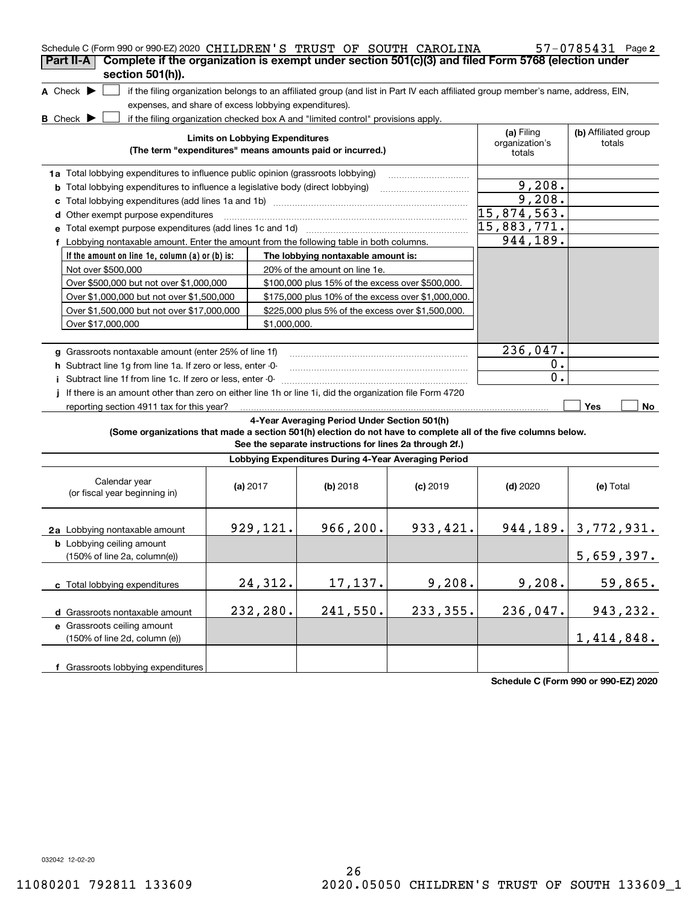| Schedule C (Form 990 or 990-EZ) 2020 CHILDREN'S TRUST OF SOUTH CAROLINA<br>Complete if the organization is exempt under section 501(c)(3) and filed Form 5768 (election under<br>Part II-A |                                        |                                                                                                                                   |            |                                        | 57-0785431 Page 2              |
|--------------------------------------------------------------------------------------------------------------------------------------------------------------------------------------------|----------------------------------------|-----------------------------------------------------------------------------------------------------------------------------------|------------|----------------------------------------|--------------------------------|
| section 501(h)).                                                                                                                                                                           |                                        |                                                                                                                                   |            |                                        |                                |
| A Check $\blacktriangleright$                                                                                                                                                              |                                        | if the filing organization belongs to an affiliated group (and list in Part IV each affiliated group member's name, address, EIN, |            |                                        |                                |
| expenses, and share of excess lobbying expenditures).                                                                                                                                      |                                        |                                                                                                                                   |            |                                        |                                |
| $B$ Check $\blacktriangleright$                                                                                                                                                            |                                        | if the filing organization checked box A and "limited control" provisions apply.                                                  |            |                                        |                                |
|                                                                                                                                                                                            | <b>Limits on Lobbying Expenditures</b> | (The term "expenditures" means amounts paid or incurred.)                                                                         |            | (a) Filing<br>organization's<br>totals | (b) Affiliated group<br>totals |
| 1a Total lobbying expenditures to influence public opinion (grassroots lobbying)                                                                                                           |                                        |                                                                                                                                   |            |                                        |                                |
| <b>b</b> Total lobbying expenditures to influence a legislative body (direct lobbying)                                                                                                     |                                        |                                                                                                                                   |            | 9,208.                                 |                                |
| с                                                                                                                                                                                          |                                        |                                                                                                                                   |            | 9,208.                                 |                                |
| Other exempt purpose expenditures<br>d                                                                                                                                                     |                                        |                                                                                                                                   |            | 15,874,563.                            |                                |
| Total exempt purpose expenditures (add lines 1c and 1d) [11] [12] manuscription contracts are responsed to the                                                                             |                                        |                                                                                                                                   |            | <u>15,883,771.</u>                     |                                |
| f Lobbying nontaxable amount. Enter the amount from the following table in both columns.                                                                                                   |                                        |                                                                                                                                   |            | 944,189.                               |                                |
| If the amount on line 1e, column (a) or (b) is:                                                                                                                                            |                                        | The lobbying nontaxable amount is:                                                                                                |            |                                        |                                |
| Not over \$500,000                                                                                                                                                                         |                                        | 20% of the amount on line 1e.                                                                                                     |            |                                        |                                |
| Over \$500,000 but not over \$1,000,000                                                                                                                                                    |                                        | \$100,000 plus 15% of the excess over \$500,000.                                                                                  |            |                                        |                                |
| Over \$1,000,000 but not over \$1,500,000                                                                                                                                                  |                                        | \$175,000 plus 10% of the excess over \$1,000,000.                                                                                |            |                                        |                                |
| Over \$1,500,000 but not over \$17,000,000                                                                                                                                                 |                                        | \$225,000 plus 5% of the excess over \$1,500,000.                                                                                 |            |                                        |                                |
| Over \$17,000,000                                                                                                                                                                          | \$1,000,000.                           |                                                                                                                                   |            |                                        |                                |
|                                                                                                                                                                                            |                                        |                                                                                                                                   |            |                                        |                                |
| g Grassroots nontaxable amount (enter 25% of line 1f)                                                                                                                                      |                                        |                                                                                                                                   |            | 236,047.                               |                                |
| h Subtract line 1g from line 1a. If zero or less, enter -0-                                                                                                                                |                                        |                                                                                                                                   |            | 0.                                     |                                |
| i Subtract line 1f from line 1c. If zero or less, enter -0-                                                                                                                                |                                        |                                                                                                                                   |            | о.                                     |                                |
| j If there is an amount other than zero on either line 1h or line 1i, did the organization file Form 4720                                                                                  |                                        |                                                                                                                                   |            |                                        |                                |
| reporting section 4911 tax for this year?                                                                                                                                                  |                                        |                                                                                                                                   |            |                                        | Yes<br>No                      |
|                                                                                                                                                                                            |                                        | 4-Year Averaging Period Under Section 501(h)                                                                                      |            |                                        |                                |
| (Some organizations that made a section 501(h) election do not have to complete all of the five columns below.                                                                             |                                        | See the separate instructions for lines 2a through 2f.)                                                                           |            |                                        |                                |
|                                                                                                                                                                                            |                                        | Lobbying Expenditures During 4-Year Averaging Period                                                                              |            |                                        |                                |
| Calendar year<br>(or fiscal year beginning in)                                                                                                                                             | (a) $2017$                             | $(b)$ 2018                                                                                                                        | $(c)$ 2019 | $(d)$ 2020                             | (e) Total                      |
| 2a Lobbying nontaxable amount                                                                                                                                                              | 929,121.                               | 966, 200.                                                                                                                         | 933, 421.  |                                        | 944, 189. 3, 772, 931.         |
| <b>b</b> Lobbying ceiling amount<br>(150% of line 2a, column(e))                                                                                                                           |                                        |                                                                                                                                   |            |                                        | 5,659,397.                     |
| c Total lobbying expenditures                                                                                                                                                              | 24,312.                                | 17,137.                                                                                                                           | 9,208.     | 9,208.                                 | 59,865.                        |
| d Grassroots nontaxable amount                                                                                                                                                             | 232,280.                               | 241,550.                                                                                                                          | 233,355.   | 236,047.                               | 943,232.                       |
| e Grassroots ceiling amount                                                                                                                                                                |                                        |                                                                                                                                   |            |                                        |                                |
| (150% of line 2d, column (e))                                                                                                                                                              |                                        |                                                                                                                                   |            |                                        | 1,414,848.                     |
|                                                                                                                                                                                            |                                        |                                                                                                                                   |            |                                        |                                |
| f Grassroots lobbying expenditures                                                                                                                                                         |                                        |                                                                                                                                   |            |                                        |                                |

**Schedule C (Form 990 or 990-EZ) 2020**

032042 12-02-20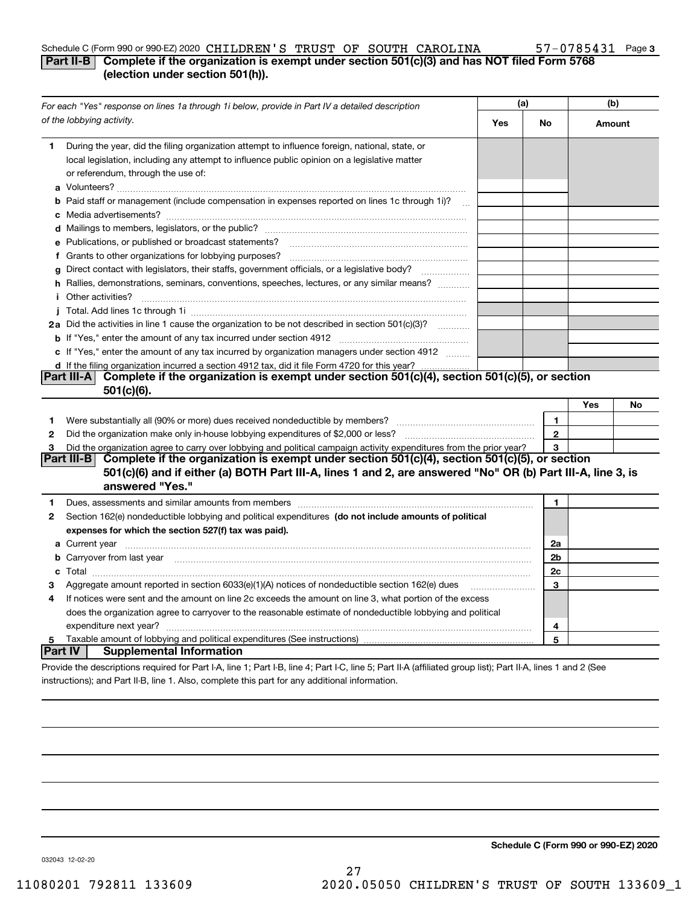### Schedule C (Form 990 or 990-EZ) 2020 CHILDREN'S TRUST OF SOUTH CAROLINA  $57-0785431$  Page

### **3**

### **Part II-B** Complete if the organization is exempt under section 501(c)(3) and has NOT filed Form 5768 **(election under section 501(h)).**

| of the lobbying activity.<br>Yes<br>No<br>Amount<br>During the year, did the filing organization attempt to influence foreign, national, state, or<br>1<br>local legislation, including any attempt to influence public opinion on a legislative matter<br>or referendum, through the use of:<br>b Paid staff or management (include compensation in expenses reported on lines 1c through 1i)?<br>e Publications, or published or broadcast statements?<br>f Grants to other organizations for lobbying purposes?<br>g Direct contact with legislators, their staffs, government officials, or a legislative body?<br>.<br>h Rallies, demonstrations, seminars, conventions, speeches, lectures, or any similar means?<br><i>i</i> Other activities?<br>2a Did the activities in line 1 cause the organization to be not described in section 501(c)(3)?<br>c If "Yes," enter the amount of any tax incurred by organization managers under section 4912<br>d If the filing organization incurred a section 4912 tax, did it file Form 4720 for this year?<br>Part III-A Complete if the organization is exempt under section 501(c)(4), section 501(c)(5), or section<br>501(c)(6).<br>Yes<br>No<br>$\blacksquare$<br>Were substantially all (90% or more) dues received nondeductible by members?<br>1<br>$\mathbf{2}$<br>Did the organization make only in house lobbying expenditures of \$2,000 or less?<br>3<br>Did the organization agree to carry over lobbying and political campaign activity expenditures from the prior year?<br>Part III-B Complete if the organization is exempt under section $501(c)(4)$ , section $501(c)(5)$ , or section<br>501(c)(6) and if either (a) BOTH Part III-A, lines 1 and 2, are answered "No" OR (b) Part III-A, line 3, is<br>answered "Yes."<br>Dues, assessments and similar amounts from members [11] matter content to assessments and similar amounts from members [11] matter content to assessments and similar amounts from members [11] matter content and the state o<br>1<br>1<br>Section 162(e) nondeductible lobbying and political expenditures (do not include amounts of political<br>$\mathbf{2}$<br>expenses for which the section 527(f) tax was paid).<br>2a<br>b Carryover from last year [11] manufactured and the contract of the contract of the contract of the contract of the contract of the contract of the contract of the contract of the contract of the contract of the contract<br>2b<br>2c |              | For each "Yes" response on lines 1a through 1i below, provide in Part IV a detailed description | (a) |   | (b) |  |
|--------------------------------------------------------------------------------------------------------------------------------------------------------------------------------------------------------------------------------------------------------------------------------------------------------------------------------------------------------------------------------------------------------------------------------------------------------------------------------------------------------------------------------------------------------------------------------------------------------------------------------------------------------------------------------------------------------------------------------------------------------------------------------------------------------------------------------------------------------------------------------------------------------------------------------------------------------------------------------------------------------------------------------------------------------------------------------------------------------------------------------------------------------------------------------------------------------------------------------------------------------------------------------------------------------------------------------------------------------------------------------------------------------------------------------------------------------------------------------------------------------------------------------------------------------------------------------------------------------------------------------------------------------------------------------------------------------------------------------------------------------------------------------------------------------------------------------------------------------------------------------------------------------------------------------------------------------------------------------------------------------------------------------------------------------------------------------------------------------------------------------------------------------------------------------------------------------------------------------------------------------------------------------------------------------------------------------------------------------------------------------------------------------------------------------------------------------------------------------|--------------|-------------------------------------------------------------------------------------------------|-----|---|-----|--|
|                                                                                                                                                                                                                                                                                                                                                                                                                                                                                                                                                                                                                                                                                                                                                                                                                                                                                                                                                                                                                                                                                                                                                                                                                                                                                                                                                                                                                                                                                                                                                                                                                                                                                                                                                                                                                                                                                                                                                                                                                                                                                                                                                                                                                                                                                                                                                                                                                                                                                |              |                                                                                                 |     |   |     |  |
|                                                                                                                                                                                                                                                                                                                                                                                                                                                                                                                                                                                                                                                                                                                                                                                                                                                                                                                                                                                                                                                                                                                                                                                                                                                                                                                                                                                                                                                                                                                                                                                                                                                                                                                                                                                                                                                                                                                                                                                                                                                                                                                                                                                                                                                                                                                                                                                                                                                                                |              |                                                                                                 |     |   |     |  |
|                                                                                                                                                                                                                                                                                                                                                                                                                                                                                                                                                                                                                                                                                                                                                                                                                                                                                                                                                                                                                                                                                                                                                                                                                                                                                                                                                                                                                                                                                                                                                                                                                                                                                                                                                                                                                                                                                                                                                                                                                                                                                                                                                                                                                                                                                                                                                                                                                                                                                |              |                                                                                                 |     |   |     |  |
|                                                                                                                                                                                                                                                                                                                                                                                                                                                                                                                                                                                                                                                                                                                                                                                                                                                                                                                                                                                                                                                                                                                                                                                                                                                                                                                                                                                                                                                                                                                                                                                                                                                                                                                                                                                                                                                                                                                                                                                                                                                                                                                                                                                                                                                                                                                                                                                                                                                                                |              |                                                                                                 |     |   |     |  |
|                                                                                                                                                                                                                                                                                                                                                                                                                                                                                                                                                                                                                                                                                                                                                                                                                                                                                                                                                                                                                                                                                                                                                                                                                                                                                                                                                                                                                                                                                                                                                                                                                                                                                                                                                                                                                                                                                                                                                                                                                                                                                                                                                                                                                                                                                                                                                                                                                                                                                |              |                                                                                                 |     |   |     |  |
|                                                                                                                                                                                                                                                                                                                                                                                                                                                                                                                                                                                                                                                                                                                                                                                                                                                                                                                                                                                                                                                                                                                                                                                                                                                                                                                                                                                                                                                                                                                                                                                                                                                                                                                                                                                                                                                                                                                                                                                                                                                                                                                                                                                                                                                                                                                                                                                                                                                                                |              |                                                                                                 |     |   |     |  |
|                                                                                                                                                                                                                                                                                                                                                                                                                                                                                                                                                                                                                                                                                                                                                                                                                                                                                                                                                                                                                                                                                                                                                                                                                                                                                                                                                                                                                                                                                                                                                                                                                                                                                                                                                                                                                                                                                                                                                                                                                                                                                                                                                                                                                                                                                                                                                                                                                                                                                |              |                                                                                                 |     |   |     |  |
|                                                                                                                                                                                                                                                                                                                                                                                                                                                                                                                                                                                                                                                                                                                                                                                                                                                                                                                                                                                                                                                                                                                                                                                                                                                                                                                                                                                                                                                                                                                                                                                                                                                                                                                                                                                                                                                                                                                                                                                                                                                                                                                                                                                                                                                                                                                                                                                                                                                                                |              |                                                                                                 |     |   |     |  |
|                                                                                                                                                                                                                                                                                                                                                                                                                                                                                                                                                                                                                                                                                                                                                                                                                                                                                                                                                                                                                                                                                                                                                                                                                                                                                                                                                                                                                                                                                                                                                                                                                                                                                                                                                                                                                                                                                                                                                                                                                                                                                                                                                                                                                                                                                                                                                                                                                                                                                |              |                                                                                                 |     |   |     |  |
|                                                                                                                                                                                                                                                                                                                                                                                                                                                                                                                                                                                                                                                                                                                                                                                                                                                                                                                                                                                                                                                                                                                                                                                                                                                                                                                                                                                                                                                                                                                                                                                                                                                                                                                                                                                                                                                                                                                                                                                                                                                                                                                                                                                                                                                                                                                                                                                                                                                                                |              |                                                                                                 |     |   |     |  |
|                                                                                                                                                                                                                                                                                                                                                                                                                                                                                                                                                                                                                                                                                                                                                                                                                                                                                                                                                                                                                                                                                                                                                                                                                                                                                                                                                                                                                                                                                                                                                                                                                                                                                                                                                                                                                                                                                                                                                                                                                                                                                                                                                                                                                                                                                                                                                                                                                                                                                |              |                                                                                                 |     |   |     |  |
|                                                                                                                                                                                                                                                                                                                                                                                                                                                                                                                                                                                                                                                                                                                                                                                                                                                                                                                                                                                                                                                                                                                                                                                                                                                                                                                                                                                                                                                                                                                                                                                                                                                                                                                                                                                                                                                                                                                                                                                                                                                                                                                                                                                                                                                                                                                                                                                                                                                                                |              |                                                                                                 |     |   |     |  |
|                                                                                                                                                                                                                                                                                                                                                                                                                                                                                                                                                                                                                                                                                                                                                                                                                                                                                                                                                                                                                                                                                                                                                                                                                                                                                                                                                                                                                                                                                                                                                                                                                                                                                                                                                                                                                                                                                                                                                                                                                                                                                                                                                                                                                                                                                                                                                                                                                                                                                |              |                                                                                                 |     |   |     |  |
|                                                                                                                                                                                                                                                                                                                                                                                                                                                                                                                                                                                                                                                                                                                                                                                                                                                                                                                                                                                                                                                                                                                                                                                                                                                                                                                                                                                                                                                                                                                                                                                                                                                                                                                                                                                                                                                                                                                                                                                                                                                                                                                                                                                                                                                                                                                                                                                                                                                                                |              |                                                                                                 |     |   |     |  |
|                                                                                                                                                                                                                                                                                                                                                                                                                                                                                                                                                                                                                                                                                                                                                                                                                                                                                                                                                                                                                                                                                                                                                                                                                                                                                                                                                                                                                                                                                                                                                                                                                                                                                                                                                                                                                                                                                                                                                                                                                                                                                                                                                                                                                                                                                                                                                                                                                                                                                |              |                                                                                                 |     |   |     |  |
|                                                                                                                                                                                                                                                                                                                                                                                                                                                                                                                                                                                                                                                                                                                                                                                                                                                                                                                                                                                                                                                                                                                                                                                                                                                                                                                                                                                                                                                                                                                                                                                                                                                                                                                                                                                                                                                                                                                                                                                                                                                                                                                                                                                                                                                                                                                                                                                                                                                                                |              |                                                                                                 |     |   |     |  |
|                                                                                                                                                                                                                                                                                                                                                                                                                                                                                                                                                                                                                                                                                                                                                                                                                                                                                                                                                                                                                                                                                                                                                                                                                                                                                                                                                                                                                                                                                                                                                                                                                                                                                                                                                                                                                                                                                                                                                                                                                                                                                                                                                                                                                                                                                                                                                                                                                                                                                |              |                                                                                                 |     |   |     |  |
|                                                                                                                                                                                                                                                                                                                                                                                                                                                                                                                                                                                                                                                                                                                                                                                                                                                                                                                                                                                                                                                                                                                                                                                                                                                                                                                                                                                                                                                                                                                                                                                                                                                                                                                                                                                                                                                                                                                                                                                                                                                                                                                                                                                                                                                                                                                                                                                                                                                                                | $\mathbf{2}$ |                                                                                                 |     |   |     |  |
|                                                                                                                                                                                                                                                                                                                                                                                                                                                                                                                                                                                                                                                                                                                                                                                                                                                                                                                                                                                                                                                                                                                                                                                                                                                                                                                                                                                                                                                                                                                                                                                                                                                                                                                                                                                                                                                                                                                                                                                                                                                                                                                                                                                                                                                                                                                                                                                                                                                                                | 3            |                                                                                                 |     |   |     |  |
|                                                                                                                                                                                                                                                                                                                                                                                                                                                                                                                                                                                                                                                                                                                                                                                                                                                                                                                                                                                                                                                                                                                                                                                                                                                                                                                                                                                                                                                                                                                                                                                                                                                                                                                                                                                                                                                                                                                                                                                                                                                                                                                                                                                                                                                                                                                                                                                                                                                                                |              |                                                                                                 |     |   |     |  |
|                                                                                                                                                                                                                                                                                                                                                                                                                                                                                                                                                                                                                                                                                                                                                                                                                                                                                                                                                                                                                                                                                                                                                                                                                                                                                                                                                                                                                                                                                                                                                                                                                                                                                                                                                                                                                                                                                                                                                                                                                                                                                                                                                                                                                                                                                                                                                                                                                                                                                |              |                                                                                                 |     |   |     |  |
|                                                                                                                                                                                                                                                                                                                                                                                                                                                                                                                                                                                                                                                                                                                                                                                                                                                                                                                                                                                                                                                                                                                                                                                                                                                                                                                                                                                                                                                                                                                                                                                                                                                                                                                                                                                                                                                                                                                                                                                                                                                                                                                                                                                                                                                                                                                                                                                                                                                                                |              |                                                                                                 |     |   |     |  |
|                                                                                                                                                                                                                                                                                                                                                                                                                                                                                                                                                                                                                                                                                                                                                                                                                                                                                                                                                                                                                                                                                                                                                                                                                                                                                                                                                                                                                                                                                                                                                                                                                                                                                                                                                                                                                                                                                                                                                                                                                                                                                                                                                                                                                                                                                                                                                                                                                                                                                |              |                                                                                                 |     |   |     |  |
|                                                                                                                                                                                                                                                                                                                                                                                                                                                                                                                                                                                                                                                                                                                                                                                                                                                                                                                                                                                                                                                                                                                                                                                                                                                                                                                                                                                                                                                                                                                                                                                                                                                                                                                                                                                                                                                                                                                                                                                                                                                                                                                                                                                                                                                                                                                                                                                                                                                                                |              |                                                                                                 |     |   |     |  |
|                                                                                                                                                                                                                                                                                                                                                                                                                                                                                                                                                                                                                                                                                                                                                                                                                                                                                                                                                                                                                                                                                                                                                                                                                                                                                                                                                                                                                                                                                                                                                                                                                                                                                                                                                                                                                                                                                                                                                                                                                                                                                                                                                                                                                                                                                                                                                                                                                                                                                |              |                                                                                                 |     |   |     |  |
|                                                                                                                                                                                                                                                                                                                                                                                                                                                                                                                                                                                                                                                                                                                                                                                                                                                                                                                                                                                                                                                                                                                                                                                                                                                                                                                                                                                                                                                                                                                                                                                                                                                                                                                                                                                                                                                                                                                                                                                                                                                                                                                                                                                                                                                                                                                                                                                                                                                                                |              |                                                                                                 |     |   |     |  |
|                                                                                                                                                                                                                                                                                                                                                                                                                                                                                                                                                                                                                                                                                                                                                                                                                                                                                                                                                                                                                                                                                                                                                                                                                                                                                                                                                                                                                                                                                                                                                                                                                                                                                                                                                                                                                                                                                                                                                                                                                                                                                                                                                                                                                                                                                                                                                                                                                                                                                |              |                                                                                                 |     |   |     |  |
|                                                                                                                                                                                                                                                                                                                                                                                                                                                                                                                                                                                                                                                                                                                                                                                                                                                                                                                                                                                                                                                                                                                                                                                                                                                                                                                                                                                                                                                                                                                                                                                                                                                                                                                                                                                                                                                                                                                                                                                                                                                                                                                                                                                                                                                                                                                                                                                                                                                                                |              | Aggregate amount reported in section 6033(e)(1)(A) notices of nondeductible section 162(e) dues |     | 3 |     |  |
| If notices were sent and the amount on line 2c exceeds the amount on line 3, what portion of the excess                                                                                                                                                                                                                                                                                                                                                                                                                                                                                                                                                                                                                                                                                                                                                                                                                                                                                                                                                                                                                                                                                                                                                                                                                                                                                                                                                                                                                                                                                                                                                                                                                                                                                                                                                                                                                                                                                                                                                                                                                                                                                                                                                                                                                                                                                                                                                                        | З<br>4       |                                                                                                 |     |   |     |  |
| does the organization agree to carryover to the reasonable estimate of nondeductible lobbying and political                                                                                                                                                                                                                                                                                                                                                                                                                                                                                                                                                                                                                                                                                                                                                                                                                                                                                                                                                                                                                                                                                                                                                                                                                                                                                                                                                                                                                                                                                                                                                                                                                                                                                                                                                                                                                                                                                                                                                                                                                                                                                                                                                                                                                                                                                                                                                                    |              |                                                                                                 |     |   |     |  |
| 4                                                                                                                                                                                                                                                                                                                                                                                                                                                                                                                                                                                                                                                                                                                                                                                                                                                                                                                                                                                                                                                                                                                                                                                                                                                                                                                                                                                                                                                                                                                                                                                                                                                                                                                                                                                                                                                                                                                                                                                                                                                                                                                                                                                                                                                                                                                                                                                                                                                                              |              |                                                                                                 |     |   |     |  |
| 5                                                                                                                                                                                                                                                                                                                                                                                                                                                                                                                                                                                                                                                                                                                                                                                                                                                                                                                                                                                                                                                                                                                                                                                                                                                                                                                                                                                                                                                                                                                                                                                                                                                                                                                                                                                                                                                                                                                                                                                                                                                                                                                                                                                                                                                                                                                                                                                                                                                                              | 5            |                                                                                                 |     |   |     |  |
| Part IV <br><b>Supplemental Information</b>                                                                                                                                                                                                                                                                                                                                                                                                                                                                                                                                                                                                                                                                                                                                                                                                                                                                                                                                                                                                                                                                                                                                                                                                                                                                                                                                                                                                                                                                                                                                                                                                                                                                                                                                                                                                                                                                                                                                                                                                                                                                                                                                                                                                                                                                                                                                                                                                                                    |              |                                                                                                 |     |   |     |  |
| Provide the descriptions required for Part I-A, line 1; Part I-B, line 4; Part I-C, line 5; Part II-A (affiliated group list); Part II-A, lines 1 and 2 (See                                                                                                                                                                                                                                                                                                                                                                                                                                                                                                                                                                                                                                                                                                                                                                                                                                                                                                                                                                                                                                                                                                                                                                                                                                                                                                                                                                                                                                                                                                                                                                                                                                                                                                                                                                                                                                                                                                                                                                                                                                                                                                                                                                                                                                                                                                                   |              |                                                                                                 |     |   |     |  |

instructions); and Part II-B, line 1. Also, complete this part for any additional information.

**Schedule C (Form 990 or 990-EZ) 2020**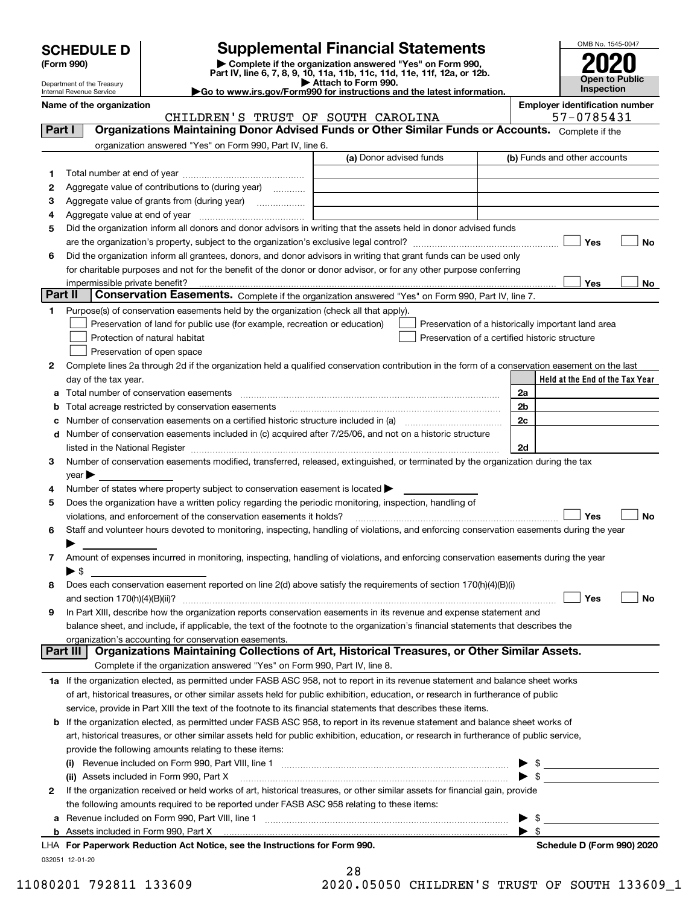| <b>SCHEDULE D</b> |  |
|-------------------|--|
|-------------------|--|

| (Form 990) |  |
|------------|--|
|------------|--|

## **SCHEDULE D Supplemental Financial Statements**

(Form 990)<br>
Pepartment of the Treasury<br>
Department of the Treasury<br>
Department of the Treasury<br>
Department of the Treasury<br> **Co to www.irs.gov/Form990 for instructions and the latest information.**<br> **Co to www.irs.gov/Form9** 



Department of the Treasury Internal Revenue Service

**Name of the organization Employer identification number**

CHILDREN'S TRUST OF SOUTH CAROLINA 57-0785431

| Part I       | Organizations Maintaining Donor Advised Funds or Other Similar Funds or Accounts. Complete if the<br>organization answered "Yes" on Form 990, Part IV, line 6.                                                                |                         |                                                                                                                                                                                                                                            |
|--------------|-------------------------------------------------------------------------------------------------------------------------------------------------------------------------------------------------------------------------------|-------------------------|--------------------------------------------------------------------------------------------------------------------------------------------------------------------------------------------------------------------------------------------|
|              |                                                                                                                                                                                                                               | (a) Donor advised funds | (b) Funds and other accounts                                                                                                                                                                                                               |
| 1.           |                                                                                                                                                                                                                               |                         |                                                                                                                                                                                                                                            |
| 2            | Aggregate value of contributions to (during year)                                                                                                                                                                             |                         |                                                                                                                                                                                                                                            |
| з            | Aggregate value of grants from (during year)                                                                                                                                                                                  |                         |                                                                                                                                                                                                                                            |
| 4            |                                                                                                                                                                                                                               |                         |                                                                                                                                                                                                                                            |
| 5            | Did the organization inform all donors and donor advisors in writing that the assets held in donor advised funds                                                                                                              |                         |                                                                                                                                                                                                                                            |
|              |                                                                                                                                                                                                                               |                         | Yes<br>No                                                                                                                                                                                                                                  |
| 6            | Did the organization inform all grantees, donors, and donor advisors in writing that grant funds can be used only                                                                                                             |                         |                                                                                                                                                                                                                                            |
|              | for charitable purposes and not for the benefit of the donor or donor advisor, or for any other purpose conferring                                                                                                            |                         |                                                                                                                                                                                                                                            |
|              |                                                                                                                                                                                                                               |                         | Yes<br>No                                                                                                                                                                                                                                  |
| Part II      | Conservation Easements. Complete if the organization answered "Yes" on Form 990, Part IV, line 7.                                                                                                                             |                         |                                                                                                                                                                                                                                            |
| 1.           | Purpose(s) of conservation easements held by the organization (check all that apply).                                                                                                                                         |                         |                                                                                                                                                                                                                                            |
|              | Preservation of land for public use (for example, recreation or education)                                                                                                                                                    |                         | Preservation of a historically important land area                                                                                                                                                                                         |
|              | Protection of natural habitat                                                                                                                                                                                                 |                         | Preservation of a certified historic structure                                                                                                                                                                                             |
|              | Preservation of open space                                                                                                                                                                                                    |                         |                                                                                                                                                                                                                                            |
| 2            | Complete lines 2a through 2d if the organization held a qualified conservation contribution in the form of a conservation easement on the last                                                                                |                         |                                                                                                                                                                                                                                            |
|              | day of the tax year.                                                                                                                                                                                                          |                         | Held at the End of the Tax Year                                                                                                                                                                                                            |
| а            |                                                                                                                                                                                                                               |                         | 2a                                                                                                                                                                                                                                         |
| b            | Total acreage restricted by conservation easements                                                                                                                                                                            |                         | 2 <sub>b</sub>                                                                                                                                                                                                                             |
| c            |                                                                                                                                                                                                                               |                         | 2c                                                                                                                                                                                                                                         |
| d            | Number of conservation easements included in (c) acquired after 7/25/06, and not on a historic structure                                                                                                                      |                         |                                                                                                                                                                                                                                            |
|              | listed in the National Register [111] Marshall Register [11] Marshall Register [11] Marshall Register [11] Marshall Register [11] Marshall Register [11] Marshall Register [11] Marshall Register [11] Marshall Register [11] |                         | 2d                                                                                                                                                                                                                                         |
| З.           | Number of conservation easements modified, transferred, released, extinguished, or terminated by the organization during the tax                                                                                              |                         |                                                                                                                                                                                                                                            |
|              | $year \blacktriangleright$                                                                                                                                                                                                    |                         |                                                                                                                                                                                                                                            |
| 4            | Number of states where property subject to conservation easement is located >                                                                                                                                                 |                         |                                                                                                                                                                                                                                            |
| 5            | Does the organization have a written policy regarding the periodic monitoring, inspection, handling of                                                                                                                        |                         |                                                                                                                                                                                                                                            |
|              | violations, and enforcement of the conservation easements it holds?                                                                                                                                                           |                         | Yes<br><b>No</b>                                                                                                                                                                                                                           |
| 6            | Staff and volunteer hours devoted to monitoring, inspecting, handling of violations, and enforcing conservation easements during the year                                                                                     |                         |                                                                                                                                                                                                                                            |
|              |                                                                                                                                                                                                                               |                         |                                                                                                                                                                                                                                            |
| 7            | Amount of expenses incurred in monitoring, inspecting, handling of violations, and enforcing conservation easements during the year                                                                                           |                         |                                                                                                                                                                                                                                            |
|              | $\blacktriangleright$ s                                                                                                                                                                                                       |                         |                                                                                                                                                                                                                                            |
| 8            | Does each conservation easement reported on line 2(d) above satisfy the requirements of section 170(h)(4)(B)(i)                                                                                                               |                         |                                                                                                                                                                                                                                            |
|              |                                                                                                                                                                                                                               |                         | Yes<br>No                                                                                                                                                                                                                                  |
| 9            | In Part XIII, describe how the organization reports conservation easements in its revenue and expense statement and                                                                                                           |                         |                                                                                                                                                                                                                                            |
|              | balance sheet, and include, if applicable, the text of the footnote to the organization's financial statements that describes the                                                                                             |                         |                                                                                                                                                                                                                                            |
|              | organization's accounting for conservation easements.                                                                                                                                                                         |                         |                                                                                                                                                                                                                                            |
| Part III     | Organizations Maintaining Collections of Art, Historical Treasures, or Other Similar Assets.                                                                                                                                  |                         |                                                                                                                                                                                                                                            |
|              | Complete if the organization answered "Yes" on Form 990, Part IV, line 8.                                                                                                                                                     |                         |                                                                                                                                                                                                                                            |
|              | 1a If the organization elected, as permitted under FASB ASC 958, not to report in its revenue statement and balance sheet works                                                                                               |                         |                                                                                                                                                                                                                                            |
|              | of art, historical treasures, or other similar assets held for public exhibition, education, or research in furtherance of public                                                                                             |                         |                                                                                                                                                                                                                                            |
|              | service, provide in Part XIII the text of the footnote to its financial statements that describes these items.                                                                                                                |                         |                                                                                                                                                                                                                                            |
| b            | If the organization elected, as permitted under FASB ASC 958, to report in its revenue statement and balance sheet works of                                                                                                   |                         |                                                                                                                                                                                                                                            |
|              | art, historical treasures, or other similar assets held for public exhibition, education, or research in furtherance of public service,                                                                                       |                         |                                                                                                                                                                                                                                            |
|              | provide the following amounts relating to these items:                                                                                                                                                                        |                         |                                                                                                                                                                                                                                            |
|              |                                                                                                                                                                                                                               |                         | $\frac{1}{2}$<br>▶                                                                                                                                                                                                                         |
|              | (ii) Assets included in Form 990, Part X                                                                                                                                                                                      |                         | $\blacktriangleright$ \$                                                                                                                                                                                                                   |
| $\mathbf{2}$ | If the organization received or held works of art, historical treasures, or other similar assets for financial gain, provide                                                                                                  |                         |                                                                                                                                                                                                                                            |
|              | the following amounts required to be reported under FASB ASC 958 relating to these items:                                                                                                                                     |                         |                                                                                                                                                                                                                                            |
| а            |                                                                                                                                                                                                                               |                         | \$<br><u>and the contract of the contract of the contract of the contract of the contract of the contract of the contract of the contract of the contract of the contract of the contract of the contract of the contract of the contr</u> |
|              | <b>b</b> Assets included in Form 990, Part X                                                                                                                                                                                  |                         | $\blacktriangleright$ s                                                                                                                                                                                                                    |
|              | LHA For Paperwork Reduction Act Notice, see the Instructions for Form 990.                                                                                                                                                    |                         | Schedule D (Form 990) 2020                                                                                                                                                                                                                 |

032051 12-01-20

|  | 28 |   |                          |   |  |
|--|----|---|--------------------------|---|--|
|  |    | - | $\overline{\phantom{a}}$ | ∼ |  |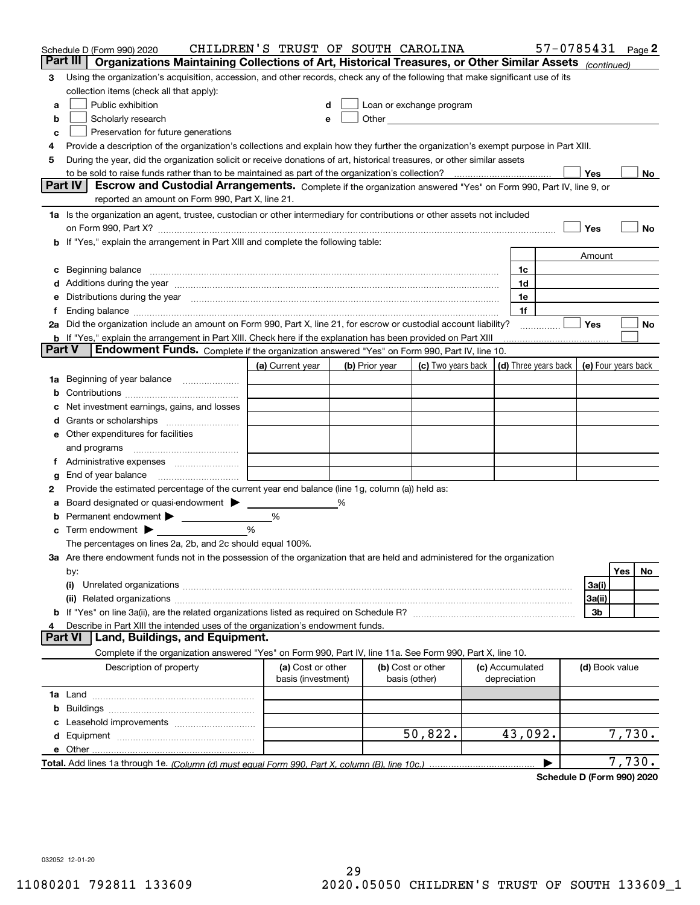|        | Schedule D (Form 990) 2020                                                                                                                                                                                                     | CHILDREN'S TRUST OF SOUTH CAROLINA      |   |                |                                                      |                                 | 57-0785431 |                     |        | Page 2 |
|--------|--------------------------------------------------------------------------------------------------------------------------------------------------------------------------------------------------------------------------------|-----------------------------------------|---|----------------|------------------------------------------------------|---------------------------------|------------|---------------------|--------|--------|
|        | Part III<br>Organizations Maintaining Collections of Art, Historical Treasures, or Other Similar Assets (continued)                                                                                                            |                                         |   |                |                                                      |                                 |            |                     |        |        |
| 3      | Using the organization's acquisition, accession, and other records, check any of the following that make significant use of its                                                                                                |                                         |   |                |                                                      |                                 |            |                     |        |        |
|        | collection items (check all that apply):                                                                                                                                                                                       |                                         |   |                |                                                      |                                 |            |                     |        |        |
| a      | Public exhibition                                                                                                                                                                                                              |                                         |   |                | Loan or exchange program                             |                                 |            |                     |        |        |
| b      | Scholarly research                                                                                                                                                                                                             | е                                       |   |                | Other <b>Committee Committee Committee Committee</b> |                                 |            |                     |        |        |
| с      | Preservation for future generations                                                                                                                                                                                            |                                         |   |                |                                                      |                                 |            |                     |        |        |
| 4      | Provide a description of the organization's collections and explain how they further the organization's exempt purpose in Part XIII.                                                                                           |                                         |   |                |                                                      |                                 |            |                     |        |        |
| 5      | During the year, did the organization solicit or receive donations of art, historical treasures, or other similar assets                                                                                                       |                                         |   |                |                                                      |                                 |            |                     |        |        |
|        | to be sold to raise funds rather than to be maintained as part of the organization's collection?                                                                                                                               |                                         |   |                |                                                      |                                 |            | Yes                 |        | No     |
|        | <b>Part IV</b><br>Escrow and Custodial Arrangements. Complete if the organization answered "Yes" on Form 990, Part IV, line 9, or                                                                                              |                                         |   |                |                                                      |                                 |            |                     |        |        |
|        | reported an amount on Form 990, Part X, line 21.                                                                                                                                                                               |                                         |   |                |                                                      |                                 |            |                     |        |        |
|        | 1a Is the organization an agent, trustee, custodian or other intermediary for contributions or other assets not included                                                                                                       |                                         |   |                |                                                      |                                 |            |                     |        |        |
|        | on Form 990, Part X? [11] matter contracts and contracts and contracts are contracted as a form 990, Part X?                                                                                                                   |                                         |   |                |                                                      |                                 |            | Yes                 |        | No     |
|        | b If "Yes," explain the arrangement in Part XIII and complete the following table:                                                                                                                                             |                                         |   |                |                                                      |                                 |            |                     |        |        |
|        |                                                                                                                                                                                                                                |                                         |   |                |                                                      |                                 |            | Amount              |        |        |
| c      | Beginning balance measurements and the contract measurement of the contract measurement of the contract measurement                                                                                                            |                                         |   |                |                                                      | 1c                              |            |                     |        |        |
|        | Additions during the year manufactured and an annual contract of the year manufactured and all the year manufactured and all the year manufactured and all the year manufactured and all the year manufactured and all the yea |                                         |   |                |                                                      | 1d                              |            |                     |        |        |
|        | Distributions during the year manufactured and an account of the state of the state of the state of the state o                                                                                                                |                                         |   |                |                                                      | 1e                              |            |                     |        |        |
| Ť.     |                                                                                                                                                                                                                                |                                         |   |                |                                                      | 1f                              |            |                     |        |        |
|        | 2a Did the organization include an amount on Form 990, Part X, line 21, for escrow or custodial account liability?                                                                                                             |                                         |   |                |                                                      |                                 | .          | Yes                 |        | No     |
| Part V | <b>b</b> If "Yes," explain the arrangement in Part XIII. Check here if the explanation has been provided on Part XIII<br>Endowment Funds. Complete if the organization answered "Yes" on Form 990, Part IV, line 10.           |                                         |   |                |                                                      |                                 |            |                     |        |        |
|        |                                                                                                                                                                                                                                | (a) Current year                        |   |                | (c) Two years back                                   | (d) Three years back            |            |                     |        |        |
|        |                                                                                                                                                                                                                                |                                         |   | (b) Prior year |                                                      |                                 |            | (e) Four years back |        |        |
| 1a     | Beginning of year balance                                                                                                                                                                                                      |                                         |   |                |                                                      |                                 |            |                     |        |        |
|        |                                                                                                                                                                                                                                |                                         |   |                |                                                      |                                 |            |                     |        |        |
|        | Net investment earnings, gains, and losses                                                                                                                                                                                     |                                         |   |                |                                                      |                                 |            |                     |        |        |
| d      | e Other expenditures for facilities                                                                                                                                                                                            |                                         |   |                |                                                      |                                 |            |                     |        |        |
|        |                                                                                                                                                                                                                                |                                         |   |                |                                                      |                                 |            |                     |        |        |
|        | and programs                                                                                                                                                                                                                   |                                         |   |                |                                                      |                                 |            |                     |        |        |
|        | End of year balance                                                                                                                                                                                                            |                                         |   |                |                                                      |                                 |            |                     |        |        |
| g<br>2 | Provide the estimated percentage of the current year end balance (line 1g, column (a)) held as:                                                                                                                                |                                         |   |                |                                                      |                                 |            |                     |        |        |
| а      | Board designated or quasi-endowment                                                                                                                                                                                            |                                         | ℅ |                |                                                      |                                 |            |                     |        |        |
|        | Permanent endowment > <u>example</u>                                                                                                                                                                                           | %                                       |   |                |                                                      |                                 |            |                     |        |        |
|        | Term endowment $\blacktriangleright$                                                                                                                                                                                           | %                                       |   |                |                                                      |                                 |            |                     |        |        |
|        | The percentages on lines 2a, 2b, and 2c should equal 100%.                                                                                                                                                                     |                                         |   |                |                                                      |                                 |            |                     |        |        |
|        | 3a Are there endowment funds not in the possession of the organization that are held and administered for the organization                                                                                                     |                                         |   |                |                                                      |                                 |            |                     |        |        |
|        | by:                                                                                                                                                                                                                            |                                         |   |                |                                                      |                                 |            |                     | Yes    | No     |
|        | (i)                                                                                                                                                                                                                            |                                         |   |                |                                                      |                                 |            | 3a(i)               |        |        |
|        |                                                                                                                                                                                                                                |                                         |   |                |                                                      |                                 |            | 3a(ii)              |        |        |
|        |                                                                                                                                                                                                                                |                                         |   |                |                                                      |                                 |            | 3b                  |        |        |
| 4      | Describe in Part XIII the intended uses of the organization's endowment funds.                                                                                                                                                 |                                         |   |                |                                                      |                                 |            |                     |        |        |
|        | Land, Buildings, and Equipment.<br>Part VI                                                                                                                                                                                     |                                         |   |                |                                                      |                                 |            |                     |        |        |
|        | Complete if the organization answered "Yes" on Form 990, Part IV, line 11a. See Form 990, Part X, line 10.                                                                                                                     |                                         |   |                |                                                      |                                 |            |                     |        |        |
|        | Description of property                                                                                                                                                                                                        | (a) Cost or other<br>basis (investment) |   |                | (b) Cost or other<br>basis (other)                   | (c) Accumulated<br>depreciation |            | (d) Book value      |        |        |
|        |                                                                                                                                                                                                                                |                                         |   |                |                                                      |                                 |            |                     |        |        |
| b      |                                                                                                                                                                                                                                |                                         |   |                |                                                      |                                 |            |                     |        |        |
|        |                                                                                                                                                                                                                                |                                         |   |                |                                                      |                                 |            |                     |        |        |
|        |                                                                                                                                                                                                                                |                                         |   |                | 50,822.                                              | 43,092.                         |            |                     | 7,730. |        |
|        |                                                                                                                                                                                                                                |                                         |   |                |                                                      |                                 |            |                     |        |        |
|        |                                                                                                                                                                                                                                |                                         |   |                |                                                      |                                 |            |                     | 7,730. |        |
|        |                                                                                                                                                                                                                                |                                         |   |                |                                                      |                                 |            |                     |        |        |

**Schedule D (Form 990) 2020**

032052 12-01-20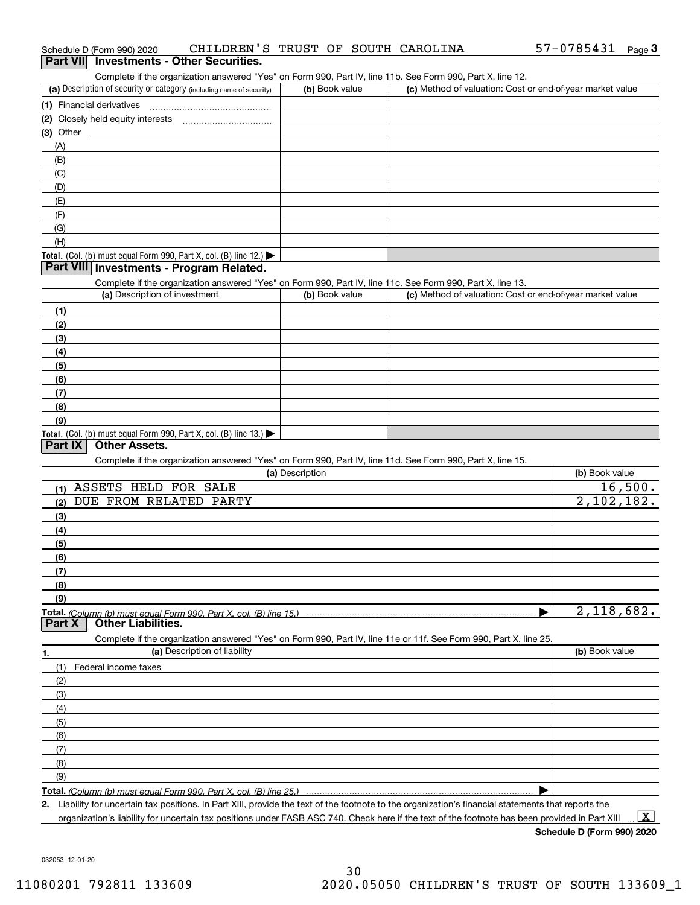| Schedule D (Form 990) 2020 |  |  |  |  |  | CHILDREN'S TRUST OF SOUTH CAROLINA | 57-0785431 | Page |  |
|----------------------------|--|--|--|--|--|------------------------------------|------------|------|--|
|----------------------------|--|--|--|--|--|------------------------------------|------------|------|--|

#### **Part VII Investments - Other Securities.**

Complete if the organization answered "Yes" on Form 990, Part IV, line 11b. See Form 990, Part X, line 12.

| (a) Description of security or category (including name of security)                   | (b) Book value | (c) Method of valuation: Cost or end-of-year market value |
|----------------------------------------------------------------------------------------|----------------|-----------------------------------------------------------|
| (1) Financial derivatives                                                              |                |                                                           |
| (2) Closely held equity interests                                                      |                |                                                           |
| $(3)$ Other                                                                            |                |                                                           |
| (A)                                                                                    |                |                                                           |
| (B)                                                                                    |                |                                                           |
| (C)                                                                                    |                |                                                           |
| (D)                                                                                    |                |                                                           |
| (E)                                                                                    |                |                                                           |
| (F)                                                                                    |                |                                                           |
| (G)                                                                                    |                |                                                           |
| (H)                                                                                    |                |                                                           |
| Total. (Col. (b) must equal Form 990, Part X, col. (B) line 12.) $\blacktriangleright$ |                |                                                           |

#### **Part VIII Investments - Program Related.**

Complete if the organization answered "Yes" on Form 990, Part IV, line 11c. See Form 990, Part X, line 13.

| (a) Description of investment                                       | (b) Book value | (c) Method of valuation: Cost or end-of-year market value |
|---------------------------------------------------------------------|----------------|-----------------------------------------------------------|
| (1)                                                                 |                |                                                           |
| (2)                                                                 |                |                                                           |
| $\frac{1}{2}$                                                       |                |                                                           |
| (4)                                                                 |                |                                                           |
| $\frac{1}{2}$                                                       |                |                                                           |
| (6)                                                                 |                |                                                           |
| (7)                                                                 |                |                                                           |
| (8)                                                                 |                |                                                           |
| (9)                                                                 |                |                                                           |
| Total. (Col. (b) must equal Form 990, Part X, col. (B) line $13$ .) |                |                                                           |

#### **Part IX Other Assets.**

Complete if the organization answered "Yes" on Form 990, Part IV, line 11d. See Form 990, Part X, line 15.

|        | <u> Compiete in the enganization anowered theorien on non-reco, narthy, informatioed, neutron, informetic.</u>    |                |
|--------|-------------------------------------------------------------------------------------------------------------------|----------------|
|        | (a) Description                                                                                                   | (b) Book value |
| (1)    | ASSETS HELD<br>FOR SALE                                                                                           | 16,500.        |
| (2)    | DUE FROM RELATED PARTY                                                                                            | 2,102,182.     |
| (3)    |                                                                                                                   |                |
| (4)    |                                                                                                                   |                |
| (5)    |                                                                                                                   |                |
| (6)    |                                                                                                                   |                |
| (7)    |                                                                                                                   |                |
| (8)    |                                                                                                                   |                |
| (9)    |                                                                                                                   |                |
|        |                                                                                                                   | 2,118,682.     |
| Part X | <b>Other Liabilities.</b>                                                                                         |                |
|        | Complete if the organization answered "Yes" on Form 990, Part IV, line 11e or 11f. See Form 990, Part X, line 25. |                |
| 1.     | (a) Description of liability                                                                                      | (b) Book value |
| (1)    | Federal income taxes                                                                                              |                |
| (2)    |                                                                                                                   |                |
| (3)    |                                                                                                                   |                |
| (4)    |                                                                                                                   |                |
| (5)    |                                                                                                                   |                |
| (6)    |                                                                                                                   |                |
| (7)    |                                                                                                                   |                |
| (8)    |                                                                                                                   |                |
| (9)    |                                                                                                                   |                |

**Total.**  *(Column (b) must equal Form 990, Part X, col. (B) line 25.)* 

**2.**Liability for uncertain tax positions. In Part XIII, provide the text of the footnote to the organization's financial statements that reports the

organization's liability for uncertain tax positions under FASB ASC 740. Check here if the text of the footnote has been provided in Part XIII  $\boxed{\text{X}}$ 

**Schedule D (Form 990) 2020**

 $\blacktriangleright$ 

032053 12-01-20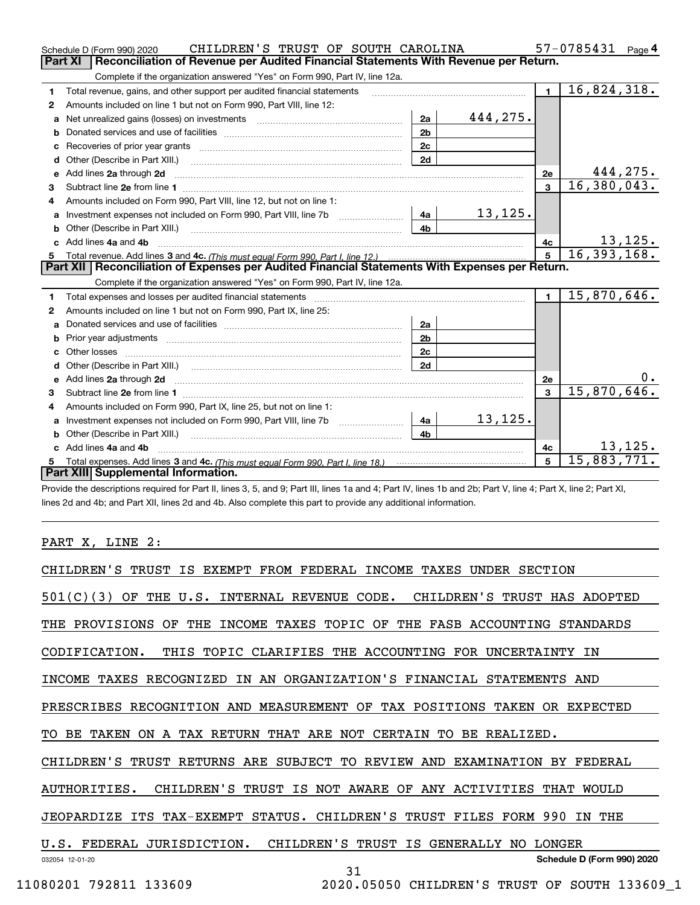|   | CHILDREN'S TRUST OF SOUTH CAROLINA<br>Schedule D (Form 990) 2020                                                                                                                                                               |                |          |                | 57-0785431<br>Page 4          |
|---|--------------------------------------------------------------------------------------------------------------------------------------------------------------------------------------------------------------------------------|----------------|----------|----------------|-------------------------------|
|   | Reconciliation of Revenue per Audited Financial Statements With Revenue per Return.<br><b>Part XI</b>                                                                                                                          |                |          |                |                               |
|   | Complete if the organization answered "Yes" on Form 990, Part IV, line 12a.                                                                                                                                                    |                |          |                |                               |
| 1 | Total revenue, gains, and other support per audited financial statements                                                                                                                                                       |                |          | $\blacksquare$ | 16, 824, 318.                 |
| 2 | Amounts included on line 1 but not on Form 990, Part VIII, line 12:                                                                                                                                                            |                |          |                |                               |
| a |                                                                                                                                                                                                                                | 2a             | 444,275. |                |                               |
|   |                                                                                                                                                                                                                                | 2 <sub>b</sub> |          |                |                               |
|   |                                                                                                                                                                                                                                | 2c             |          |                |                               |
| d | Other (Describe in Part XIII.) <b>Construction Contract Construction</b> Chern Construction Construction Construction                                                                                                          | 2d             |          |                |                               |
| е | Add lines 2a through 2d                                                                                                                                                                                                        |                |          | 2e             | $\frac{444,275}{16,380,043.}$ |
| 3 |                                                                                                                                                                                                                                |                |          | $\mathbf{3}$   |                               |
| 4 | Amounts included on Form 990, Part VIII, line 12, but not on line 1:                                                                                                                                                           |                |          |                |                               |
|   |                                                                                                                                                                                                                                | 4a             | 13,125.  |                |                               |
| b |                                                                                                                                                                                                                                | 4 <sub>h</sub> |          |                |                               |
|   | c Add lines 4a and 4b                                                                                                                                                                                                          |                |          | 4c             | 13, 125.                      |
|   |                                                                                                                                                                                                                                |                |          | $\overline{5}$ |                               |
|   |                                                                                                                                                                                                                                |                |          |                | 16, 393, 168.                 |
|   | Part XII   Reconciliation of Expenses per Audited Financial Statements With Expenses per Return.                                                                                                                               |                |          |                |                               |
|   | Complete if the organization answered "Yes" on Form 990, Part IV, line 12a.                                                                                                                                                    |                |          |                |                               |
| 1 | Total expenses and losses per audited financial statements [11] [12] manuscription and contract the statements [13] manuscription and the statements [13] manuscription and the statements and the statements and the statemen |                |          | $\mathbf{1}$   | 15,870,646.                   |
| 2 | Amounts included on line 1 but not on Form 990, Part IX, line 25:                                                                                                                                                              |                |          |                |                               |
| a |                                                                                                                                                                                                                                | 2a             |          |                |                               |
|   |                                                                                                                                                                                                                                | 2 <sub>b</sub> |          |                |                               |
| c |                                                                                                                                                                                                                                | 2 <sub>c</sub> |          |                |                               |
| d |                                                                                                                                                                                                                                | 2d             |          |                |                               |
|   |                                                                                                                                                                                                                                |                |          | 2e             | $0 \cdot$                     |
| 3 |                                                                                                                                                                                                                                |                |          | $\mathbf{a}$   | 15,870,646.                   |
| 4 | Amounts included on Form 990, Part IX, line 25, but not on line 1:                                                                                                                                                             |                |          |                |                               |
| a |                                                                                                                                                                                                                                | 4a             | 13, 125. |                |                               |
| b |                                                                                                                                                                                                                                | 4b             |          |                |                               |
|   | c Add lines 4a and 4b                                                                                                                                                                                                          |                |          | 4с             | 13,125.                       |
|   | Part XIII Supplemental Information.                                                                                                                                                                                            |                |          | 5              | 15,883,771.                   |

Provide the descriptions required for Part II, lines 3, 5, and 9; Part III, lines 1a and 4; Part IV, lines 1b and 2b; Part V, line 4; Part X, line 2; Part XI, lines 2d and 4b; and Part XII, lines 2d and 4b. Also complete this part to provide any additional information.

<u> 1989 - Johann Barbara, martxa amerikan per</u>

### PART X, LINE 2:

| CHILDREN'S TRUST IS EXEMPT FROM FEDERAL INCOME<br>TAXES UNDER SECTION        |                            |
|------------------------------------------------------------------------------|----------------------------|
| 501(C)(3)<br>OF THE U.S. INTERNAL REVENUE CODE. CHILDREN'S TRUST HAS ADOPTED |                            |
| THE PROVISIONS OF THE INCOME TAXES TOPIC OF THE FASB ACCOUNTING STANDARDS    |                            |
| THIS TOPIC CLARIFIES THE ACCOUNTING FOR UNCERTAINTY IN<br>CODIFICATION.      |                            |
| INCOME TAXES RECOGNIZED IN AN ORGANIZATION'S FINANCIAL STATEMENTS AND        |                            |
| PRESCRIBES RECOGNITION AND MEASUREMENT OF TAX POSITIONS TAKEN OR EXPECTED    |                            |
| BE TAKEN ON A TAX RETURN THAT ARE NOT CERTAIN TO BE REALIZED.<br>TO.         |                            |
| CHILDREN'S TRUST RETURNS ARE SUBJECT TO REVIEW AND EXAMINATION BY FEDERAL    |                            |
| CHILDREN'S TRUST IS NOT AWARE OF ANY ACTIVITIES THAT<br>AUTHORITIES.         | <b>WOULD</b>               |
| JEOPARDIZE ITS TAX-EXEMPT STATUS. CHILDREN'S TRUST FILES FORM 990            | IN THE                     |
| CHILDREN'S TRUST IS GENERALLY NO LONGER<br>U.S. FEDERAL JURISDICTION.        |                            |
| 032054 12-01-20<br>31                                                        | Schedule D (Form 990) 2020 |
| 11080201 792811 133609<br>2020.05050 CHILDREN'S TRUST OF SOUTH 133609_1      |                            |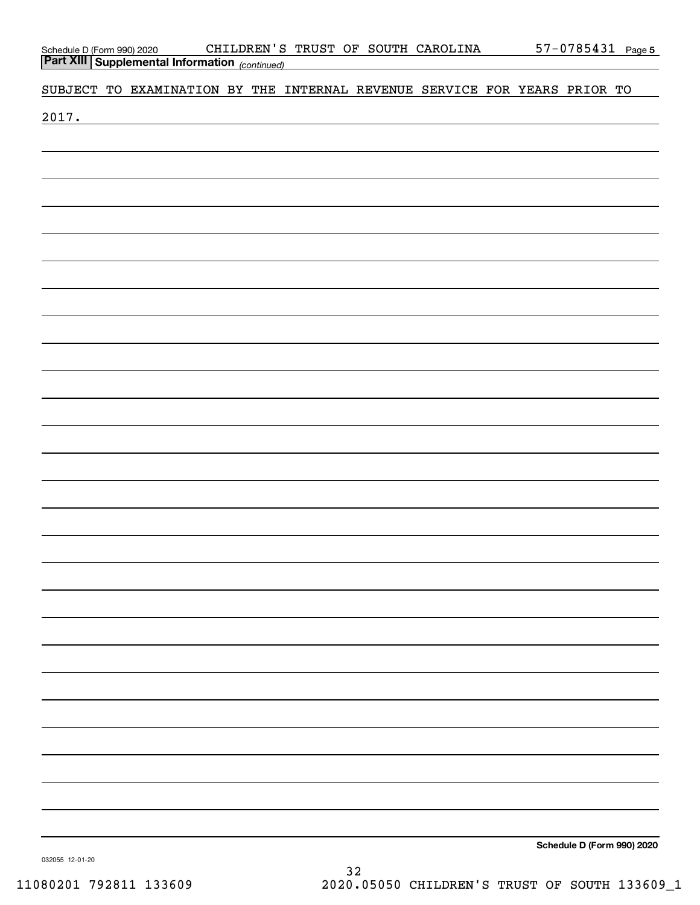**Schedule D (Form 990) 2020** *(continued)* **Part XIII Supplemental Information**  SUBJECT TO EXAMINATION BY THE INTERNAL REVENUE SERVICE FOR YEARS PRIOR TO 2017.

032055 12-01-20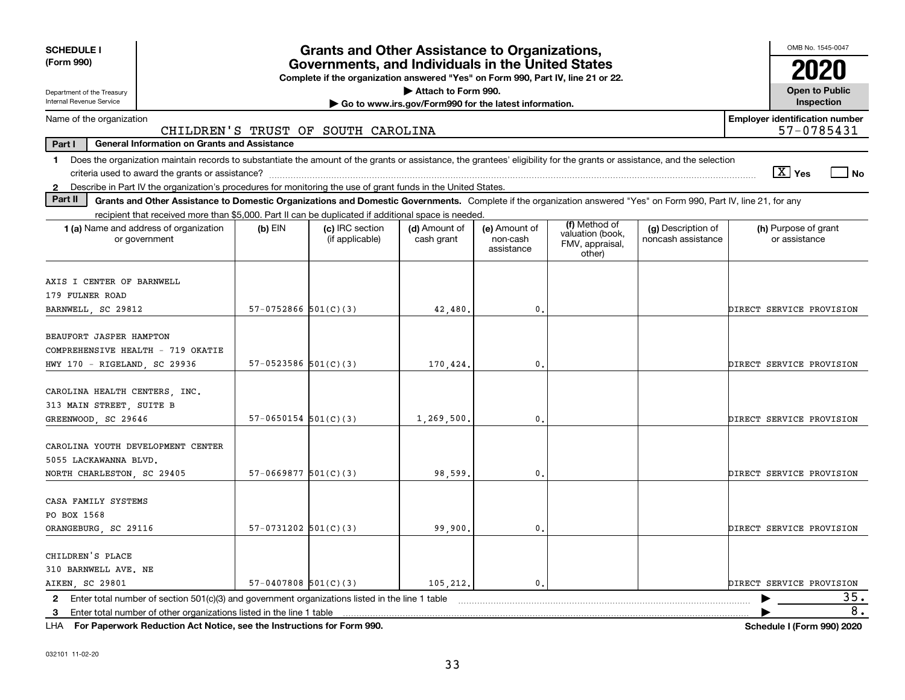| <b>SCHEDULE I</b><br>(Form 990)                                                                                                                                                         | <b>Grants and Other Assistance to Organizations,</b><br>Governments, and Individuals in the United States<br>Complete if the organization answered "Yes" on Form 990, Part IV, line 21 or 22. |                                    |                             |                                         |                                                                |                                          |                                                     |  |  |  |  |
|-----------------------------------------------------------------------------------------------------------------------------------------------------------------------------------------|-----------------------------------------------------------------------------------------------------------------------------------------------------------------------------------------------|------------------------------------|-----------------------------|-----------------------------------------|----------------------------------------------------------------|------------------------------------------|-----------------------------------------------------|--|--|--|--|
| Department of the Treasury                                                                                                                                                              |                                                                                                                                                                                               |                                    | Attach to Form 990.         |                                         |                                                                |                                          | <b>Open to Public</b>                               |  |  |  |  |
| Internal Revenue Service                                                                                                                                                                | Go to www.irs.gov/Form990 for the latest information.                                                                                                                                         |                                    |                             |                                         |                                                                |                                          |                                                     |  |  |  |  |
| Name of the organization                                                                                                                                                                |                                                                                                                                                                                               | CHILDREN'S TRUST OF SOUTH CAROLINA |                             |                                         |                                                                |                                          | <b>Employer identification number</b><br>57-0785431 |  |  |  |  |
| Part I<br><b>General Information on Grants and Assistance</b>                                                                                                                           |                                                                                                                                                                                               |                                    |                             |                                         |                                                                |                                          |                                                     |  |  |  |  |
| Does the organization maintain records to substantiate the amount of the grants or assistance, the grantees' eligibility for the grants or assistance, and the selection<br>$\mathbf 1$ |                                                                                                                                                                                               |                                    |                             |                                         |                                                                |                                          | $\sqrt{X}$ Yes<br>$ $ No                            |  |  |  |  |
| Describe in Part IV the organization's procedures for monitoring the use of grant funds in the United States.<br>$\mathbf{2}$                                                           |                                                                                                                                                                                               |                                    |                             |                                         |                                                                |                                          |                                                     |  |  |  |  |
| Part II<br>Grants and Other Assistance to Domestic Organizations and Domestic Governments. Complete if the organization answered "Yes" on Form 990, Part IV, line 21, for any           |                                                                                                                                                                                               |                                    |                             |                                         |                                                                |                                          |                                                     |  |  |  |  |
| recipient that received more than \$5,000. Part II can be duplicated if additional space is needed.<br>1 (a) Name and address of organization<br>or government                          | $(b)$ EIN                                                                                                                                                                                     | (c) IRC section<br>(if applicable) | (d) Amount of<br>cash grant | (e) Amount of<br>non-cash<br>assistance | (f) Method of<br>valuation (book,<br>FMV, appraisal,<br>other) | (g) Description of<br>noncash assistance | (h) Purpose of grant<br>or assistance               |  |  |  |  |
| AXIS I CENTER OF BARNWELL<br>179 FULNER ROAD                                                                                                                                            |                                                                                                                                                                                               |                                    |                             |                                         |                                                                |                                          |                                                     |  |  |  |  |
| BARNWELL, SC 29812                                                                                                                                                                      | $57-0752866$ $501(C)(3)$                                                                                                                                                                      |                                    | 42,480.                     | 0.                                      |                                                                |                                          | DIRECT SERVICE PROVISION                            |  |  |  |  |
| BEAUFORT JASPER HAMPTON<br>COMPREHENSIVE HEALTH - 719 OKATIE<br>HWY 170 - RIGELAND, SC 29936                                                                                            | $57-0523586$ $501(C)(3)$                                                                                                                                                                      |                                    | 170,424.                    | $\mathbf{0}$ .                          |                                                                |                                          | DIRECT SERVICE PROVISION                            |  |  |  |  |
| CAROLINA HEALTH CENTERS, INC.<br>313 MAIN STREET, SUITE B<br>GREENWOOD, SC 29646                                                                                                        | $57-0650154$ $501(C)(3)$                                                                                                                                                                      |                                    | 1, 269, 500,                | 0.                                      |                                                                |                                          | DIRECT SERVICE PROVISION                            |  |  |  |  |
| CAROLINA YOUTH DEVELOPMENT CENTER<br>5055 LACKAWANNA BLVD.<br>NORTH CHARLESTON, SC 29405                                                                                                | $57-0669877$ $501(C)(3)$                                                                                                                                                                      |                                    | 98,599.                     | $\mathfrak{o}$ .                        |                                                                |                                          | DIRECT SERVICE PROVISION                            |  |  |  |  |
| CASA FAMILY SYSTEMS<br>PO BOX 1568<br>ORANGEBURG, SC 29116                                                                                                                              | $57-0731202$ $501(C)(3)$                                                                                                                                                                      |                                    | 99,900.                     | 0.                                      |                                                                |                                          | DIRECT SERVICE PROVISION                            |  |  |  |  |
| CHILDREN'S PLACE<br>310 BARNWELL AVE. NE<br>AIKEN, SC 29801                                                                                                                             | $57-0407808$ $501(C)(3)$                                                                                                                                                                      |                                    | 105.212.                    | 0.                                      |                                                                |                                          | DIRECT SERVICE PROVISION                            |  |  |  |  |
| Enter total number of section 501(c)(3) and government organizations listed in the line 1 table<br>$\mathbf{2}$                                                                         |                                                                                                                                                                                               |                                    |                             |                                         |                                                                |                                          | 35.                                                 |  |  |  |  |
|                                                                                                                                                                                         |                                                                                                                                                                                               |                                    |                             |                                         |                                                                |                                          | 8.                                                  |  |  |  |  |

**For Paperwork Reduction Act Notice, see the Instructions for Form 990. Schedule I (Form 990) 2020** LHA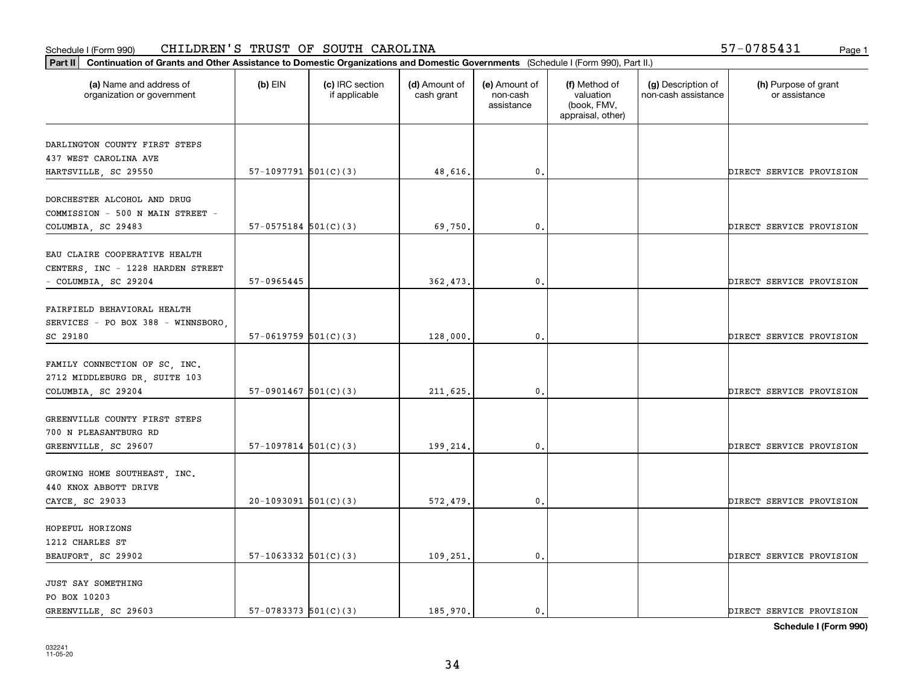#### Schedule I (Form 990) CHILDREN'S TRUST OF SOUTH CAROLINA 57-0785431 <sub>Page 1</sub>

| Part II   Continuation of Grants and Other Assistance to Domestic Organizations and Domestic Governments (Schedule I (Form 990), Part II.) |                          |                                  |                             |                                         |                                                                |                                           |                                       |  |
|--------------------------------------------------------------------------------------------------------------------------------------------|--------------------------|----------------------------------|-----------------------------|-----------------------------------------|----------------------------------------------------------------|-------------------------------------------|---------------------------------------|--|
| (a) Name and address of<br>organization or government                                                                                      | $(b)$ EIN                | (c) IRC section<br>if applicable | (d) Amount of<br>cash grant | (e) Amount of<br>non-cash<br>assistance | (f) Method of<br>valuation<br>(book, FMV,<br>appraisal, other) | (g) Description of<br>non-cash assistance | (h) Purpose of grant<br>or assistance |  |
|                                                                                                                                            |                          |                                  |                             |                                         |                                                                |                                           |                                       |  |
| DARLINGTON COUNTY FIRST STEPS<br>437 WEST CAROLINA AVE                                                                                     |                          |                                  |                             |                                         |                                                                |                                           |                                       |  |
| HARTSVILLE, SC 29550                                                                                                                       | $57-1097791$ $501(C)(3)$ |                                  | 48,616.                     | $\mathbf{0}$ .                          |                                                                |                                           | DIRECT SERVICE PROVISION              |  |
|                                                                                                                                            |                          |                                  |                             |                                         |                                                                |                                           |                                       |  |
| DORCHESTER ALCOHOL AND DRUG                                                                                                                |                          |                                  |                             |                                         |                                                                |                                           |                                       |  |
| COMMISSION - 500 N MAIN STREET -                                                                                                           |                          |                                  |                             |                                         |                                                                |                                           |                                       |  |
| COLUMBIA, SC 29483                                                                                                                         | $57-0575184$ $501(C)(3)$ |                                  | 69,750                      | 0.                                      |                                                                |                                           | DIRECT SERVICE PROVISION              |  |
| EAU CLAIRE COOPERATIVE HEALTH                                                                                                              |                          |                                  |                             |                                         |                                                                |                                           |                                       |  |
| CENTERS, INC - 1228 HARDEN STREET                                                                                                          |                          |                                  |                             |                                         |                                                                |                                           |                                       |  |
| - COLUMBIA, SC 29204                                                                                                                       | 57-0965445               |                                  | 362,473.                    | 0.                                      |                                                                |                                           | DIRECT SERVICE PROVISION              |  |
|                                                                                                                                            |                          |                                  |                             |                                         |                                                                |                                           |                                       |  |
| FAIRFIELD BEHAVIORAL HEALTH                                                                                                                |                          |                                  |                             |                                         |                                                                |                                           |                                       |  |
| SERVICES - PO BOX 388 - WINNSBORO,                                                                                                         |                          |                                  |                             |                                         |                                                                |                                           |                                       |  |
| SC 29180                                                                                                                                   | $57-0619759$ $501(C)(3)$ |                                  | 128,000.                    | 0.                                      |                                                                |                                           | DIRECT SERVICE PROVISION              |  |
|                                                                                                                                            |                          |                                  |                             |                                         |                                                                |                                           |                                       |  |
| FAMILY CONNECTION OF SC, INC.<br>2712 MIDDLEBURG DR, SUITE 103                                                                             |                          |                                  |                             |                                         |                                                                |                                           |                                       |  |
| COLUMBIA, SC 29204                                                                                                                         | 57-0901467 $501(C)(3)$   |                                  | 211,625.                    | 0.                                      |                                                                |                                           | DIRECT SERVICE PROVISION              |  |
|                                                                                                                                            |                          |                                  |                             |                                         |                                                                |                                           |                                       |  |
| GREENVILLE COUNTY FIRST STEPS                                                                                                              |                          |                                  |                             |                                         |                                                                |                                           |                                       |  |
| 700 N PLEASANTBURG RD                                                                                                                      |                          |                                  |                             |                                         |                                                                |                                           |                                       |  |
| GREENVILLE, SC 29607                                                                                                                       | $57-1097814$ $501(C)(3)$ |                                  | 199,214                     | 0.                                      |                                                                |                                           | DIRECT SERVICE PROVISION              |  |
|                                                                                                                                            |                          |                                  |                             |                                         |                                                                |                                           |                                       |  |
| GROWING HOME SOUTHEAST, INC.                                                                                                               |                          |                                  |                             |                                         |                                                                |                                           |                                       |  |
| 440 KNOX ABBOTT DRIVE                                                                                                                      | $20-1093091$ 501(C)(3)   |                                  |                             | $\mathbf{0}$ .                          |                                                                |                                           | DIRECT SERVICE PROVISION              |  |
| CAYCE, SC 29033                                                                                                                            |                          |                                  | 572,479.                    |                                         |                                                                |                                           |                                       |  |
| HOPEFUL HORIZONS                                                                                                                           |                          |                                  |                             |                                         |                                                                |                                           |                                       |  |
| 1212 CHARLES ST                                                                                                                            |                          |                                  |                             |                                         |                                                                |                                           |                                       |  |
| BEAUFORT, SC 29902                                                                                                                         | 57-1063332 $501(C)(3)$   |                                  | 109,251.                    | 0.                                      |                                                                |                                           | DIRECT SERVICE PROVISION              |  |
|                                                                                                                                            |                          |                                  |                             |                                         |                                                                |                                           |                                       |  |
| JUST SAY SOMETHING                                                                                                                         |                          |                                  |                             |                                         |                                                                |                                           |                                       |  |
| PO BOX 10203<br>GREENVILLE, SC 29603                                                                                                       | $57-0783373$ $501(C)(3)$ |                                  | 185,970.                    | 0.                                      |                                                                |                                           | DIRECT SERVICE PROVISION              |  |
|                                                                                                                                            |                          |                                  |                             |                                         |                                                                |                                           |                                       |  |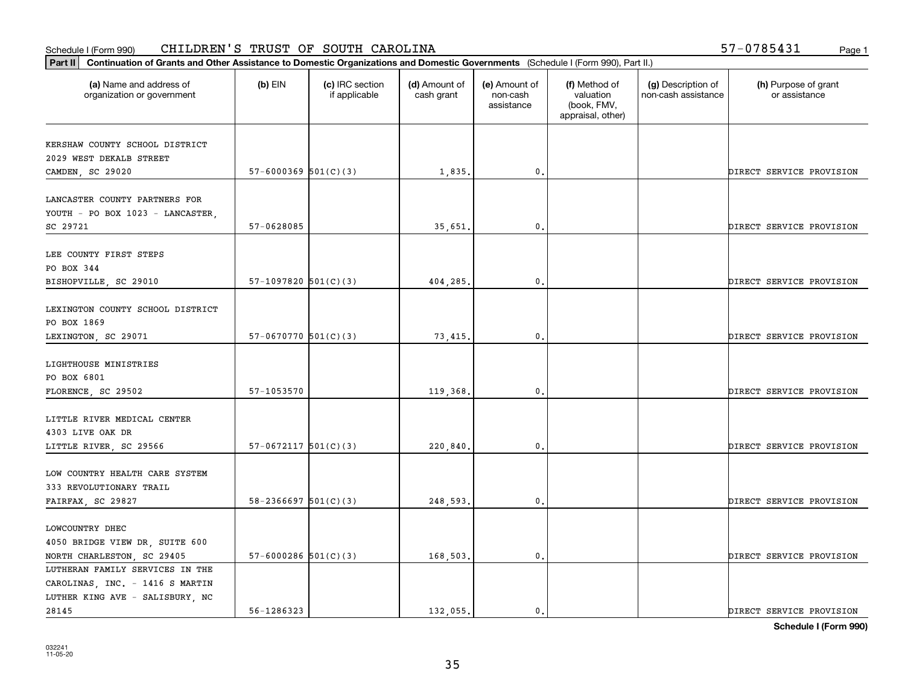#### Schedule I (Form 990) CHILDREN'S TRUST OF SOUTH CAROLINA 57-0785431 <sub>Page 1</sub>

**Part II Continuation of Grants and Other Assistance to Domestic Organizations and Domestic Governments**  (Schedule I (Form 990), Part II.)

| (a) Name and address of<br>organization or government | (b) EIN                    | (c) IRC section<br>if applicable | (d) Amount of<br>cash grant | (e) Amount of<br>non-cash<br>assistance | (f) Method of<br>valuation<br>(book, FMV,<br>appraisal, other) | (g) Description of<br>non-cash assistance | (h) Purpose of grant<br>or assistance |
|-------------------------------------------------------|----------------------------|----------------------------------|-----------------------------|-----------------------------------------|----------------------------------------------------------------|-------------------------------------------|---------------------------------------|
| KERSHAW COUNTY SCHOOL DISTRICT                        |                            |                                  |                             |                                         |                                                                |                                           |                                       |
| 2029 WEST DEKALB STREET                               |                            |                                  |                             |                                         |                                                                |                                           |                                       |
| CAMDEN, SC 29020                                      | $57 - 6000369$ $501(C)(3)$ |                                  | 1,835.                      | 0.                                      |                                                                |                                           | DIRECT SERVICE PROVISION              |
| LANCASTER COUNTY PARTNERS FOR                         |                            |                                  |                             |                                         |                                                                |                                           |                                       |
| YOUTH - PO BOX 1023 - LANCASTER,                      |                            |                                  |                             |                                         |                                                                |                                           |                                       |
| SC 29721                                              | 57-0628085                 |                                  | 35,651.                     | 0.                                      |                                                                |                                           | DIRECT SERVICE PROVISION              |
| LEE COUNTY FIRST STEPS                                |                            |                                  |                             |                                         |                                                                |                                           |                                       |
| PO BOX 344                                            |                            |                                  |                             |                                         |                                                                |                                           |                                       |
| BISHOPVILLE, SC 29010                                 | $57-1097820$ $501(C)(3)$   |                                  | 404,285.                    | 0.                                      |                                                                |                                           | DIRECT SERVICE PROVISION              |
| LEXINGTON COUNTY SCHOOL DISTRICT                      |                            |                                  |                             |                                         |                                                                |                                           |                                       |
| PO BOX 1869                                           |                            |                                  |                             |                                         |                                                                |                                           |                                       |
| LEXINGTON, SC 29071                                   | $57-0670770$ $501(C)(3)$   |                                  | 73,415.                     | 0.                                      |                                                                |                                           | DIRECT SERVICE PROVISION              |
| LIGHTHOUSE MINISTRIES                                 |                            |                                  |                             |                                         |                                                                |                                           |                                       |
| PO BOX 6801                                           |                            |                                  |                             |                                         |                                                                |                                           |                                       |
| FLORENCE, SC 29502                                    | 57-1053570                 |                                  | 119,368.                    | $\mathbf{0}$ .                          |                                                                |                                           | DIRECT SERVICE PROVISION              |
| LITTLE RIVER MEDICAL CENTER                           |                            |                                  |                             |                                         |                                                                |                                           |                                       |
| 4303 LIVE OAK DR                                      |                            |                                  |                             |                                         |                                                                |                                           |                                       |
| LITTLE RIVER, SC 29566                                | $57-0672117$ $501(C)(3)$   |                                  | 220,840.                    | 0.                                      |                                                                |                                           | DIRECT SERVICE PROVISION              |
| LOW COUNTRY HEALTH CARE SYSTEM                        |                            |                                  |                             |                                         |                                                                |                                           |                                       |
| 333 REVOLUTIONARY TRAIL                               |                            |                                  |                             |                                         |                                                                |                                           |                                       |
| FAIRFAX, SC 29827                                     | $58 - 2366697$ $501(C)(3)$ |                                  | 248,593.                    | 0.                                      |                                                                |                                           | DIRECT SERVICE PROVISION              |
| LOWCOUNTRY DHEC                                       |                            |                                  |                             |                                         |                                                                |                                           |                                       |
| 4050 BRIDGE VIEW DR, SUITE 600                        |                            |                                  |                             |                                         |                                                                |                                           |                                       |
| NORTH CHARLESTON, SC 29405                            | $57 - 6000286$ $501(C)(3)$ |                                  | 168,503.                    | 0.                                      |                                                                |                                           | DIRECT SERVICE PROVISION              |
| LUTHERAN FAMILY SERVICES IN THE                       |                            |                                  |                             |                                         |                                                                |                                           |                                       |
| CAROLINAS, INC. - 1416 S MARTIN                       |                            |                                  |                             |                                         |                                                                |                                           |                                       |
| LUTHER KING AVE - SALISBURY, NC                       |                            |                                  |                             |                                         |                                                                |                                           |                                       |
| 28145                                                 | 56-1286323                 |                                  | 132,055.                    | $0$ .                                   |                                                                |                                           | DIRECT SERVICE PROVISION              |

т

35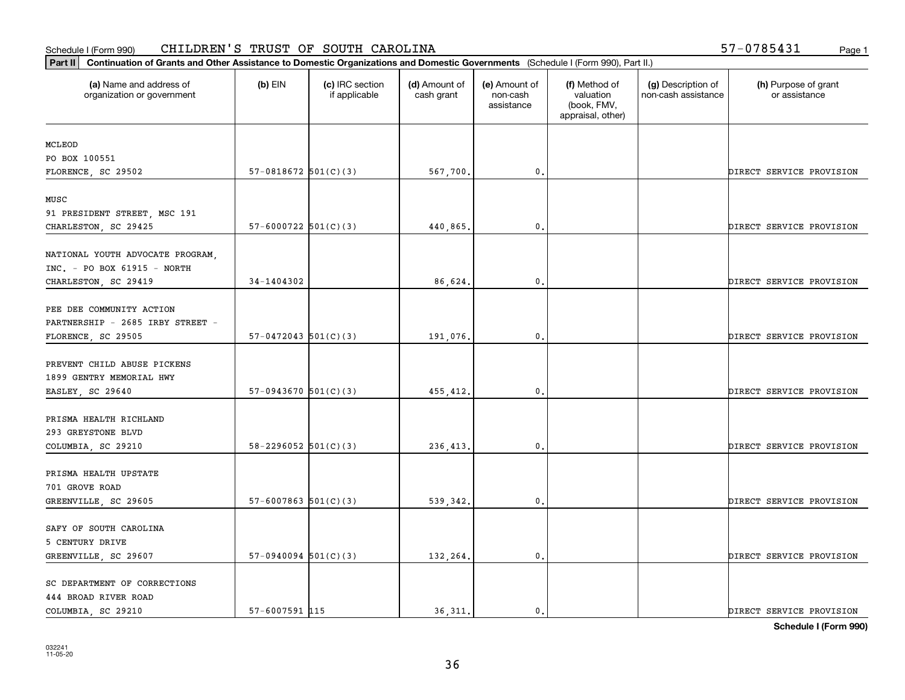#### Schedule I (Form 990) CHILDREN'S TRUST OF SOUTH CAROLINA 57-0785431 <sub>Page 1</sub>

| Part II   Continuation of Grants and Other Assistance to Domestic Organizations and Domestic Governments (Schedule I (Form 990), Part II.) |                            |                                  |                             |                                         |                                                                |                                           |                                       |
|--------------------------------------------------------------------------------------------------------------------------------------------|----------------------------|----------------------------------|-----------------------------|-----------------------------------------|----------------------------------------------------------------|-------------------------------------------|---------------------------------------|
| (a) Name and address of<br>organization or government                                                                                      | $(b)$ EIN                  | (c) IRC section<br>if applicable | (d) Amount of<br>cash grant | (e) Amount of<br>non-cash<br>assistance | (f) Method of<br>valuation<br>(book, FMV,<br>appraisal, other) | (g) Description of<br>non-cash assistance | (h) Purpose of grant<br>or assistance |
| MCLEOD                                                                                                                                     |                            |                                  |                             |                                         |                                                                |                                           |                                       |
| PO BOX 100551                                                                                                                              |                            |                                  |                             |                                         |                                                                |                                           |                                       |
| FLORENCE, SC 29502                                                                                                                         | $57-0818672$ $501(C)(3)$   |                                  | 567,700.                    | $\mathbf{0}$ .                          |                                                                |                                           | DIRECT SERVICE PROVISION              |
|                                                                                                                                            |                            |                                  |                             |                                         |                                                                |                                           |                                       |
| MUSC                                                                                                                                       |                            |                                  |                             |                                         |                                                                |                                           |                                       |
| 91 PRESIDENT STREET, MSC 191                                                                                                               |                            |                                  |                             |                                         |                                                                |                                           |                                       |
| CHARLESTON, SC 29425                                                                                                                       | 57-6000722 $[501(C)(3)]$   |                                  | 440,865.                    | 0.                                      |                                                                |                                           | DIRECT SERVICE PROVISION              |
| NATIONAL YOUTH ADVOCATE PROGRAM,                                                                                                           |                            |                                  |                             |                                         |                                                                |                                           |                                       |
| $INC. - PO$ BOX 61915 - NORTH                                                                                                              |                            |                                  |                             |                                         |                                                                |                                           |                                       |
| CHARLESTON, SC 29419                                                                                                                       | 34-1404302                 |                                  | 86,624.                     | 0.                                      |                                                                |                                           | DIRECT SERVICE PROVISION              |
|                                                                                                                                            |                            |                                  |                             |                                         |                                                                |                                           |                                       |
| PEE DEE COMMUNITY ACTION                                                                                                                   |                            |                                  |                             |                                         |                                                                |                                           |                                       |
| PARTNERSHIP - 2685 IRBY STREET -                                                                                                           |                            |                                  |                             |                                         |                                                                |                                           |                                       |
| FLORENCE, SC 29505                                                                                                                         | $57-0472043$ $501(C)(3)$   |                                  | 191,076.                    | $\mathbf 0$ .                           |                                                                |                                           | DIRECT SERVICE PROVISION              |
|                                                                                                                                            |                            |                                  |                             |                                         |                                                                |                                           |                                       |
| PREVENT CHILD ABUSE PICKENS<br>1899 GENTRY MEMORIAL HWY                                                                                    |                            |                                  |                             |                                         |                                                                |                                           |                                       |
| EASLEY, SC 29640                                                                                                                           | $57-0943670$ $501(C)(3)$   |                                  | 455,412.                    | 0.                                      |                                                                |                                           | DIRECT SERVICE PROVISION              |
|                                                                                                                                            |                            |                                  |                             |                                         |                                                                |                                           |                                       |
| PRISMA HEALTH RICHLAND                                                                                                                     |                            |                                  |                             |                                         |                                                                |                                           |                                       |
| 293 GREYSTONE BLVD                                                                                                                         |                            |                                  |                             |                                         |                                                                |                                           |                                       |
| COLUMBIA, SC 29210                                                                                                                         | $58 - 2296052$ $501(C)(3)$ |                                  | 236,413.                    | 0.                                      |                                                                |                                           | DIRECT SERVICE PROVISION              |
|                                                                                                                                            |                            |                                  |                             |                                         |                                                                |                                           |                                       |
| PRISMA HEALTH UPSTATE                                                                                                                      |                            |                                  |                             |                                         |                                                                |                                           |                                       |
| 701 GROVE ROAD                                                                                                                             |                            |                                  |                             |                                         |                                                                |                                           |                                       |
| GREENVILLE, SC 29605                                                                                                                       | $57 - 6007863$ $501(C)(3)$ |                                  | 539,342.                    | 0.                                      |                                                                |                                           | DIRECT SERVICE PROVISION              |
| SAFY OF SOUTH CAROLINA                                                                                                                     |                            |                                  |                             |                                         |                                                                |                                           |                                       |
| 5 CENTURY DRIVE                                                                                                                            |                            |                                  |                             |                                         |                                                                |                                           |                                       |
| GREENVILLE, SC 29607                                                                                                                       | $57-0940094$ $501(C)(3)$   |                                  | 132,264.                    | 0.                                      |                                                                |                                           | DIRECT SERVICE PROVISION              |
|                                                                                                                                            |                            |                                  |                             |                                         |                                                                |                                           |                                       |
| SC DEPARTMENT OF CORRECTIONS                                                                                                               |                            |                                  |                             |                                         |                                                                |                                           |                                       |
| 444 BROAD RIVER ROAD                                                                                                                       |                            |                                  |                             |                                         |                                                                |                                           |                                       |
| COLUMBIA, SC 29210                                                                                                                         | 57-6007591 115             |                                  | 36, 311.                    | $\mathbf{0}$ .                          |                                                                |                                           | DIRECT SERVICE PROVISION              |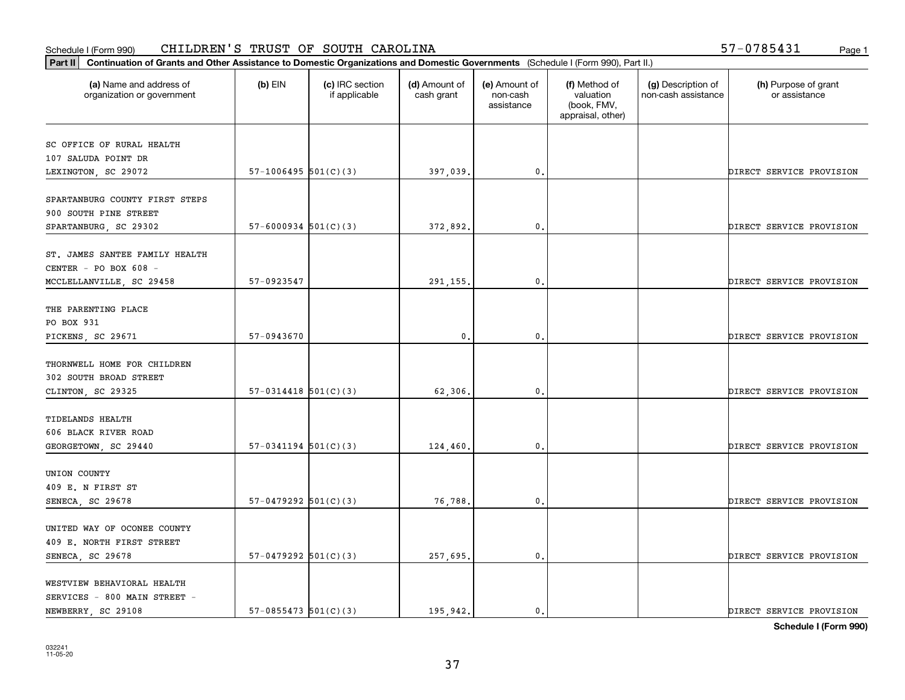#### Schedule I (Form 990) Page 1 CHILDREN'S TRUST OF SOUTH CAROLINA 57-0785431

| Part II   Continuation of Grants and Other Assistance to Domestic Organizations and Domestic Governments (Schedule I (Form 990), Part II.) |                            |                                  |                             |                                         |                                                                |                                           |                                       |
|--------------------------------------------------------------------------------------------------------------------------------------------|----------------------------|----------------------------------|-----------------------------|-----------------------------------------|----------------------------------------------------------------|-------------------------------------------|---------------------------------------|
| (a) Name and address of<br>organization or government                                                                                      | $(b)$ EIN                  | (c) IRC section<br>if applicable | (d) Amount of<br>cash grant | (e) Amount of<br>non-cash<br>assistance | (f) Method of<br>valuation<br>(book, FMV,<br>appraisal, other) | (g) Description of<br>non-cash assistance | (h) Purpose of grant<br>or assistance |
| SC OFFICE OF RURAL HEALTH                                                                                                                  |                            |                                  |                             |                                         |                                                                |                                           |                                       |
| 107 SALUDA POINT DR                                                                                                                        |                            |                                  |                             |                                         |                                                                |                                           |                                       |
| LEXINGTON, SC 29072                                                                                                                        | $57-1006495$ $501(C)(3)$   |                                  | 397,039.                    | 0.                                      |                                                                |                                           | DIRECT SERVICE PROVISION              |
| SPARTANBURG COUNTY FIRST STEPS<br>900 SOUTH PINE STREET                                                                                    |                            |                                  |                             |                                         |                                                                |                                           |                                       |
| SPARTANBURG, SC 29302                                                                                                                      | $57 - 6000934$ $501(C)(3)$ |                                  | 372,892.                    | $\mathfrak o$ .                         |                                                                |                                           | DIRECT SERVICE PROVISION              |
| ST. JAMES SANTEE FAMILY HEALTH<br>CENTER - PO BOX 608 -                                                                                    |                            |                                  |                             |                                         |                                                                |                                           |                                       |
| MCCLELLANVILLE, SC 29458                                                                                                                   | 57-0923547                 |                                  | 291.155.                    | $\mathbf{0}$ .                          |                                                                |                                           | DIRECT SERVICE PROVISION              |
| THE PARENTING PLACE<br>PO BOX 931                                                                                                          |                            |                                  |                             |                                         |                                                                |                                           |                                       |
| PICKENS, SC 29671                                                                                                                          | 57-0943670                 |                                  | 0.                          | 0.                                      |                                                                |                                           | DIRECT SERVICE PROVISION              |
| THORNWELL HOME FOR CHILDREN<br>302 SOUTH BROAD STREET                                                                                      |                            |                                  |                             |                                         |                                                                |                                           |                                       |
| CLINTON, SC 29325                                                                                                                          | $57-0314418$ $501(C)(3)$   |                                  | 62,306.                     | $\mathbf{0}$                            |                                                                |                                           | DIRECT SERVICE PROVISION              |
| <b>TIDELANDS HEALTH</b><br>606 BLACK RIVER ROAD<br>GEORGETOWN, SC 29440                                                                    | $57-0341194$ $501(C)(3)$   |                                  | 124,460.                    | $\mathfrak o$ .                         |                                                                |                                           | DIRECT SERVICE PROVISION              |
|                                                                                                                                            |                            |                                  |                             |                                         |                                                                |                                           |                                       |
| UNION COUNTY<br>409 E. N FIRST ST                                                                                                          |                            |                                  |                             |                                         |                                                                |                                           |                                       |
| SENECA, SC 29678                                                                                                                           | $57-0479292$ $501(C)(3)$   |                                  | 76,788                      | $\mathbf{0}$ .                          |                                                                |                                           | DIRECT SERVICE PROVISION              |
| UNITED WAY OF OCONEE COUNTY<br>409 E. NORTH FIRST STREET                                                                                   |                            |                                  |                             |                                         |                                                                |                                           |                                       |
| SENECA, SC 29678                                                                                                                           | $57-0479292$ $501(C)(3)$   |                                  | 257,695.                    | $\mathbf{0}$ .                          |                                                                |                                           | DIRECT SERVICE PROVISION              |
| WESTVIEW BEHAVIORAL HEALTH<br>SERVICES - 800 MAIN STREET -<br>NEWBERRY SC 29108                                                            | $57-0855473$ $501(C)(3)$   |                                  | 195.942.                    | $\mathbf{0}$ .                          |                                                                |                                           | DIRECT SERVICE PROVISION              |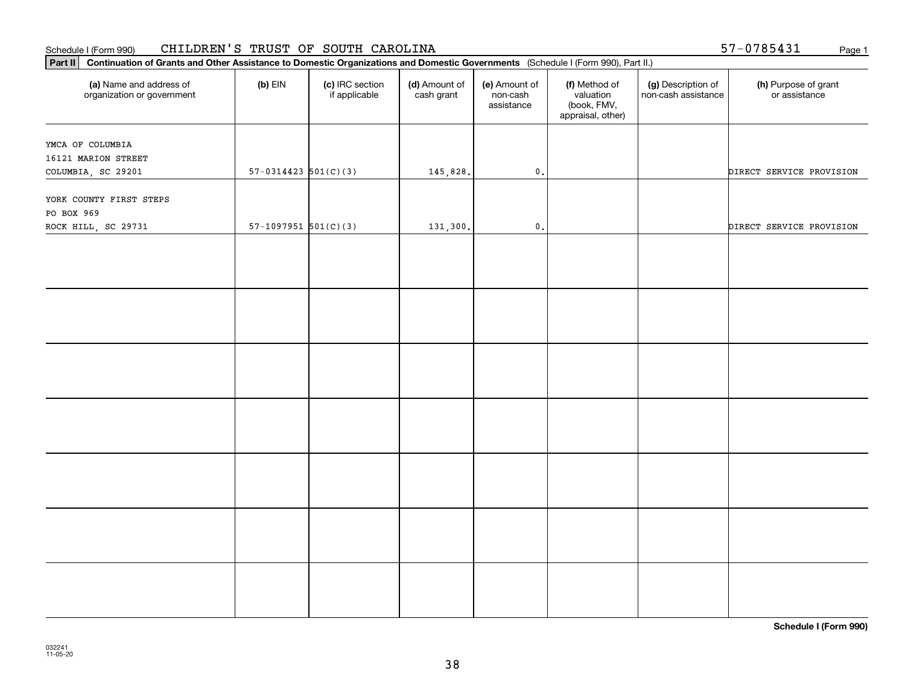#### Schedule I (Form 990) CHILDREN'S TRUST OF SOUTH CAROLINA 57-0785431 <sub>Page 1</sub>

organization or government

**Part II Continuation of Grants and Other Assistance to Domestic Organizations and Domestic Governments**  (Schedule I (Form 990), Part II.)

if applicable

 $(b)$  EIN  $(c)$  IRC section

**(a) (b) (c) (d) (e) (f) (g) (h)** Name and address of

(d) Amount of cash grant

(e) Amount of non-cash

(f) Method of valuation

(g) Description of non-cash assistance

032241 11-05-20

|                                                               |                          |          | assistance      | (book, FMV,<br>appraisal, other) |                          |
|---------------------------------------------------------------|--------------------------|----------|-----------------|----------------------------------|--------------------------|
| YMCA OF COLUMBIA<br>16121 MARION STREET<br>COLUMBIA, SC 29201 | $57-0314423$ $501(C)(3)$ | 145,828. | $\mathbf 0$ .   |                                  | DIRECT SERVICE PROVISION |
| YORK COUNTY FIRST STEPS<br>PO BOX 969                         |                          |          |                 |                                  |                          |
| ROCK HILL, SC 29731                                           | $57-1097951$ $501(C)(3)$ | 131,300. | $\mathfrak o$ . |                                  | DIRECT SERVICE PROVISION |
|                                                               |                          |          |                 |                                  |                          |
|                                                               |                          |          |                 |                                  |                          |
|                                                               |                          |          |                 |                                  |                          |
|                                                               |                          |          |                 |                                  |                          |
|                                                               |                          |          |                 |                                  |                          |
|                                                               |                          |          |                 |                                  |                          |
|                                                               |                          |          |                 |                                  |                          |

57-0785431

(h) Purpose of grant or assistance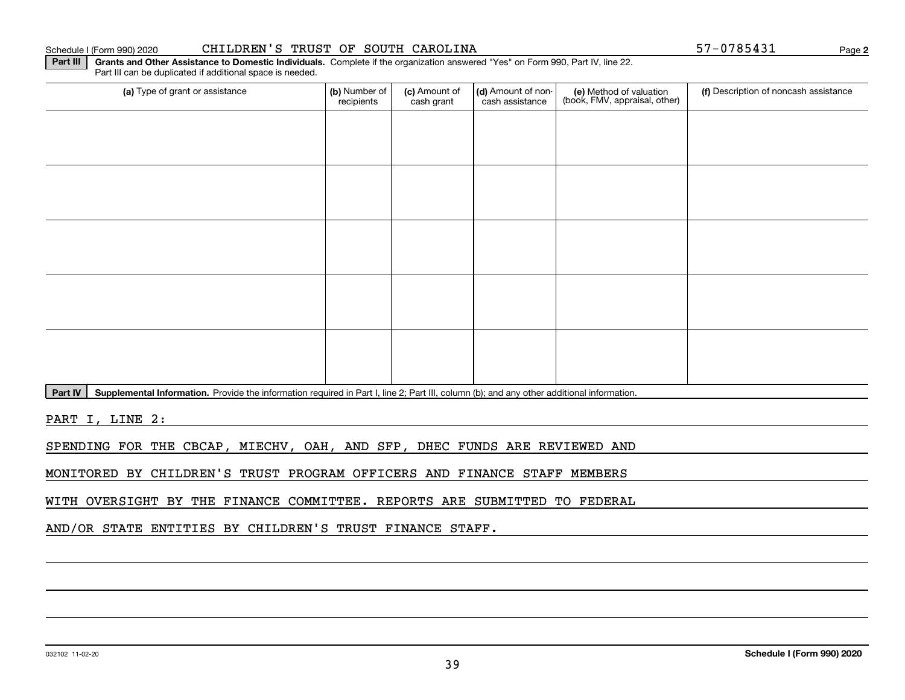#### Schedule I (Form 990) 2020 CHILDREN'S TRUST OF SOUTH CAROLINA 57-0785431 Page

**2**

**Part III** | Grants and Other Assistance to Domestic Individuals. Complete if the organization answered "Yes" on Form 990, Part IV, line 22. Part III can be duplicated if additional space is needed.

| (a) Type of grant or assistance | (b) Number of<br>recipients | (c) Amount of<br>cash grant | (d) Amount of non-<br>cash assistance | (e) Method of valuation<br>(book, FMV, appraisal, other) | (f) Description of noncash assistance |
|---------------------------------|-----------------------------|-----------------------------|---------------------------------------|----------------------------------------------------------|---------------------------------------|
|                                 |                             |                             |                                       |                                                          |                                       |
|                                 |                             |                             |                                       |                                                          |                                       |
|                                 |                             |                             |                                       |                                                          |                                       |
|                                 |                             |                             |                                       |                                                          |                                       |
|                                 |                             |                             |                                       |                                                          |                                       |
|                                 |                             |                             |                                       |                                                          |                                       |
|                                 |                             |                             |                                       |                                                          |                                       |
|                                 |                             |                             |                                       |                                                          |                                       |
|                                 |                             |                             |                                       |                                                          |                                       |
|                                 |                             |                             |                                       |                                                          |                                       |

Part IV | Supplemental Information. Provide the information required in Part I, line 2; Part III, column (b); and any other additional information.

PART I, LINE 2:

SPENDING FOR THE CBCAP, MIECHV, OAH, AND SFP, DHEC FUNDS ARE REVIEWED AND

MONITORED BY CHILDREN'S TRUST PROGRAM OFFICERS AND FINANCE STAFF MEMBERS

WITH OVERSIGHT BY THE FINANCE COMMITTEE. REPORTS ARE SUBMITTED TO FEDERAL

AND/OR STATE ENTITIES BY CHILDREN'S TRUST FINANCE STAFF.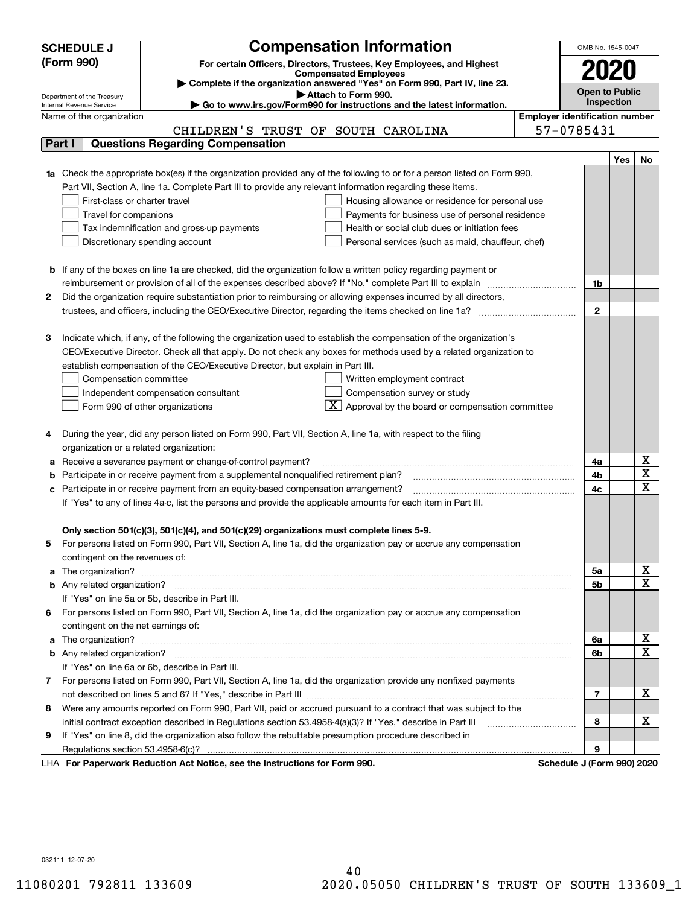|    | <b>SCHEDULE J</b>                                      |                                                                                     | <b>Compensation Information</b>                                                                                                  |                                       | OMB No. 1545-0047     |            |                              |
|----|--------------------------------------------------------|-------------------------------------------------------------------------------------|----------------------------------------------------------------------------------------------------------------------------------|---------------------------------------|-----------------------|------------|------------------------------|
|    | (Form 990)                                             |                                                                                     | For certain Officers, Directors, Trustees, Key Employees, and Highest                                                            |                                       |                       |            |                              |
|    |                                                        |                                                                                     | <b>Compensated Employees</b>                                                                                                     |                                       | 2020                  |            |                              |
|    |                                                        |                                                                                     | Complete if the organization answered "Yes" on Form 990, Part IV, line 23.                                                       |                                       | <b>Open to Public</b> |            |                              |
|    | Department of the Treasury<br>Internal Revenue Service |                                                                                     | Attach to Form 990.<br>Go to www.irs.gov/Form990 for instructions and the latest information.                                    |                                       | Inspection            |            |                              |
|    | Name of the organization                               |                                                                                     |                                                                                                                                  | <b>Employer identification number</b> |                       |            |                              |
|    |                                                        |                                                                                     | CHILDREN'S TRUST OF SOUTH CAROLINA                                                                                               | 57-0785431                            |                       |            |                              |
|    | Part I                                                 | <b>Questions Regarding Compensation</b>                                             |                                                                                                                                  |                                       |                       |            |                              |
|    |                                                        |                                                                                     |                                                                                                                                  |                                       |                       | <b>Yes</b> | No                           |
|    |                                                        |                                                                                     | <b>1a</b> Check the appropriate box(es) if the organization provided any of the following to or for a person listed on Form 990, |                                       |                       |            |                              |
|    |                                                        |                                                                                     | Part VII, Section A, line 1a. Complete Part III to provide any relevant information regarding these items.                       |                                       |                       |            |                              |
|    | First-class or charter travel                          |                                                                                     | Housing allowance or residence for personal use                                                                                  |                                       |                       |            |                              |
|    | Travel for companions                                  |                                                                                     | Payments for business use of personal residence                                                                                  |                                       |                       |            |                              |
|    |                                                        | Tax indemnification and gross-up payments                                           | Health or social club dues or initiation fees                                                                                    |                                       |                       |            |                              |
|    | Discretionary spending account                         |                                                                                     | Personal services (such as maid, chauffeur, chef)                                                                                |                                       |                       |            |                              |
|    |                                                        |                                                                                     |                                                                                                                                  |                                       |                       |            |                              |
|    |                                                        |                                                                                     | <b>b</b> If any of the boxes on line 1a are checked, did the organization follow a written policy regarding payment or           |                                       |                       |            |                              |
|    |                                                        |                                                                                     | reimbursement or provision of all of the expenses described above? If "No," complete Part III to explain                         |                                       | 1b                    |            |                              |
| 2  |                                                        |                                                                                     | Did the organization require substantiation prior to reimbursing or allowing expenses incurred by all directors,                 |                                       |                       |            |                              |
|    |                                                        |                                                                                     |                                                                                                                                  |                                       | $\mathbf{2}$          |            |                              |
|    |                                                        |                                                                                     |                                                                                                                                  |                                       |                       |            |                              |
| з  |                                                        |                                                                                     | Indicate which, if any, of the following the organization used to establish the compensation of the organization's               |                                       |                       |            |                              |
|    |                                                        |                                                                                     | CEO/Executive Director. Check all that apply. Do not check any boxes for methods used by a related organization to               |                                       |                       |            |                              |
|    |                                                        | establish compensation of the CEO/Executive Director, but explain in Part III.      |                                                                                                                                  |                                       |                       |            |                              |
|    | Compensation committee                                 |                                                                                     | Written employment contract                                                                                                      |                                       |                       |            |                              |
|    | Independent compensation consultant                    |                                                                                     | Compensation survey or study                                                                                                     |                                       |                       |            |                              |
|    | Form 990 of other organizations                        |                                                                                     | $\boxed{\textbf{X}}$ Approval by the board or compensation committee                                                             |                                       |                       |            |                              |
|    |                                                        |                                                                                     |                                                                                                                                  |                                       |                       |            |                              |
|    |                                                        |                                                                                     | During the year, did any person listed on Form 990, Part VII, Section A, line 1a, with respect to the filing                     |                                       |                       |            |                              |
|    | organization or a related organization:                |                                                                                     |                                                                                                                                  |                                       |                       |            |                              |
| а  |                                                        | Receive a severance payment or change-of-control payment?                           |                                                                                                                                  |                                       | 4a                    |            | х                            |
| b  |                                                        | Participate in or receive payment from a supplemental nonqualified retirement plan? |                                                                                                                                  |                                       | 4b                    |            | $\overline{\mathbf{x}}$      |
| с  |                                                        | Participate in or receive payment from an equity-based compensation arrangement?    |                                                                                                                                  |                                       | 4c                    |            | $\overline{\mathbf{x}}$      |
|    |                                                        |                                                                                     | If "Yes" to any of lines 4a-c, list the persons and provide the applicable amounts for each item in Part III.                    |                                       |                       |            |                              |
|    |                                                        |                                                                                     |                                                                                                                                  |                                       |                       |            |                              |
|    |                                                        |                                                                                     | Only section 501(c)(3), 501(c)(4), and 501(c)(29) organizations must complete lines 5-9.                                         |                                       |                       |            |                              |
|    |                                                        |                                                                                     | For persons listed on Form 990, Part VII, Section A, line 1a, did the organization pay or accrue any compensation                |                                       |                       |            |                              |
|    | contingent on the revenues of:                         |                                                                                     |                                                                                                                                  |                                       |                       |            |                              |
| a  |                                                        |                                                                                     |                                                                                                                                  |                                       | 5a                    |            | x                            |
|    |                                                        |                                                                                     |                                                                                                                                  |                                       | 5b                    |            | $\overline{\mathbf{x}}$      |
|    | If "Yes" on line 5a or 5b, describe in Part III.       |                                                                                     |                                                                                                                                  |                                       |                       |            |                              |
| 6. |                                                        |                                                                                     | For persons listed on Form 990, Part VII, Section A, line 1a, did the organization pay or accrue any compensation                |                                       |                       |            |                              |
|    | contingent on the net earnings of:                     |                                                                                     |                                                                                                                                  |                                       |                       |            |                              |
| a  |                                                        |                                                                                     |                                                                                                                                  |                                       | 6a                    |            | х<br>$\overline{\mathbf{x}}$ |
|    |                                                        |                                                                                     |                                                                                                                                  |                                       | 6b                    |            |                              |
|    | If "Yes" on line 6a or 6b, describe in Part III.       |                                                                                     |                                                                                                                                  |                                       |                       |            |                              |
|    |                                                        |                                                                                     | 7 For persons listed on Form 990, Part VII, Section A, line 1a, did the organization provide any nonfixed payments               |                                       |                       |            |                              |
|    |                                                        |                                                                                     |                                                                                                                                  |                                       | 7                     |            | х                            |
| 8  |                                                        |                                                                                     | Were any amounts reported on Form 990, Part VII, paid or accrued pursuant to a contract that was subject to the                  |                                       |                       |            |                              |
|    |                                                        |                                                                                     | initial contract exception described in Regulations section 53.4958-4(a)(3)? If "Yes," describe in Part III                      |                                       | 8                     |            | х                            |
| 9  |                                                        |                                                                                     | If "Yes" on line 8, did the organization also follow the rebuttable presumption procedure described in                           |                                       |                       |            |                              |
|    | Regulations section 53.4958-6(c)?                      | Reperserved Reduction Act Notice, and the Instructions for Ferm 000                 |                                                                                                                                  | Schodule I (Form 000) 2020            | 9                     |            |                              |

LHA For Paperwork Reduction Act Notice, see the Instructions for Form 990. Schedule J (Form 990) 2020

032111 12-07-20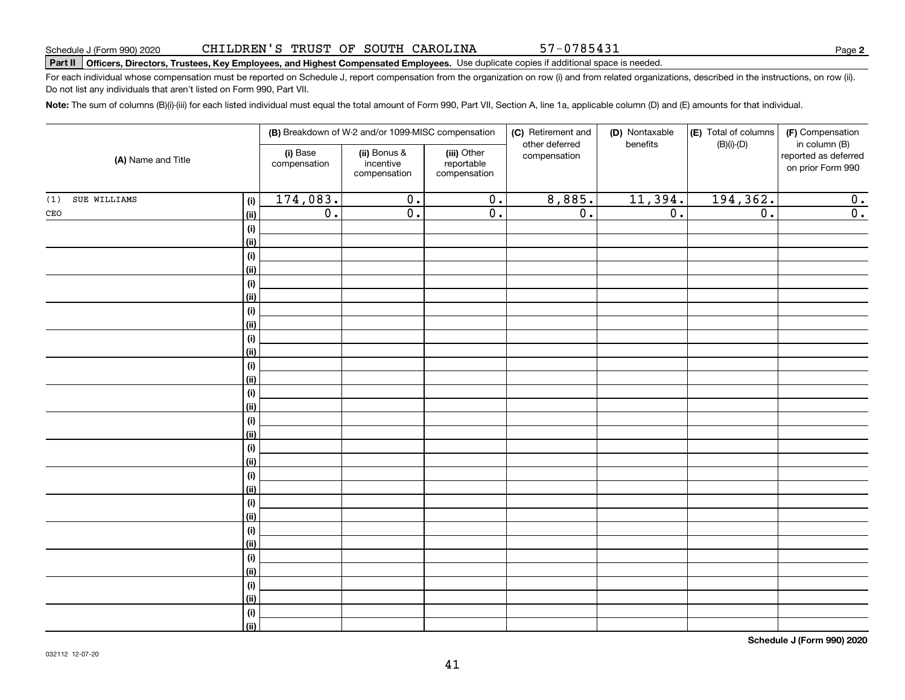| CHILDREN'S TRUST OF SOUTH CAROLINA<br>m 990) 2020 |  |  |  |  |  |
|---------------------------------------------------|--|--|--|--|--|
|---------------------------------------------------|--|--|--|--|--|

# **Part II Officers, Directors, Trustees, Key Employees, and Highest Compensated Employees.**  Schedule J (Form 990) 2020 Page Use duplicate copies if additional space is needed.

For each individual whose compensation must be reported on Schedule J, report compensation from the organization on row (i) and from related organizations, described in the instructions, on row (ii). Do not list any individuals that aren't listed on Form 990, Part VII.

**Note:**  The sum of columns (B)(i)-(iii) for each listed individual must equal the total amount of Form 990, Part VII, Section A, line 1a, applicable column (D) and (E) amounts for that individual.

|                     |              |                          | (B) Breakdown of W-2 and/or 1099-MISC compensation |                                           | (C) Retirement and<br>other deferred | (D) Nontaxable<br>benefits | (E) Total of columns | (F) Compensation                                           |
|---------------------|--------------|--------------------------|----------------------------------------------------|-------------------------------------------|--------------------------------------|----------------------------|----------------------|------------------------------------------------------------|
| (A) Name and Title  |              | (i) Base<br>compensation | (ii) Bonus &<br>incentive<br>compensation          | (iii) Other<br>reportable<br>compensation | compensation                         |                            | $(B)(i)-(D)$         | in column (B)<br>reported as deferred<br>on prior Form 990 |
| SUE WILLIAMS<br>(1) | (i)          | 174,083.                 | $\overline{0}$ .                                   | $\overline{0}$ .                          | 8,885.                               | 11,394.                    | 194,362.             | 0.                                                         |
| $\mathtt{CEO}$      | (ii)         | $\overline{0}$ .         | $\overline{\mathfrak{o}}$ .                        | $\overline{0}$ .                          | $\overline{0}$ .                     | $\overline{0}$ .           | $\overline{0}$ .     | $\overline{0}$ .                                           |
|                     | (i)          |                          |                                                    |                                           |                                      |                            |                      |                                                            |
|                     | (ii)         |                          |                                                    |                                           |                                      |                            |                      |                                                            |
|                     | (i)          |                          |                                                    |                                           |                                      |                            |                      |                                                            |
|                     | (ii)         |                          |                                                    |                                           |                                      |                            |                      |                                                            |
|                     | $(\sf{i})$   |                          |                                                    |                                           |                                      |                            |                      |                                                            |
|                     | (ii)         |                          |                                                    |                                           |                                      |                            |                      |                                                            |
|                     | $(\sf{i})$   |                          |                                                    |                                           |                                      |                            |                      |                                                            |
|                     | (ii)         |                          |                                                    |                                           |                                      |                            |                      |                                                            |
|                     | $(\sf{i})$   |                          |                                                    |                                           |                                      |                            |                      |                                                            |
|                     | (ii)         |                          |                                                    |                                           |                                      |                            |                      |                                                            |
|                     | (i)          |                          |                                                    |                                           |                                      |                            |                      |                                                            |
|                     | (ii)         |                          |                                                    |                                           |                                      |                            |                      |                                                            |
|                     | (i)          |                          |                                                    |                                           |                                      |                            |                      |                                                            |
|                     | (ii)         |                          |                                                    |                                           |                                      |                            |                      |                                                            |
|                     | $(\sf{i})$   |                          |                                                    |                                           |                                      |                            |                      |                                                            |
|                     | (ii)         |                          |                                                    |                                           |                                      |                            |                      |                                                            |
|                     | $(\sf{i})$   |                          |                                                    |                                           |                                      |                            |                      |                                                            |
|                     | (ii)         |                          |                                                    |                                           |                                      |                            |                      |                                                            |
|                     | (i)          |                          |                                                    |                                           |                                      |                            |                      |                                                            |
|                     | (ii)         |                          |                                                    |                                           |                                      |                            |                      |                                                            |
|                     | (i)          |                          |                                                    |                                           |                                      |                            |                      |                                                            |
|                     | (ii)         |                          |                                                    |                                           |                                      |                            |                      |                                                            |
|                     | (i)<br>(ii)  |                          |                                                    |                                           |                                      |                            |                      |                                                            |
|                     | $(\sf{i})$   |                          |                                                    |                                           |                                      |                            |                      |                                                            |
|                     | (ii)         |                          |                                                    |                                           |                                      |                            |                      |                                                            |
|                     | (i)          |                          |                                                    |                                           |                                      |                            |                      |                                                            |
|                     | (ii)         |                          |                                                    |                                           |                                      |                            |                      |                                                            |
|                     | (i)          |                          |                                                    |                                           |                                      |                            |                      |                                                            |
|                     | $\vert$ (ii) |                          |                                                    |                                           |                                      |                            |                      |                                                            |
|                     |              |                          |                                                    |                                           |                                      |                            |                      |                                                            |

41

**Schedule J (Form 990) 2020**

57-0785431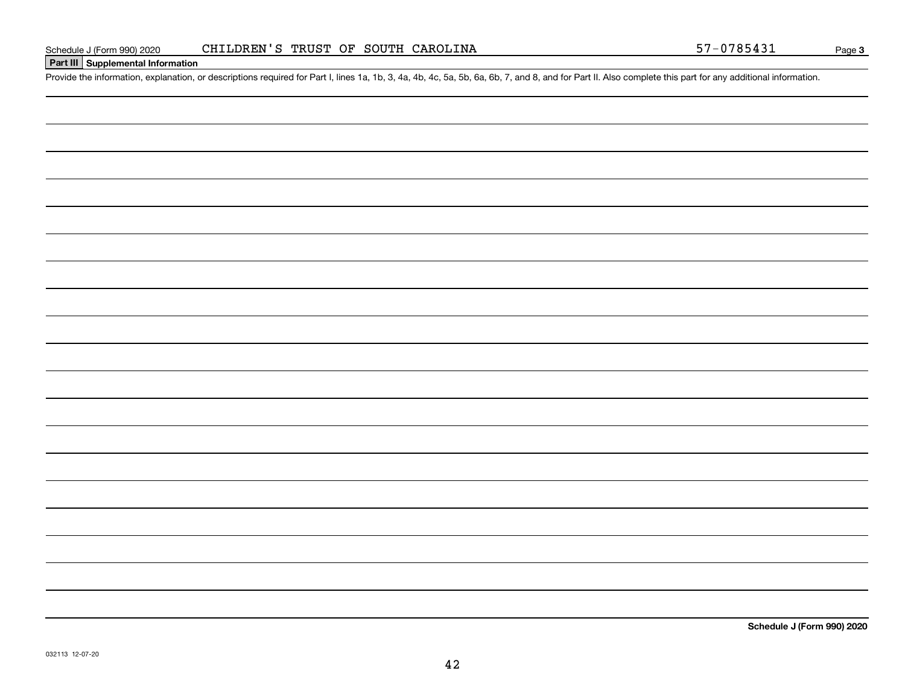# **Part III Supplemental Information**

Schedule J (Form 990) 2020 CHILDREN'S TRUST OF SOUTH CAROLINA<br>Part III Supplemental Information<br>Provide the information, explanation, or descriptions required for Part I, lines 1a, 1b, 3, 4a, 4b, 4c, 5a, 5b, 6a, 6b, 7, and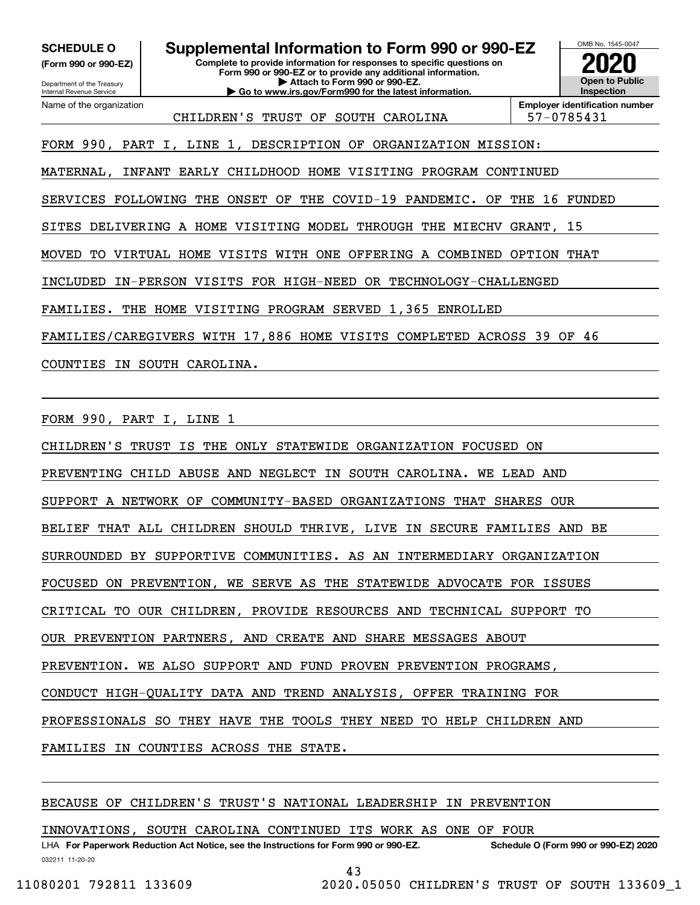Department of the Treasury **(Form 990 or 990-EZ)**

Name of the organization

Internal Revenue Service

**SCHEDULE O Supplemental Information to Form 990 or 990-EZ**

**Complete to provide information for responses to specific questions on Form 990 or 990-EZ or to provide any additional information. | Attach to Form 990 or 990-EZ. | Go to www.irs.gov/Form990 for the latest information.**



CHILDREN'S TRUST OF SOUTH CAROLINA 57-0785431

**Employer identification number**

FORM 990, PART I, LINE 1, DESCRIPTION OF ORGANIZATION MISSION:

MATERNAL, INFANT EARLY CHILDHOOD HOME VISITING PROGRAM CONTINUED

SERVICES FOLLOWING THE ONSET OF THE COVID-19 PANDEMIC. OF THE 16 FUNDED

SITES DELIVERING A HOME VISITING MODEL THROUGH THE MIECHV GRANT, 15

MOVED TO VIRTUAL HOME VISITS WITH ONE OFFERING A COMBINED OPTION THAT

INCLUDED IN-PERSON VISITS FOR HIGH-NEED OR TECHNOLOGY-CHALLENGED

FAMILIES. THE HOME VISITING PROGRAM SERVED 1,365 ENROLLED

FAMILIES/CAREGIVERS WITH 17,886 HOME VISITS COMPLETED ACROSS 39 OF 46

COUNTIES IN SOUTH CAROLINA.

FORM 990, PART I, LINE 1

CHILDREN'S TRUST IS THE ONLY STATEWIDE ORGANIZATION FOCUSED ON

PREVENTING CHILD ABUSE AND NEGLECT IN SOUTH CAROLINA. WE LEAD AND

SUPPORT A NETWORK OF COMMUNITY-BASED ORGANIZATIONS THAT SHARES OUR

BELIEF THAT ALL CHILDREN SHOULD THRIVE, LIVE IN SECURE FAMILIES AND BE

SURROUNDED BY SUPPORTIVE COMMUNITIES. AS AN INTERMEDIARY ORGANIZATION

FOCUSED ON PREVENTION, WE SERVE AS THE STATEWIDE ADVOCATE FOR ISSUES

CRITICAL TO OUR CHILDREN, PROVIDE RESOURCES AND TECHNICAL SUPPORT TO

OUR PREVENTION PARTNERS, AND CREATE AND SHARE MESSAGES ABOUT

PREVENTION. WE ALSO SUPPORT AND FUND PROVEN PREVENTION PROGRAMS,

CONDUCT HIGH-QUALITY DATA AND TREND ANALYSIS, OFFER TRAINING FOR

PROFESSIONALS SO THEY HAVE THE TOOLS THEY NEED TO HELP CHILDREN AND

FAMILIES IN COUNTIES ACROSS THE STATE.

### BECAUSE OF CHILDREN'S TRUST'S NATIONAL LEADERSHIP IN PREVENTION

INNOVATIONS, SOUTH CAROLINA CONTINUED ITS WORK AS ONE OF FOUR

032211 11-20-20 LHA For Paperwork Reduction Act Notice, see the Instructions for Form 990 or 990-EZ. Schedule O (Form 990 or 990-EZ) 2020

43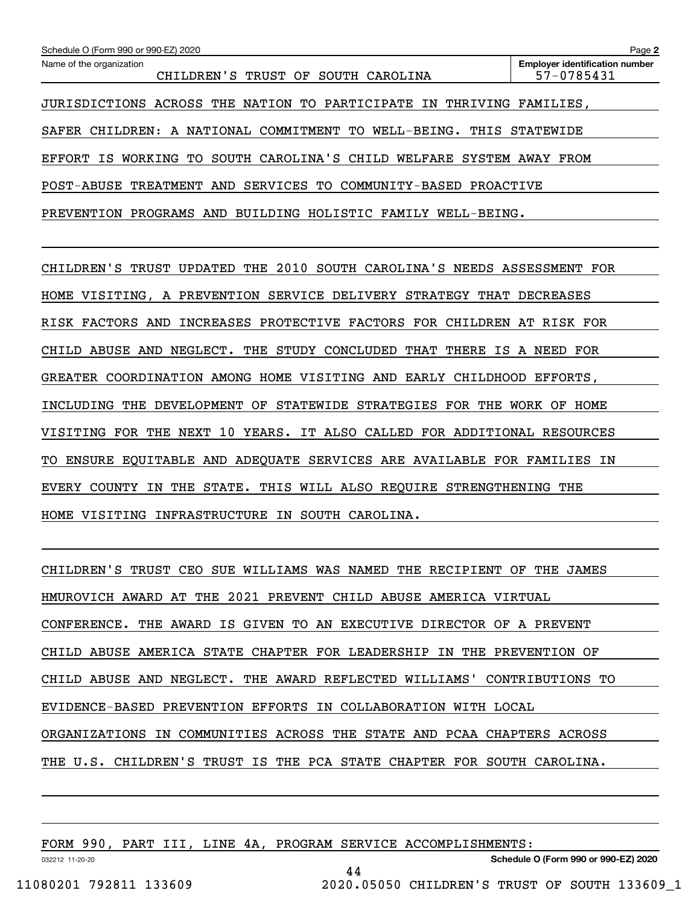| Schedule O (Form 990 or 990-EZ) 2020                                                      | Page 2                                              |
|-------------------------------------------------------------------------------------------|-----------------------------------------------------|
| Name of the organization<br>CHILDREN'S<br>TRUST<br>OF<br>SOUTH<br>CAROLINA                | <b>Employer identification number</b><br>57-0785431 |
| JURISDICTIONS ACROSS THE<br>NATION<br>TО<br>PARTICIPATE<br>THRIVING<br>IN                 | FAMILIES.                                           |
| CHILDREN:<br>A NATIONAL<br>COMMITMENT TO<br>WELL-BEING.<br>SAFER<br>THIS                  | STATEWIDE                                           |
| CAROLINA'S<br>CHILD<br><b>EFFORT</b><br>WORKING<br>SOUTH<br>WELFARE<br>SYSTEM<br>ΙS<br>TО | AWAY<br>FROM                                        |
| POST-ABUSE<br>SERVICES TO<br>COMMUNITY-BASED<br>TREATMENT<br>AND<br>PROACTIVE             |                                                     |
| AND<br>BUILDING HOLISTIC FAMILY WELL-BEING.<br>PREVENTION<br>PROGRAMS                     |                                                     |
|                                                                                           |                                                     |
| 2010<br>THE<br>SOUTH CAROLINA'S NEEDS ASSESSMENT FOR<br>CHILDREN'S<br>TRUST UPDATED       |                                                     |
| VISITING, A PREVENTION<br>SERVICE<br>DELIVERY<br>STRATEGY<br>THAT<br>HOME                 | <b>DECREASES</b>                                    |
| RISK FACTORS<br>AND<br><b>INCREASES</b><br>PROTECTIVE<br>FACTORS<br>FOR<br>CHILDREN       | RISK FOR<br>AT                                      |
| THE<br>STUDY<br>CONCLUDED<br>THERE<br>CHILD<br>ABUSE<br>AND<br>NEGLECT.<br>THAT<br>IS.    | A NEED<br><b>FOR</b>                                |

GREATER COORDINATION AMONG HOME VISITING AND EARLY CHILDHOOD EFFORTS,

INCLUDING THE DEVELOPMENT OF STATEWIDE STRATEGIES FOR THE WORK OF HOME

VISITING FOR THE NEXT 10 YEARS. IT ALSO CALLED FOR ADDITIONAL RESOURCES

TO ENSURE EQUITABLE AND ADEQUATE SERVICES ARE AVAILABLE FOR FAMILIES IN

EVERY COUNTY IN THE STATE. THIS WILL ALSO REQUIRE STRENGTHENING THE

HOME VISITING INFRASTRUCTURE IN SOUTH CAROLINA.

CHILDREN'S TRUST CEO SUE WILLIAMS WAS NAMED THE RECIPIENT OF THE JAMES HMUROVICH AWARD AT THE 2021 PREVENT CHILD ABUSE AMERICA VIRTUAL CONFERENCE. THE AWARD IS GIVEN TO AN EXECUTIVE DIRECTOR OF A PREVENT CHILD ABUSE AMERICA STATE CHAPTER FOR LEADERSHIP IN THE PREVENTION OF CHILD ABUSE AND NEGLECT. THE AWARD REFLECTED WILLIAMS' CONTRIBUTIONS TO EVIDENCE-BASED PREVENTION EFFORTS IN COLLABORATION WITH LOCAL ORGANIZATIONS IN COMMUNITIES ACROSS THE STATE AND PCAA CHAPTERS ACROSS THE U.S. CHILDREN'S TRUST IS THE PCA STATE CHAPTER FOR SOUTH CAROLINA.

44

FORM 990, PART III, LINE 4A, PROGRAM SERVICE ACCOMPLISHMENTS:

**Schedule O (Form 990 or 990-EZ) 2020**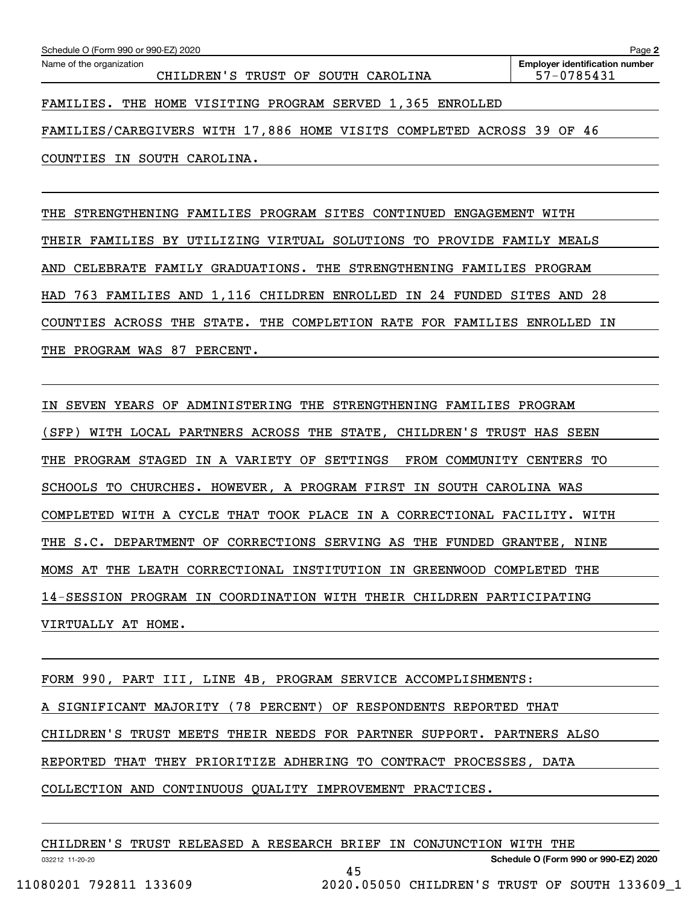| Schedule O (Form 990 or 990-EZ) 2020                           | Page 2                                              |
|----------------------------------------------------------------|-----------------------------------------------------|
| Name of the organization<br>CHILDREN'S TRUST OF SOUTH CAROLINA | <b>Employer identification number</b><br>57-0785431 |
| THE HOME VISITING PROGRAM SERVED 1,365 ENROLLED<br>FAMILIES.   |                                                     |

FAMILIES/CAREGIVERS WITH 17,886 HOME VISITS COMPLETED ACROSS 39 OF 46

COUNTIES IN SOUTH CAROLINA.

THE STRENGTHENING FAMILIES PROGRAM SITES CONTINUED ENGAGEMENT WITH THEIR FAMILIES BY UTILIZING VIRTUAL SOLUTIONS TO PROVIDE FAMILY MEALS AND CELEBRATE FAMILY GRADUATIONS. THE STRENGTHENING FAMILIES PROGRAM HAD 763 FAMILIES AND 1,116 CHILDREN ENROLLED IN 24 FUNDED SITES AND 28 COUNTIES ACROSS THE STATE. THE COMPLETION RATE FOR FAMILIES ENROLLED IN THE PROGRAM WAS 87 PERCENT.

IN SEVEN YEARS OF ADMINISTERING THE STRENGTHENING FAMILIES PROGRAM (SFP) WITH LOCAL PARTNERS ACROSS THE STATE, CHILDREN'S TRUST HAS SEEN THE PROGRAM STAGED IN A VARIETY OF SETTINGS FROM COMMUNITY CENTERS TO SCHOOLS TO CHURCHES. HOWEVER, A PROGRAM FIRST IN SOUTH CAROLINA WAS COMPLETED WITH A CYCLE THAT TOOK PLACE IN A CORRECTIONAL FACILITY. WITH THE S.C. DEPARTMENT OF CORRECTIONS SERVING AS THE FUNDED GRANTEE, NINE MOMS AT THE LEATH CORRECTIONAL INSTITUTION IN GREENWOOD COMPLETED THE 14-SESSION PROGRAM IN COORDINATION WITH THEIR CHILDREN PARTICIPATING VIRTUALLY AT HOME.

FORM 990, PART III, LINE 4B, PROGRAM SERVICE ACCOMPLISHMENTS: A SIGNIFICANT MAJORITY (78 PERCENT) OF RESPONDENTS REPORTED THAT CHILDREN'S TRUST MEETS THEIR NEEDS FOR PARTNER SUPPORT. PARTNERS ALSO REPORTED THAT THEY PRIORITIZE ADHERING TO CONTRACT PROCESSES, DATA COLLECTION AND CONTINUOUS QUALITY IMPROVEMENT PRACTICES.

| CHILDREN'S TRUST RELEASED A RESEARCH BRIEF IN CONJUNCTION WITH THE |  |    |                                               |                                      |  |
|--------------------------------------------------------------------|--|----|-----------------------------------------------|--------------------------------------|--|
| 032212 11-20-20                                                    |  |    |                                               | Schedule O (Form 990 or 990-EZ) 2020 |  |
|                                                                    |  | 45 |                                               |                                      |  |
| 11080201 792811 133609                                             |  |    | 2020.05050 CHILDREN'S TRUST OF SOUTH 133609 1 |                                      |  |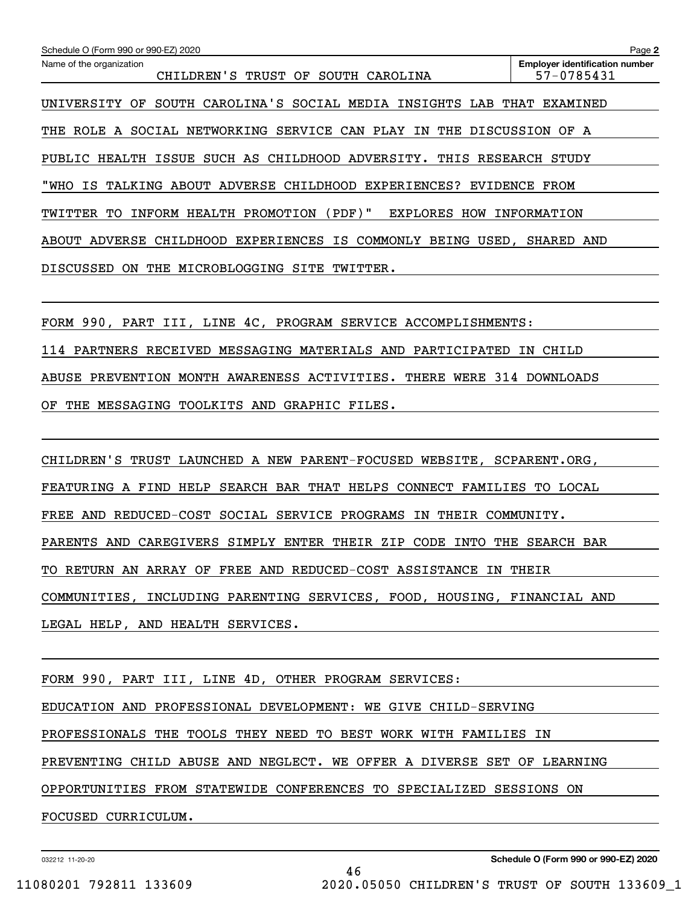| Schedule O (Form 990 or 990-EZ) 2020                                    | Page 2                                              |  |  |  |  |
|-------------------------------------------------------------------------|-----------------------------------------------------|--|--|--|--|
| Name of the organization<br>CHILDREN'S TRUST OF SOUTH CAROLINA          | <b>Employer identification number</b><br>57-0785431 |  |  |  |  |
| UNIVERSITY OF SOUTH CAROLINA'S SOCIAL MEDIA INSIGHTS LAB THAT EXAMINED  |                                                     |  |  |  |  |
| THE ROLE A SOCIAL NETWORKING SERVICE CAN PLAY IN THE DISCUSSION OF A    |                                                     |  |  |  |  |
| PUBLIC HEALTH ISSUE SUCH AS CHILDHOOD ADVERSITY. THIS RESEARCH STUDY    |                                                     |  |  |  |  |
| "WHO IS TALKING ABOUT ADVERSE CHILDHOOD EXPERIENCES? EVIDENCE FROM      |                                                     |  |  |  |  |
| TWITTER TO INFORM HEALTH PROMOTION (PDF)" EXPLORES HOW INFORMATION      |                                                     |  |  |  |  |
| ABOUT ADVERSE CHILDHOOD EXPERIENCES IS COMMONLY BEING USED, SHARED AND  |                                                     |  |  |  |  |
| DISCUSSED ON THE MICROBLOGGING SITE TWITTER.                            |                                                     |  |  |  |  |
|                                                                         |                                                     |  |  |  |  |
| FORM 990, PART III, LINE 4C, PROGRAM SERVICE ACCOMPLISHMENTS:           |                                                     |  |  |  |  |
| 114 PARTNERS RECEIVED MESSAGING MATERIALS AND PARTICIPATED IN CHILD     |                                                     |  |  |  |  |
| ABUSE PREVENTION MONTH AWARENESS ACTIVITIES. THERE WERE 314 DOWNLOADS   |                                                     |  |  |  |  |
| OF THE MESSAGING TOOLKITS AND GRAPHIC FILES.                            |                                                     |  |  |  |  |
|                                                                         |                                                     |  |  |  |  |
| CHILDREN'S TRUST LAUNCHED A NEW PARENT-FOCUSED WEBSITE, SCPARENT.ORG,   |                                                     |  |  |  |  |
| FEATURING A FIND HELP SEARCH BAR THAT HELPS CONNECT FAMILIES TO LOCAL   |                                                     |  |  |  |  |
| FREE AND REDUCED-COST SOCIAL SERVICE PROGRAMS IN THEIR COMMUNITY.       |                                                     |  |  |  |  |
| PARENTS AND CAREGIVERS SIMPLY ENTER THEIR ZIP CODE INTO THE SEARCH BAR  |                                                     |  |  |  |  |
| TO RETURN AN ARRAY OF FREE AND REDUCED-COST ASSISTANCE IN THEIR         |                                                     |  |  |  |  |
| COMMUNITIES, INCLUDING PARENTING SERVICES, FOOD, HOUSING, FINANCIAL AND |                                                     |  |  |  |  |
| LEGAL HELP, AND HEALTH SERVICES.                                        |                                                     |  |  |  |  |
|                                                                         |                                                     |  |  |  |  |
| FORM 990, PART III, LINE 4D, OTHER PROGRAM SERVICES:                    |                                                     |  |  |  |  |
| EDUCATION AND PROFESSIONAL DEVELOPMENT: WE GIVE CHILD-SERVING           |                                                     |  |  |  |  |
| PROFESSIONALS THE TOOLS THEY NEED TO BEST WORK WITH FAMILIES IN         |                                                     |  |  |  |  |
| PREVENTING CHILD ABUSE AND NEGLECT. WE OFFER A DIVERSE SET OF LEARNING  |                                                     |  |  |  |  |
| OPPORTUNITIES FROM STATEWIDE CONFERENCES TO SPECIALIZED SESSIONS ON     |                                                     |  |  |  |  |
| FOCUSED CURRICULUM.                                                     |                                                     |  |  |  |  |
|                                                                         |                                                     |  |  |  |  |

46

032212 11-20-20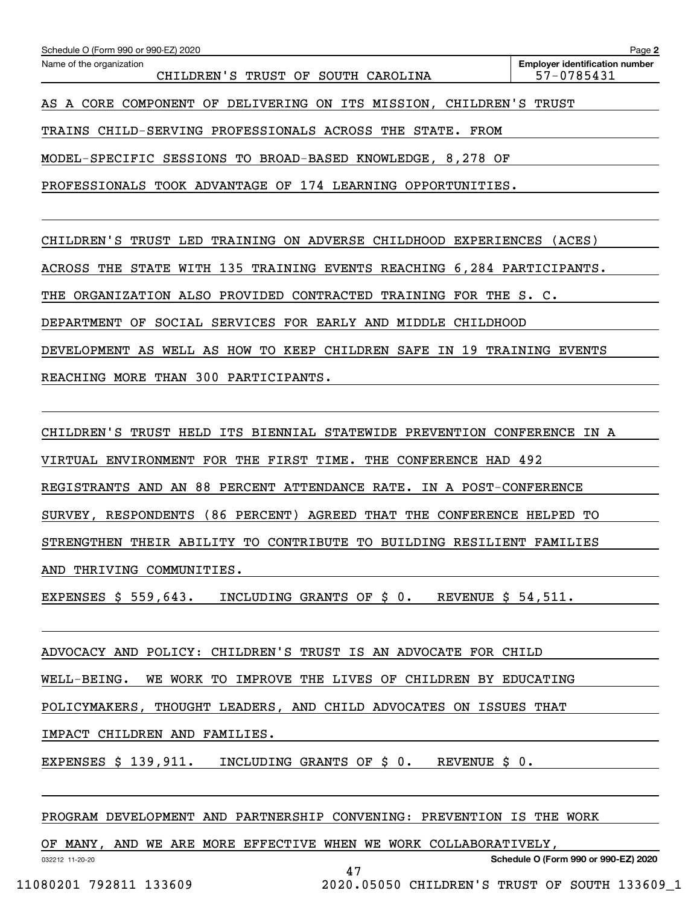| Schedule O (Form 990 or 990-EZ) 2020<br>Name of the organization                                    | Page 2<br><b>Employer identification number</b> |
|-----------------------------------------------------------------------------------------------------|-------------------------------------------------|
| CHILDREN'S TRUST OF<br>SOUTH<br>CAROLINA                                                            | 57-0785431                                      |
| CORE<br>COMPONENT<br>DELIVERING<br>ON ITS MISSION, CHILDREN'S TRUST<br>OF<br>AS<br>A                |                                                 |
| CHILD-SERVING PROFESSIONALS ACROSS<br>THE<br>STATE.<br><b>FROM</b><br>TRAINS                        |                                                 |
| MODEL-SPECIFIC SESSIONS TO BROAD-BASED KNOWLEDGE, 8,278 OF                                          |                                                 |
| 174 LEARNING<br>PROFESSIONALS TOOK ADVANTAGE OF<br>OPPORTUNITIES.                                   |                                                 |
|                                                                                                     |                                                 |
| CHILDREN'S<br>TRUST LED<br>TRAINING<br>ON ADVERSE<br>CHILDHOOD<br><b>EXPERIENCES</b>                | (ACES)                                          |
| WITH 135 TRAINING EVENTS REACHING<br>ACROSS<br>THE<br>STATE                                         | 6,284 PARTICIPANTS.                             |
| THE ORGANIZATION ALSO PROVIDED<br>CONTRACTED<br>FOR<br>TRAINING                                     | THE S. C.                                       |
| <b>SERVICES</b><br>FOR EARLY AND<br><b>DEPARTMENT</b><br>OF<br>SOCIAL<br>MIDDLE<br><b>CHILDHOOD</b> |                                                 |

REACHING MORE THAN 300 PARTICIPANTS.

CHILDREN'S TRUST HELD ITS BIENNIAL STATEWIDE PREVENTION CONFERENCE IN A VIRTUAL ENVIRONMENT FOR THE FIRST TIME. THE CONFERENCE HAD 492 REGISTRANTS AND AN 88 PERCENT ATTENDANCE RATE. IN A POST-CONFERENCE SURVEY, RESPONDENTS (86 PERCENT) AGREED THAT THE CONFERENCE HELPED TO STRENGTHEN THEIR ABILITY TO CONTRIBUTE TO BUILDING RESILIENT FAMILIES AND THRIVING COMMUNITIES.

EXPENSES \$ 559,643. INCLUDING GRANTS OF \$ 0. REVENUE \$ 54,511.

ADVOCACY AND POLICY: CHILDREN'S TRUST IS AN ADVOCATE FOR CHILD

WELL-BEING. WE WORK TO IMPROVE THE LIVES OF CHILDREN BY EDUCATING

POLICYMAKERS, THOUGHT LEADERS, AND CHILD ADVOCATES ON ISSUES THAT

IMPACT CHILDREN AND FAMILIES.

EXPENSES \$ 139,911. INCLUDING GRANTS OF \$ 0. REVENUE \$ 0.

PROGRAM DEVELOPMENT AND PARTNERSHIP CONVENING: PREVENTION IS THE WORK

47

OF MANY, AND WE ARE MORE EFFECTIVE WHEN WE WORK COLLABORATIVELY,

032212 11-20-20

**Schedule O (Form 990 or 990-EZ) 2020**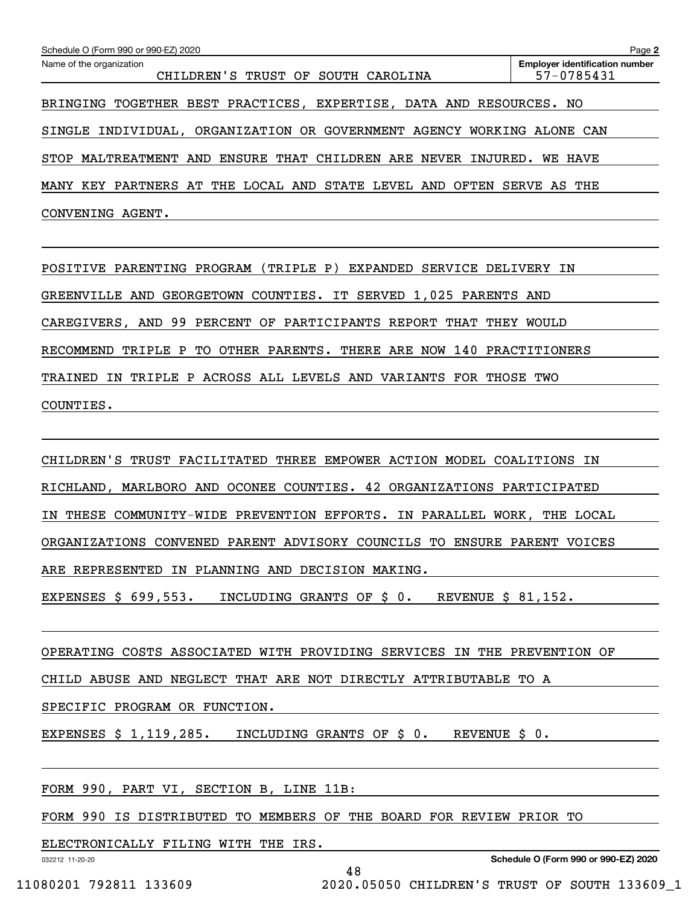| Schedule O (Form 990 or 990-EZ) 2020                                                    | Page 2                                |
|-----------------------------------------------------------------------------------------|---------------------------------------|
| Name of the organization                                                                | <b>Employer identification number</b> |
| CHILDREN'S TRUST OF SOUTH CAROLINA                                                      | 57-0785431                            |
| TOGETHER BEST PRACTICES.<br>EXPERTISE, DATA AND RESOURCES. NO<br>BRINGING               |                                       |
| INDIVIDUAL, ORGANIZATION OR GOVERNMENT AGENCY<br>SINGLE                                 | WORKING ALONE CAN                     |
| ENSURE THAT CHILDREN ARE NEVER<br>MALTREATMENT<br>AND<br>INJURED.<br>STOP               | WE HAVE                               |
| LOCAL AND<br>STATE LEVEL<br>PARTNERS<br>AT<br>THE<br>AND<br>OFTEN<br>KEY<br><b>MANY</b> | <b>SERVE</b><br>AS.<br>THE            |
| CONVENING AGENT.                                                                        |                                       |
|                                                                                         |                                       |
| (TRIPLE)<br>PARENTING<br>PROGRAM<br>$\mathbf{P}$ )<br>EXPANDED<br>SERVICE<br>POSITIVE   | DELIVERY<br>ΙN                        |

GREENVILLE AND GEORGETOWN COUNTIES. IT SERVED 1,025 PARENTS AND

CAREGIVERS, AND 99 PERCENT OF PARTICIPANTS REPORT THAT THEY WOULD

RECOMMEND TRIPLE P TO OTHER PARENTS. THERE ARE NOW 140 PRACTITIONERS

TRAINED IN TRIPLE P ACROSS ALL LEVELS AND VARIANTS FOR THOSE TWO

COUNTIES.

CHILDREN'S TRUST FACILITATED THREE EMPOWER ACTION MODEL COALITIONS IN RICHLAND, MARLBORO AND OCONEE COUNTIES. 42 ORGANIZATIONS PARTICIPATED IN THESE COMMUNITY-WIDE PREVENTION EFFORTS. IN PARALLEL WORK, THE LOCAL ORGANIZATIONS CONVENED PARENT ADVISORY COUNCILS TO ENSURE PARENT VOICES ARE REPRESENTED IN PLANNING AND DECISION MAKING. EXPENSES \$ 699,553. INCLUDING GRANTS OF \$ 0. REVENUE \$ 81,152.

OPERATING COSTS ASSOCIATED WITH PROVIDING SERVICES IN THE PREVENTION OF

CHILD ABUSE AND NEGLECT THAT ARE NOT DIRECTLY ATTRIBUTABLE TO A

SPECIFIC PROGRAM OR FUNCTION.

EXPENSES \$ 1,119,285. INCLUDING GRANTS OF \$ 0. REVENUE \$ 0.

FORM 990, PART VI, SECTION B, LINE 11B:

FORM 990 IS DISTRIBUTED TO MEMBERS OF THE BOARD FOR REVIEW PRIOR TO

48

ELECTRONICALLY FILING WITH THE IRS.

032212 11-20-20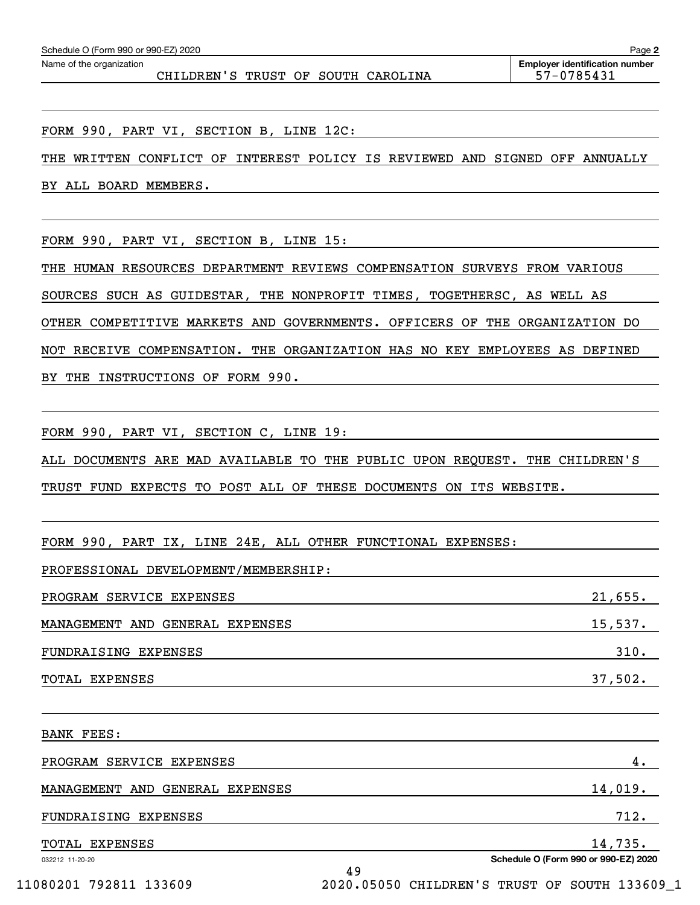FORM 990, PART VI, SECTION B, LINE 12C:

THE WRITTEN CONFLICT OF INTEREST POLICY IS REVIEWED AND SIGNED OFF ANNUALLY

BY ALL BOARD MEMBERS.

FORM 990, PART VI, SECTION B, LINE 15:

THE HUMAN RESOURCES DEPARTMENT REVIEWS COMPENSATION SURVEYS FROM VARIOUS SOURCES SUCH AS GUIDESTAR, THE NONPROFIT TIMES, TOGETHERSC, AS WELL AS OTHER COMPETITIVE MARKETS AND GOVERNMENTS. OFFICERS OF THE ORGANIZATION DO NOT RECEIVE COMPENSATION. THE ORGANIZATION HAS NO KEY EMPLOYEES AS DEFINED BY THE INSTRUCTIONS OF FORM 990.

FORM 990, PART VI, SECTION C, LINE 19:

ALL DOCUMENTS ARE MAD AVAILABLE TO THE PUBLIC UPON REQUEST. THE CHILDREN'S

TRUST FUND EXPECTS TO POST ALL OF THESE DOCUMENTS ON ITS WEBSITE.

FORM 990, PART IX, LINE 24E, ALL OTHER FUNCTIONAL EXPENSES:

PROFESSIONAL DEVELOPMENT/MEMBERSHIP:

| PROGRAM SERVICE EXPENSES        | 21,655. |
|---------------------------------|---------|
| MANAGEMENT AND GENERAL EXPENSES | 15,537. |
| FUNDRAISING EXPENSES            | 310.    |
| TOTAL EXPENSES                  | 37,502. |

032212 11-20-20 **Schedule O (Form 990 or 990-EZ) 2020** BANK FEES: PROGRAM SERVICE EXPENSES 4. MANAGEMENT AND GENERAL EXPENSES 14,019. FUNDRAISING EXPENSES 712. TOTAL EXPENSES 14,735.

49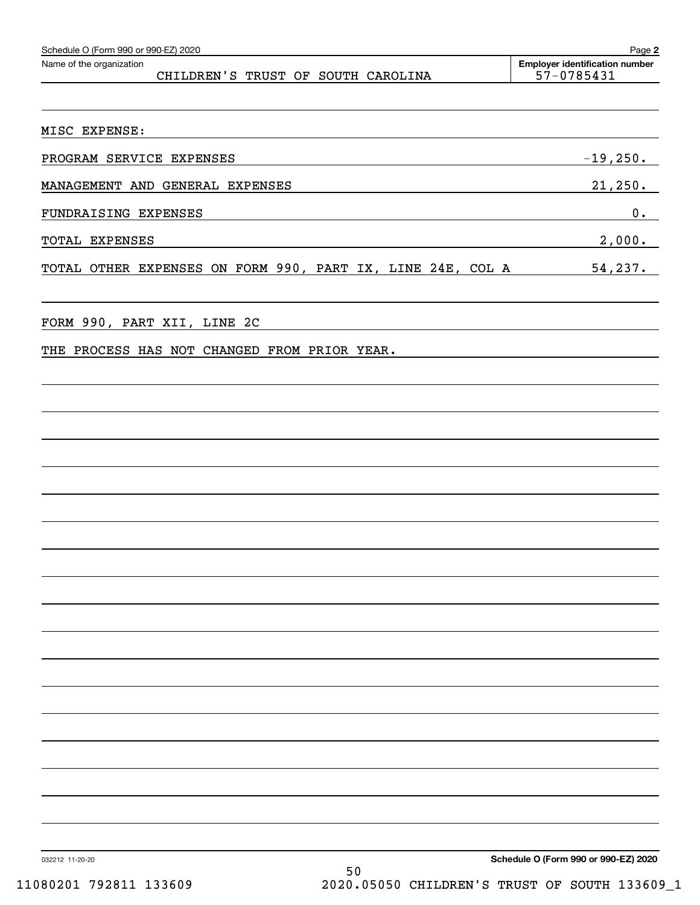| Schedule O (Form 990 or 990-EZ) 2020<br>Name of the organization<br>CHILDREN'S TRUST OF SOUTH CAROLINA | Page 2<br><b>Employer identification number</b><br>57-0785431 |
|--------------------------------------------------------------------------------------------------------|---------------------------------------------------------------|
|                                                                                                        |                                                               |
| MISC EXPENSE:                                                                                          |                                                               |
| PROGRAM SERVICE EXPENSES                                                                               | $-19$ , $250$ .                                               |
| MANAGEMENT AND GENERAL EXPENSES                                                                        | 21,250.                                                       |
| FUNDRAISING EXPENSES<br><u> 1989 - Johann Stoff, amerikansk politiker (* 1908)</u>                     | $0$ .                                                         |
| TOTAL EXPENSES<br><u> 1989 - Johann Stoff, amerikansk politiker (d. 1989)</u>                          | 2,000.                                                        |
| TOTAL OTHER EXPENSES ON FORM 990, PART IX, LINE 24E, COL A                                             | 54, 237.                                                      |
| FORM 990, PART XII, LINE 2C                                                                            |                                                               |
| THE PROCESS HAS NOT CHANGED FROM PRIOR YEAR.                                                           |                                                               |
|                                                                                                        |                                                               |
|                                                                                                        |                                                               |
|                                                                                                        |                                                               |
|                                                                                                        |                                                               |
|                                                                                                        |                                                               |
|                                                                                                        |                                                               |
|                                                                                                        |                                                               |
|                                                                                                        |                                                               |
|                                                                                                        |                                                               |
|                                                                                                        |                                                               |
|                                                                                                        |                                                               |
|                                                                                                        |                                                               |
|                                                                                                        |                                                               |
|                                                                                                        |                                                               |
|                                                                                                        |                                                               |
|                                                                                                        |                                                               |
|                                                                                                        |                                                               |
| 032212 11-20-20                                                                                        | Schedule O (Form 990 or 990-EZ) 2020                          |